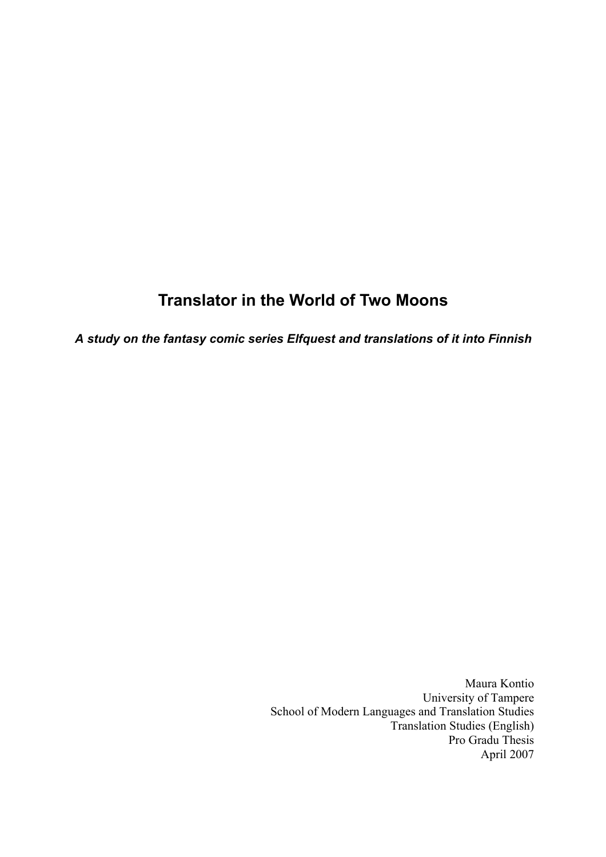# **Translator in the World of Two Moons**

*A study on the fantasy comic series Elfquest and translations of it into Finnish* 

Maura Kontio University of Tampere School of Modern Languages and Translation Studies Translation Studies (English) Pro Gradu Thesis April 2007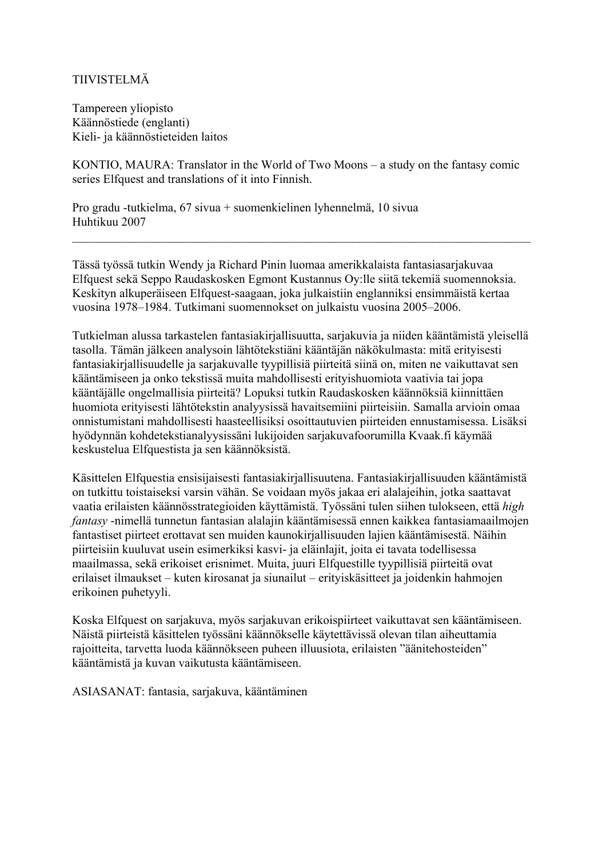### TIIVISTELMÄ

Tampereen yliopisto Käännöstiede (englanti) Kieli- ja käännöstieteiden laitos

KONTIO, MAURA: Translator in the World of Two Moons – a study on the fantasy comic series Elfquest and translations of it into Finnish.

Pro gradu -tutkielma, 67 sivua + suomenkielinen lyhennelmä, 10 sivua Huhtikuu 2007

Tässä työssä tutkin Wendy ja Richard Pinin luomaa amerikkalaista fantasiasarjakuvaa Elfquest sekä Seppo Raudaskosken Egmont Kustannus Oy:lle siitä tekemiä suomennoksia. Keskityn alkuperäiseen Elfquest-saagaan, joka julkaistiin englanniksi ensimmäistä kertaa vuosina 1978–1984. Tutkimani suomennokset on julkaistu vuosina 2005–2006.

 $\mathcal{L}_\mathcal{L} = \{ \mathcal{L}_\mathcal{L} = \{ \mathcal{L}_\mathcal{L} = \{ \mathcal{L}_\mathcal{L} = \{ \mathcal{L}_\mathcal{L} = \{ \mathcal{L}_\mathcal{L} = \{ \mathcal{L}_\mathcal{L} = \{ \mathcal{L}_\mathcal{L} = \{ \mathcal{L}_\mathcal{L} = \{ \mathcal{L}_\mathcal{L} = \{ \mathcal{L}_\mathcal{L} = \{ \mathcal{L}_\mathcal{L} = \{ \mathcal{L}_\mathcal{L} = \{ \mathcal{L}_\mathcal{L} = \{ \mathcal{L}_\mathcal{$ 

Tutkielman alussa tarkastelen fantasiakirjallisuutta, sarjakuvia ja niiden kääntämistä yleisellä tasolla. Tämän jälkeen analysoin lähtötekstiäni kääntäjän näkökulmasta: mitä erityisesti fantasiakirjallisuudelle ja sarjakuvalle tyypillisiä piirteitä siinä on, miten ne vaikuttavat sen kääntämiseen ja onko tekstissä muita mahdollisesti erityishuomiota vaativia tai jopa kääntäjälle ongelmallisia piirteitä? Lopuksi tutkin Raudaskosken käännöksiä kiinnittäen huomiota erityisesti lähtötekstin analyysissä havaitsemiini piirteisiin. Samalla arvioin omaa onnistumistani mahdollisesti haasteellisiksi osoittautuvien piirteiden ennustamisessa. Lisäksi hyödynnän kohdetekstianalyysissäni lukijoiden sarjakuvafoorumilla Kvaak.fi käymää keskustelua Elfquestista ja sen käännöksistä.

Käsittelen Elfquestia ensisijaisesti fantasiakirjallisuutena. Fantasiakirjallisuuden kääntämistä on tutkittu toistaiseksi varsin vähän. Se voidaan myös jakaa eri alalajeihin, jotka saattavat vaatia erilaisten käännösstrategioiden käyttämistä. Työssäni tulen siihen tulokseen, että *high fantasy* -nimellä tunnetun fantasian alalajin kääntämisessä ennen kaikkea fantasiamaailmojen fantastiset piirteet erottavat sen muiden kaunokirjallisuuden lajien kääntämisestä. Näihin piirteisiin kuuluvat usein esimerkiksi kasvi- ja eläinlajit, joita ei tavata todellisessa maailmassa, sekä erikoiset erisnimet. Muita, juuri Elfquestille tyypillisiä piirteitä ovat erilaiset ilmaukset – kuten kirosanat ja siunailut – erityiskäsitteet ja joidenkin hahmojen erikoinen puhetyyli.

Koska Elfquest on sarjakuva, myös sarjakuvan erikoispiirteet vaikuttavat sen kääntämiseen. Näistä piirteistä käsittelen työssäni käännökselle käytettävissä olevan tilan aiheuttamia rajoitteita, tarvetta luoda käännökseen puheen illuusiota, erilaisten "äänitehosteiden" kääntämistä ja kuvan vaikutusta kääntämiseen.

ASIASANAT: fantasia, sarjakuva, kääntäminen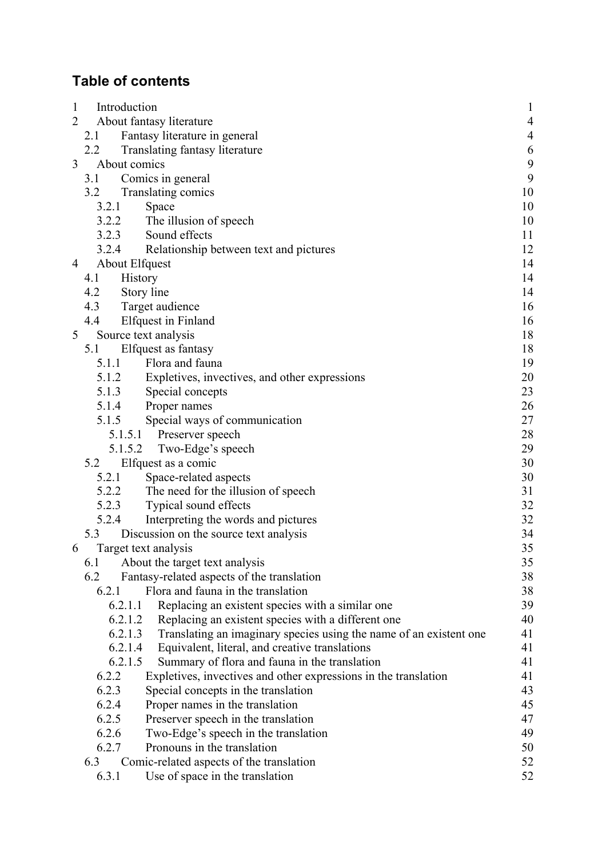# **Table of contents**

| $\mathbf{1}$   | Introduction                                                                  |                |  |
|----------------|-------------------------------------------------------------------------------|----------------|--|
| $\overline{2}$ | About fantasy literature                                                      | $\overline{4}$ |  |
|                | Fantasy literature in general<br>2.1                                          | $\overline{4}$ |  |
|                | $2.2^{\circ}$<br>Translating fantasy literature                               | 6              |  |
| 3              | About comics                                                                  | 9              |  |
|                | Comics in general<br>3.1                                                      | 9              |  |
|                | Translating comics<br>3.2                                                     | 10             |  |
|                | 3.2.1<br>Space                                                                | 10             |  |
|                | 3.2.2<br>The illusion of speech                                               | 10             |  |
|                | 3.2.3<br>Sound effects                                                        | 11             |  |
|                | 3.2.4<br>Relationship between text and pictures                               | 12             |  |
| 4              | About Elfquest                                                                | 14             |  |
|                | History<br>4.1                                                                | 14             |  |
|                | 4.2<br>Story line                                                             | 14             |  |
|                | 4.3<br>Target audience                                                        | 16             |  |
|                | 4.4<br><b>Elfquest</b> in Finland                                             | 16             |  |
| 5              | Source text analysis                                                          | 18             |  |
|                | Elfquest as fantasy<br>5.1                                                    | 18             |  |
|                | Flora and fauna<br>5.1.1                                                      | 19             |  |
|                | 5.1.2<br>Expletives, invectives, and other expressions                        | 20             |  |
|                | 5.1.3<br>Special concepts                                                     | 23             |  |
|                | 5.1.4<br>Proper names                                                         | 26             |  |
|                | Special ways of communication<br>5.1.5                                        | 27             |  |
|                | Preserver speech<br>5.1.5.1                                                   | 28             |  |
|                | Two-Edge's speech<br>5.1.5.2                                                  | 29             |  |
|                | Elfquest as a comic<br>5.2                                                    | 30             |  |
|                | 5.2.1<br>Space-related aspects                                                | 30             |  |
|                | 5.2.2<br>The need for the illusion of speech                                  | 31             |  |
|                | 5.2.3<br>Typical sound effects                                                | 32             |  |
|                | 5.2.4<br>Interpreting the words and pictures                                  | 32             |  |
|                | 5.3<br>Discussion on the source text analysis                                 | 34             |  |
| 6              | Target text analysis                                                          | 35             |  |
|                | 6.1<br>About the target text analysis                                         | 35             |  |
|                | 6.2<br>Fantasy-related aspects of the translation                             | 38             |  |
|                | 6.2.1<br>Flora and fauna in the translation                                   | 38             |  |
|                | 6.2.1.1<br>Replacing an existent species with a similar one                   | 39             |  |
|                | 6.2.1.2<br>Replacing an existent species with a different one                 | 40             |  |
|                | 6.2.1.3<br>Translating an imaginary species using the name of an existent one | 41             |  |
|                | 6.2.1.4<br>Equivalent, literal, and creative translations                     | 41             |  |
|                | 6.2.1.5<br>Summary of flora and fauna in the translation                      | 41             |  |
|                | 6.2.2<br>Expletives, invectives and other expressions in the translation      | 41             |  |
|                | 6.2.3<br>Special concepts in the translation                                  | 43             |  |
|                | 6.2.4<br>Proper names in the translation                                      | 45             |  |
|                | 6.2.5<br>Preserver speech in the translation                                  | 47             |  |
|                | 6.2.6<br>Two-Edge's speech in the translation                                 | 49             |  |
|                | 6.2.7<br>Pronouns in the translation                                          | 50             |  |
|                | 6.3<br>Comic-related aspects of the translation                               | 52             |  |
|                | 6.3.1<br>Use of space in the translation                                      | 52             |  |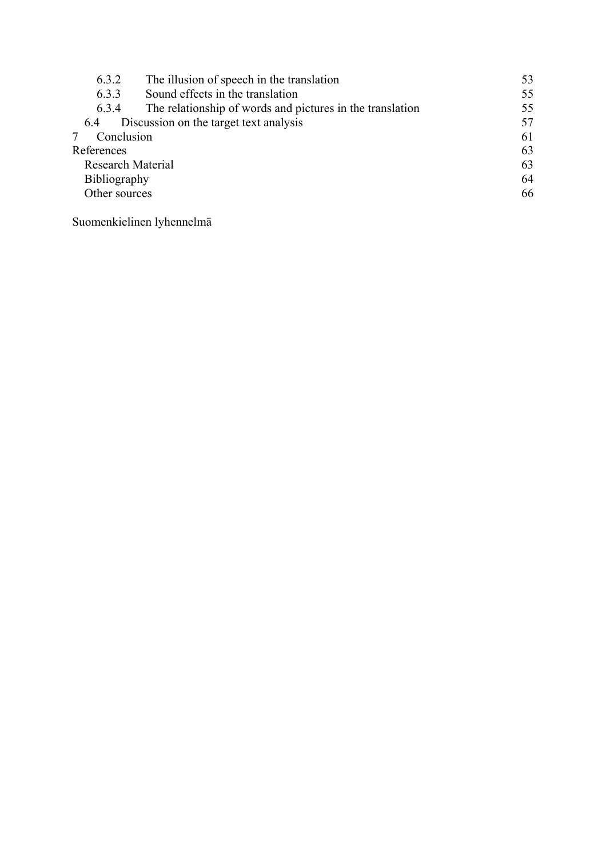| 6.3.2                    | The illusion of speech in the translation                 | 53 |
|--------------------------|-----------------------------------------------------------|----|
| 6.3.3                    | Sound effects in the translation                          | 55 |
| 6.3.4                    | The relationship of words and pictures in the translation | 55 |
| 6.4                      | Discussion on the target text analysis                    | 57 |
| Conclusion               |                                                           | 61 |
| References               |                                                           |    |
| <b>Research Material</b> |                                                           |    |
| <b>Bibliography</b>      |                                                           |    |
| Other sources            |                                                           | 66 |
|                          |                                                           |    |

Suomenkielinen lyhennelmä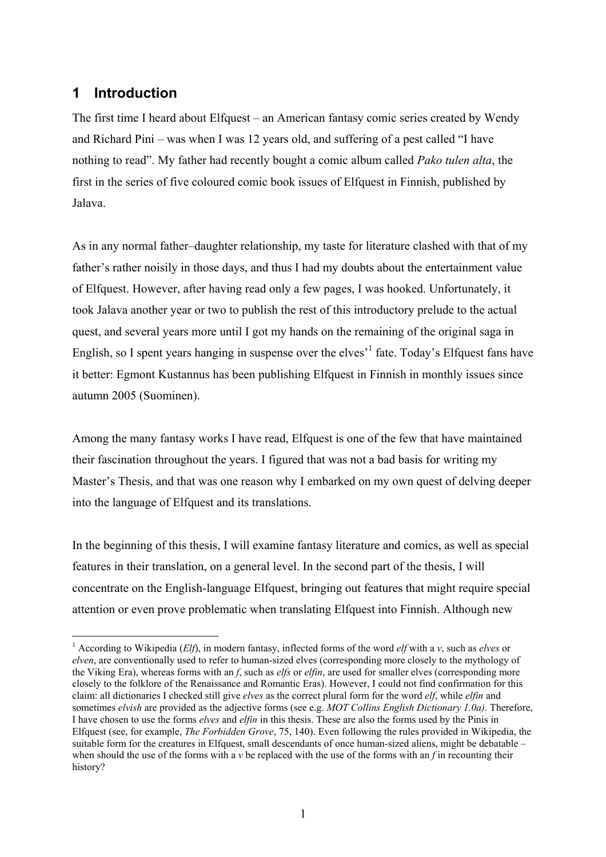# **1 Introduction**

 $\overline{a}$ 

The first time I heard about Elfquest – an American fantasy comic series created by Wendy and Richard Pini – was when I was 12 years old, and suffering of a pest called "I have nothing to read". My father had recently bought a comic album called *Pako tulen alta*, the first in the series of five coloured comic book issues of Elfquest in Finnish, published by Jalava.

As in any normal father–daughter relationship, my taste for literature clashed with that of my father's rather noisily in those days, and thus I had my doubts about the entertainment value of Elfquest. However, after having read only a few pages, I was hooked. Unfortunately, it took Jalava another year or two to publish the rest of this introductory prelude to the actual quest, and several years more until I got my hands on the remaining of the original saga in English, so I spent years hanging in suspense over the elves<sup> $1$ </sup> fate. Today's Elfquest fans have it better: Egmont Kustannus has been publishing Elfquest in Finnish in monthly issues since autumn 2005 (Suominen).

Among the many fantasy works I have read, Elfquest is one of the few that have maintained their fascination throughout the years. I figured that was not a bad basis for writing my Master's Thesis, and that was one reason why I embarked on my own quest of delving deeper into the language of Elfquest and its translations.

In the beginning of this thesis, I will examine fantasy literature and comics, as well as special features in their translation, on a general level. In the second part of the thesis, I will concentrate on the English-language Elfquest, bringing out features that might require special attention or even prove problematic when translating Elfquest into Finnish. Although new

<sup>&</sup>lt;sup>1</sup> According to Wikipedia (*Elf*), in modern fantasy, inflected forms of the word *elf* with a *v*, such as *elves* or *elven*, are conventionally used to refer to human-sized elves (corresponding more closely to the mythology of the Viking Era), whereas forms with an *f*, such as *elfs* or *elfin*, are used for smaller elves (corresponding more closely to the folklore of the Renaissance and Romantic Eras). However, I could not find confirmation for this claim: all dictionaries I checked still give *elves* as the correct plural form for the word *elf*, while *elfin* and sometimes *elvish* are provided as the adjective forms (see e.g. *MOT Collins English Dictionary 1.0a)*. Therefore, I have chosen to use the forms *elves* and *elfin* in this thesis. These are also the forms used by the Pinis in Elfquest (see, for example, *The Forbidden Grove*, 75, 140). Even following the rules provided in Wikipedia, the suitable form for the creatures in Elfquest, small descendants of once human-sized aliens, might be debatable – when should the use of the forms with a *v* be replaced with the use of the forms with an *f* in recounting their history?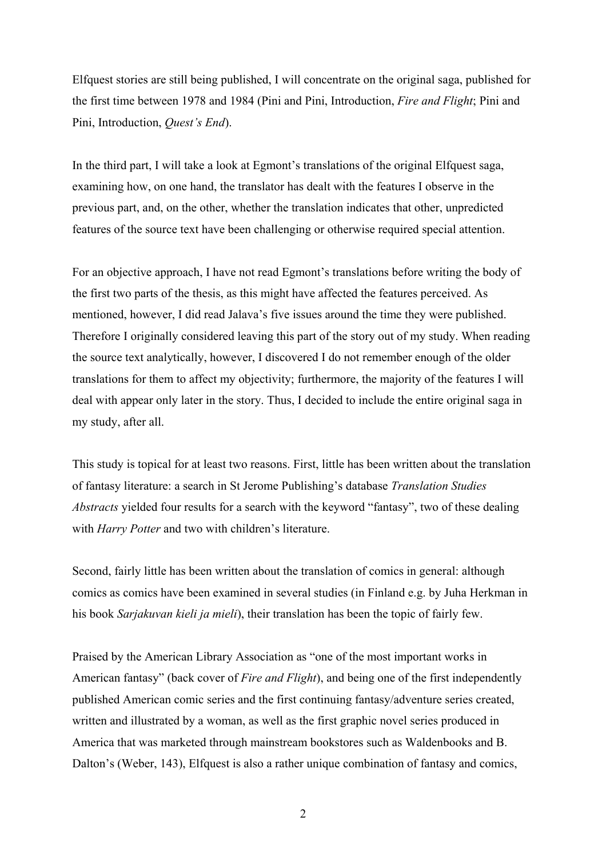Elfquest stories are still being published, I will concentrate on the original saga, published for the first time between 1978 and 1984 (Pini and Pini, Introduction, *Fire and Flight*; Pini and Pini, Introduction, *Quest's End*).

In the third part, I will take a look at Egmont's translations of the original Elfquest saga, examining how, on one hand, the translator has dealt with the features I observe in the previous part, and, on the other, whether the translation indicates that other, unpredicted features of the source text have been challenging or otherwise required special attention.

For an objective approach, I have not read Egmont's translations before writing the body of the first two parts of the thesis, as this might have affected the features perceived. As mentioned, however, I did read Jalava's five issues around the time they were published. Therefore I originally considered leaving this part of the story out of my study. When reading the source text analytically, however, I discovered I do not remember enough of the older translations for them to affect my objectivity; furthermore, the majority of the features I will deal with appear only later in the story. Thus, I decided to include the entire original saga in my study, after all.

This study is topical for at least two reasons. First, little has been written about the translation of fantasy literature: a search in St Jerome Publishing's database *Translation Studies Abstracts* yielded four results for a search with the keyword "fantasy", two of these dealing with *Harry Potter* and two with children's literature.

Second, fairly little has been written about the translation of comics in general: although comics as comics have been examined in several studies (in Finland e.g. by Juha Herkman in his book *Sarjakuvan kieli ja mieli*), their translation has been the topic of fairly few.

Praised by the American Library Association as "one of the most important works in American fantasy" (back cover of *Fire and Flight*), and being one of the first independently published American comic series and the first continuing fantasy/adventure series created, written and illustrated by a woman, as well as the first graphic novel series produced in America that was marketed through mainstream bookstores such as Waldenbooks and B. Dalton's (Weber, 143), Elfquest is also a rather unique combination of fantasy and comics,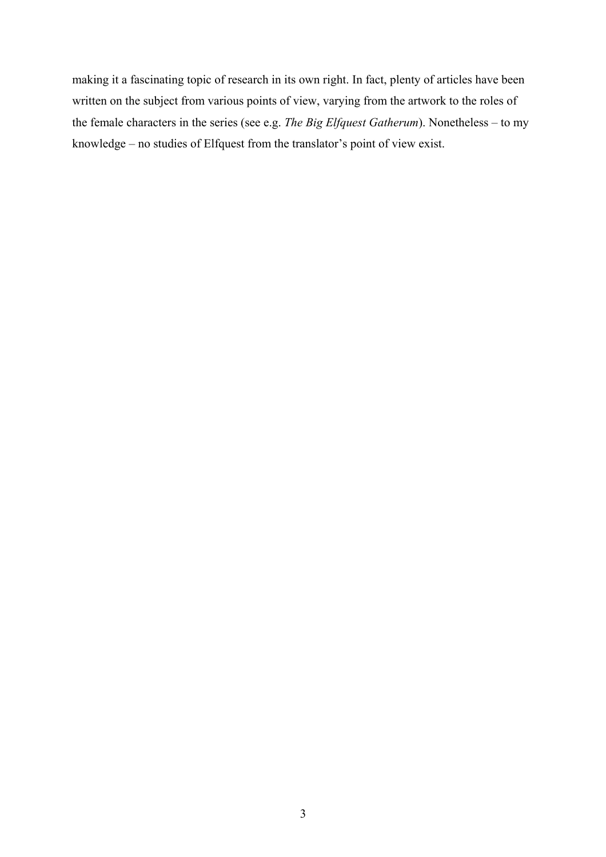making it a fascinating topic of research in its own right. In fact, plenty of articles have been written on the subject from various points of view, varying from the artwork to the roles of the female characters in the series (see e.g. *The Big Elfquest Gatherum*). Nonetheless – to my knowledge – no studies of Elfquest from the translator's point of view exist.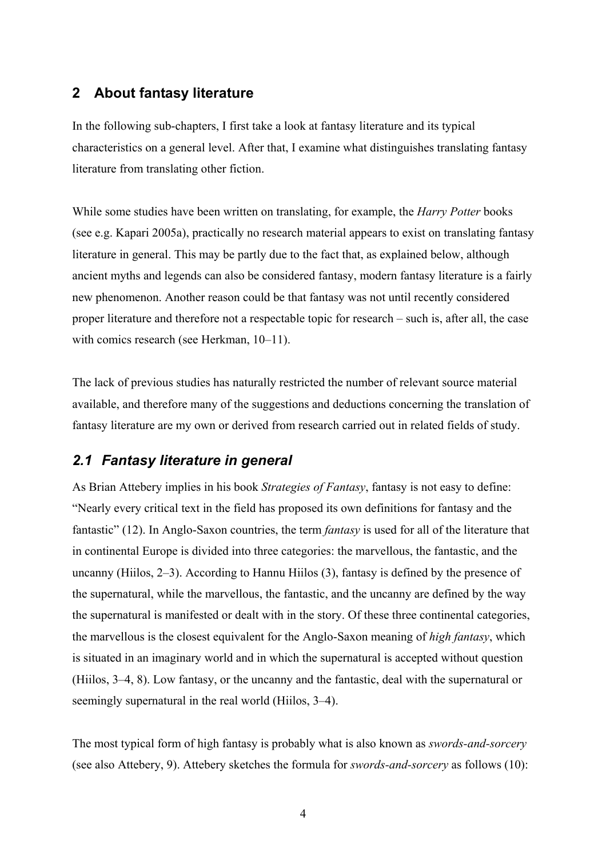# **2 About fantasy literature**

In the following sub-chapters, I first take a look at fantasy literature and its typical characteristics on a general level. After that, I examine what distinguishes translating fantasy literature from translating other fiction.

While some studies have been written on translating, for example, the *Harry Potter* books (see e.g. Kapari 2005a), practically no research material appears to exist on translating fantasy literature in general. This may be partly due to the fact that, as explained below, although ancient myths and legends can also be considered fantasy, modern fantasy literature is a fairly new phenomenon. Another reason could be that fantasy was not until recently considered proper literature and therefore not a respectable topic for research – such is, after all, the case with comics research (see Herkman, 10–11).

The lack of previous studies has naturally restricted the number of relevant source material available, and therefore many of the suggestions and deductions concerning the translation of fantasy literature are my own or derived from research carried out in related fields of study.

# *2.1 Fantasy literature in general*

As Brian Attebery implies in his book *Strategies of Fantasy*, fantasy is not easy to define: "Nearly every critical text in the field has proposed its own definitions for fantasy and the fantastic" (12). In Anglo-Saxon countries, the term *fantasy* is used for all of the literature that in continental Europe is divided into three categories: the marvellous, the fantastic, and the uncanny (Hiilos, 2–3). According to Hannu Hiilos (3), fantasy is defined by the presence of the supernatural, while the marvellous, the fantastic, and the uncanny are defined by the way the supernatural is manifested or dealt with in the story. Of these three continental categories, the marvellous is the closest equivalent for the Anglo-Saxon meaning of *high fantasy*, which is situated in an imaginary world and in which the supernatural is accepted without question (Hiilos, 3–4, 8). Low fantasy, or the uncanny and the fantastic, deal with the supernatural or seemingly supernatural in the real world (Hiilos, 3–4).

The most typical form of high fantasy is probably what is also known as *swords-and-sorcery* (see also Attebery, 9). Attebery sketches the formula for *swords-and-sorcery* as follows (10):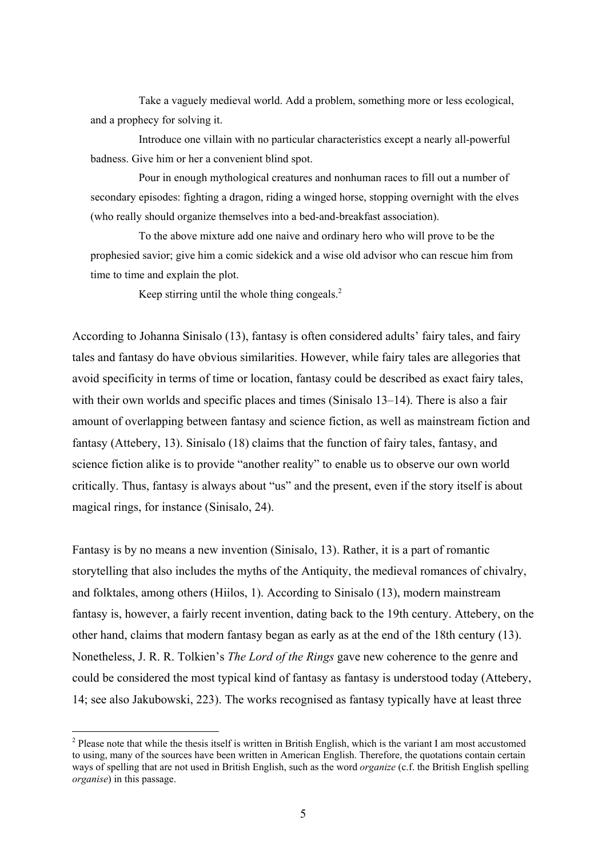Take a vaguely medieval world. Add a problem, something more or less ecological, and a prophecy for solving it.

Introduce one villain with no particular characteristics except a nearly all-powerful badness. Give him or her a convenient blind spot.

Pour in enough mythological creatures and nonhuman races to fill out a number of secondary episodes: fighting a dragon, riding a winged horse, stopping overnight with the elves (who really should organize themselves into a bed-and-breakfast association).

To the above mixture add one naive and ordinary hero who will prove to be the prophesied savior; give him a comic sidekick and a wise old advisor who can rescue him from time to time and explain the plot.

Keep stirring until the whole thing congeals.<sup>2</sup>

According to Johanna Sinisalo (13), fantasy is often considered adults' fairy tales, and fairy tales and fantasy do have obvious similarities. However, while fairy tales are allegories that avoid specificity in terms of time or location, fantasy could be described as exact fairy tales, with their own worlds and specific places and times (Sinisalo 13–14). There is also a fair amount of overlapping between fantasy and science fiction, as well as mainstream fiction and fantasy (Attebery, 13). Sinisalo (18) claims that the function of fairy tales, fantasy, and science fiction alike is to provide "another reality" to enable us to observe our own world critically. Thus, fantasy is always about "us" and the present, even if the story itself is about magical rings, for instance (Sinisalo, 24).

Fantasy is by no means a new invention (Sinisalo, 13). Rather, it is a part of romantic storytelling that also includes the myths of the Antiquity, the medieval romances of chivalry, and folktales, among others (Hiilos, 1). According to Sinisalo (13), modern mainstream fantasy is, however, a fairly recent invention, dating back to the 19th century. Attebery, on the other hand, claims that modern fantasy began as early as at the end of the 18th century (13). Nonetheless, J. R. R. Tolkien's *The Lord of the Rings* gave new coherence to the genre and could be considered the most typical kind of fantasy as fantasy is understood today (Attebery, 14; see also Jakubowski, 223). The works recognised as fantasy typically have at least three

 $\overline{a}$ 

 $2$  Please note that while the thesis itself is written in British English, which is the variant I am most accustomed to using, many of the sources have been written in American English. Therefore, the quotations contain certain ways of spelling that are not used in British English, such as the word *organize* (c.f. the British English spelling *organise*) in this passage.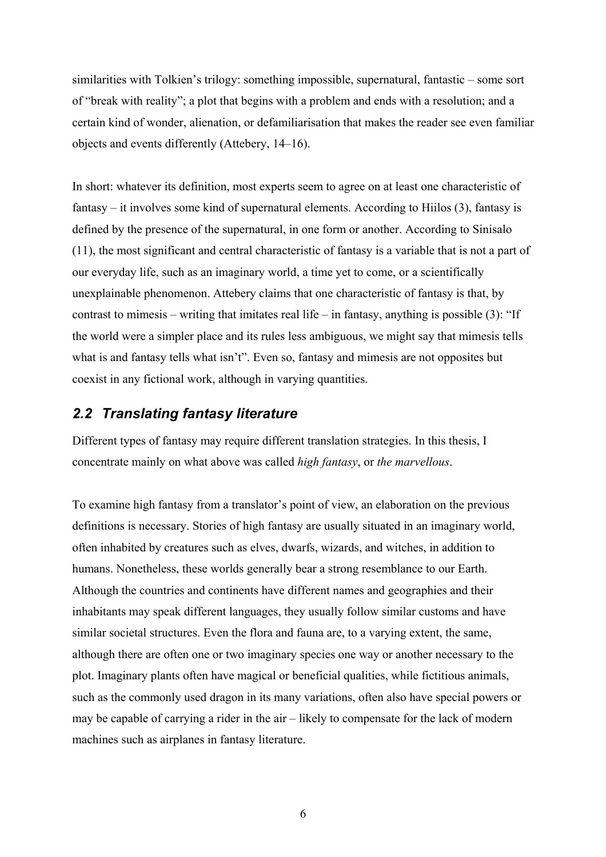similarities with Tolkien's trilogy: something impossible, supernatural, fantastic – some sort of "break with reality"; a plot that begins with a problem and ends with a resolution; and a certain kind of wonder, alienation, or defamiliarisation that makes the reader see even familiar objects and events differently (Attebery, 14–16).

In short: whatever its definition, most experts seem to agree on at least one characteristic of fantasy – it involves some kind of supernatural elements. According to Hiilos (3), fantasy is defined by the presence of the supernatural, in one form or another. According to Sinisalo (11), the most significant and central characteristic of fantasy is a variable that is not a part of our everyday life, such as an imaginary world, a time yet to come, or a scientifically unexplainable phenomenon. Attebery claims that one characteristic of fantasy is that, by contrast to mimesis – writing that imitates real life – in fantasy, anything is possible (3): "If the world were a simpler place and its rules less ambiguous, we might say that mimesis tells what is and fantasy tells what isn't". Even so, fantasy and mimesis are not opposites but coexist in any fictional work, although in varying quantities.

# *2.2 Translating fantasy literature*

Different types of fantasy may require different translation strategies. In this thesis, I concentrate mainly on what above was called *high fantasy*, or *the marvellous*.

To examine high fantasy from a translator's point of view, an elaboration on the previous definitions is necessary. Stories of high fantasy are usually situated in an imaginary world, often inhabited by creatures such as elves, dwarfs, wizards, and witches, in addition to humans. Nonetheless, these worlds generally bear a strong resemblance to our Earth. Although the countries and continents have different names and geographies and their inhabitants may speak different languages, they usually follow similar customs and have similar societal structures. Even the flora and fauna are, to a varying extent, the same, although there are often one or two imaginary species one way or another necessary to the plot. Imaginary plants often have magical or beneficial qualities, while fictitious animals, such as the commonly used dragon in its many variations, often also have special powers or may be capable of carrying a rider in the air – likely to compensate for the lack of modern machines such as airplanes in fantasy literature.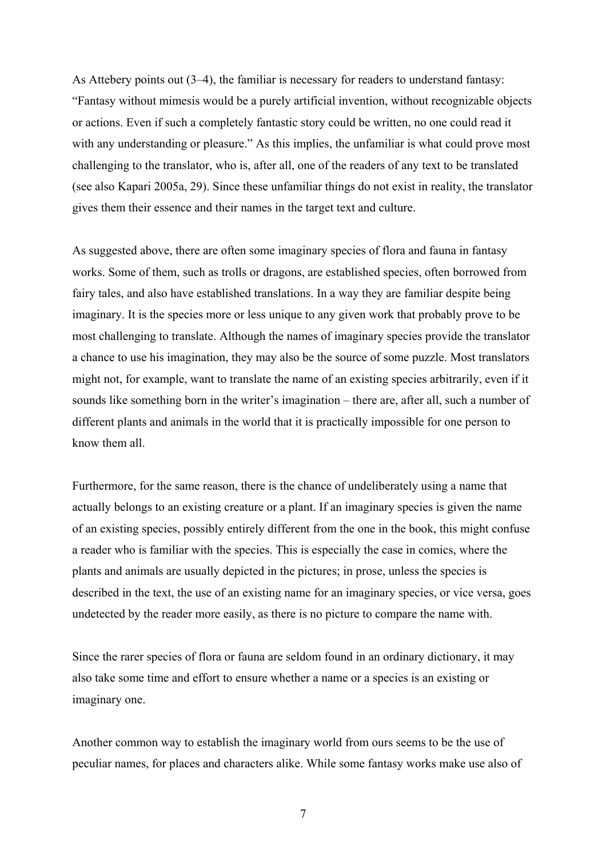As Attebery points out (3–4), the familiar is necessary for readers to understand fantasy: "Fantasy without mimesis would be a purely artificial invention, without recognizable objects or actions. Even if such a completely fantastic story could be written, no one could read it with any understanding or pleasure." As this implies, the unfamiliar is what could prove most challenging to the translator, who is, after all, one of the readers of any text to be translated (see also Kapari 2005a, 29). Since these unfamiliar things do not exist in reality, the translator gives them their essence and their names in the target text and culture.

As suggested above, there are often some imaginary species of flora and fauna in fantasy works. Some of them, such as trolls or dragons, are established species, often borrowed from fairy tales, and also have established translations. In a way they are familiar despite being imaginary. It is the species more or less unique to any given work that probably prove to be most challenging to translate. Although the names of imaginary species provide the translator a chance to use his imagination, they may also be the source of some puzzle. Most translators might not, for example, want to translate the name of an existing species arbitrarily, even if it sounds like something born in the writer's imagination – there are, after all, such a number of different plants and animals in the world that it is practically impossible for one person to know them all.

Furthermore, for the same reason, there is the chance of undeliberately using a name that actually belongs to an existing creature or a plant. If an imaginary species is given the name of an existing species, possibly entirely different from the one in the book, this might confuse a reader who is familiar with the species. This is especially the case in comics, where the plants and animals are usually depicted in the pictures; in prose, unless the species is described in the text, the use of an existing name for an imaginary species, or vice versa, goes undetected by the reader more easily, as there is no picture to compare the name with.

Since the rarer species of flora or fauna are seldom found in an ordinary dictionary, it may also take some time and effort to ensure whether a name or a species is an existing or imaginary one.

Another common way to establish the imaginary world from ours seems to be the use of peculiar names, for places and characters alike. While some fantasy works make use also of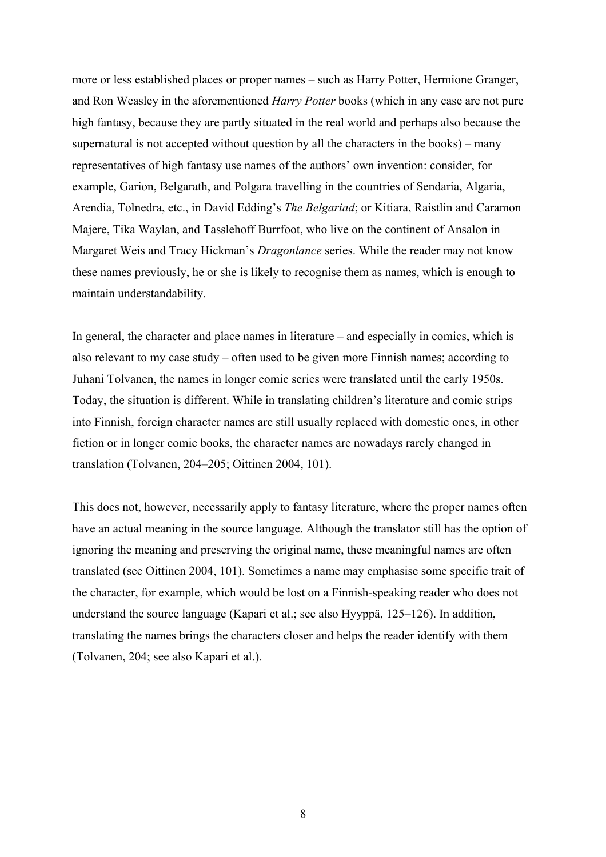more or less established places or proper names – such as Harry Potter, Hermione Granger, and Ron Weasley in the aforementioned *Harry Potter* books (which in any case are not pure high fantasy, because they are partly situated in the real world and perhaps also because the supernatural is not accepted without question by all the characters in the books) – many representatives of high fantasy use names of the authors' own invention: consider, for example, Garion, Belgarath, and Polgara travelling in the countries of Sendaria, Algaria, Arendia, Tolnedra, etc., in David Edding's *The Belgariad*; or Kitiara, Raistlin and Caramon Majere, Tika Waylan, and Tasslehoff Burrfoot, who live on the continent of Ansalon in Margaret Weis and Tracy Hickman's *Dragonlance* series. While the reader may not know these names previously, he or she is likely to recognise them as names, which is enough to maintain understandability.

In general, the character and place names in literature – and especially in comics, which is also relevant to my case study – often used to be given more Finnish names; according to Juhani Tolvanen, the names in longer comic series were translated until the early 1950s. Today, the situation is different. While in translating children's literature and comic strips into Finnish, foreign character names are still usually replaced with domestic ones, in other fiction or in longer comic books, the character names are nowadays rarely changed in translation (Tolvanen, 204–205; Oittinen 2004, 101).

This does not, however, necessarily apply to fantasy literature, where the proper names often have an actual meaning in the source language. Although the translator still has the option of ignoring the meaning and preserving the original name, these meaningful names are often translated (see Oittinen 2004, 101). Sometimes a name may emphasise some specific trait of the character, for example, which would be lost on a Finnish-speaking reader who does not understand the source language (Kapari et al.; see also Hyyppä, 125–126). In addition, translating the names brings the characters closer and helps the reader identify with them (Tolvanen, 204; see also Kapari et al.).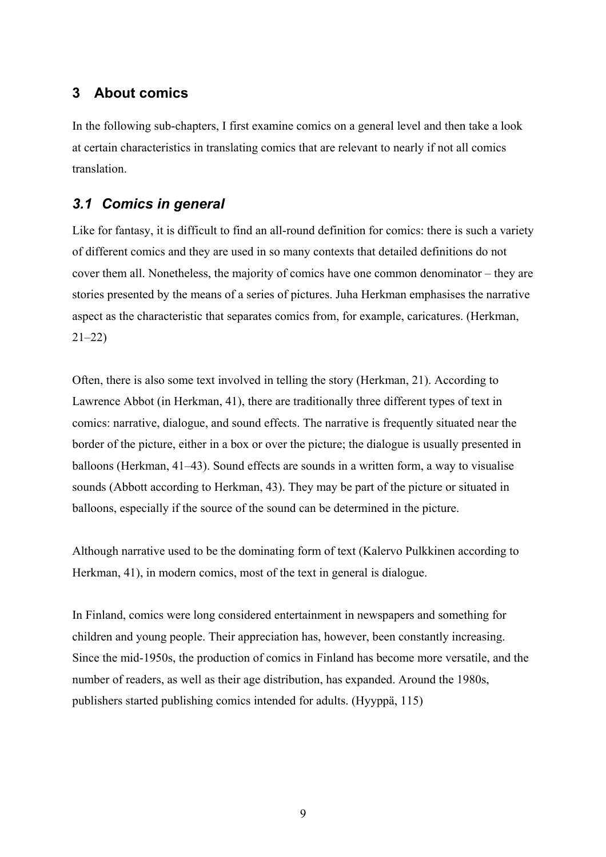# **3 About comics**

In the following sub-chapters, I first examine comics on a general level and then take a look at certain characteristics in translating comics that are relevant to nearly if not all comics translation.

# *3.1 Comics in general*

Like for fantasy, it is difficult to find an all-round definition for comics: there is such a variety of different comics and they are used in so many contexts that detailed definitions do not cover them all. Nonetheless, the majority of comics have one common denominator – they are stories presented by the means of a series of pictures. Juha Herkman emphasises the narrative aspect as the characteristic that separates comics from, for example, caricatures. (Herkman, 21–22)

Often, there is also some text involved in telling the story (Herkman, 21). According to Lawrence Abbot (in Herkman, 41), there are traditionally three different types of text in comics: narrative, dialogue, and sound effects. The narrative is frequently situated near the border of the picture, either in a box or over the picture; the dialogue is usually presented in balloons (Herkman, 41–43). Sound effects are sounds in a written form, a way to visualise sounds (Abbott according to Herkman, 43). They may be part of the picture or situated in balloons, especially if the source of the sound can be determined in the picture.

Although narrative used to be the dominating form of text (Kalervo Pulkkinen according to Herkman, 41), in modern comics, most of the text in general is dialogue.

In Finland, comics were long considered entertainment in newspapers and something for children and young people. Their appreciation has, however, been constantly increasing. Since the mid-1950s, the production of comics in Finland has become more versatile, and the number of readers, as well as their age distribution, has expanded. Around the 1980s, publishers started publishing comics intended for adults. (Hyyppä, 115)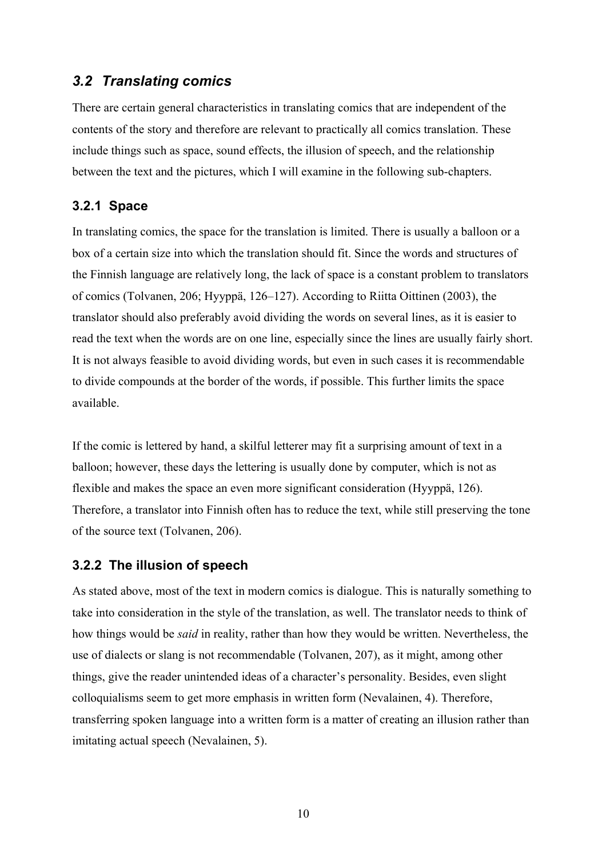# *3.2 Translating comics*

There are certain general characteristics in translating comics that are independent of the contents of the story and therefore are relevant to practically all comics translation. These include things such as space, sound effects, the illusion of speech, and the relationship between the text and the pictures, which I will examine in the following sub-chapters.

#### **3.2.1 Space**

In translating comics, the space for the translation is limited. There is usually a balloon or a box of a certain size into which the translation should fit. Since the words and structures of the Finnish language are relatively long, the lack of space is a constant problem to translators of comics (Tolvanen, 206; Hyyppä, 126–127). According to Riitta Oittinen (2003), the translator should also preferably avoid dividing the words on several lines, as it is easier to read the text when the words are on one line, especially since the lines are usually fairly short. It is not always feasible to avoid dividing words, but even in such cases it is recommendable to divide compounds at the border of the words, if possible. This further limits the space available.

If the comic is lettered by hand, a skilful letterer may fit a surprising amount of text in a balloon; however, these days the lettering is usually done by computer, which is not as flexible and makes the space an even more significant consideration (Hyyppä, 126). Therefore, a translator into Finnish often has to reduce the text, while still preserving the tone of the source text (Tolvanen, 206).

#### **3.2.2 The illusion of speech**

As stated above, most of the text in modern comics is dialogue. This is naturally something to take into consideration in the style of the translation, as well. The translator needs to think of how things would be *said* in reality, rather than how they would be written. Nevertheless, the use of dialects or slang is not recommendable (Tolvanen, 207), as it might, among other things, give the reader unintended ideas of a character's personality. Besides, even slight colloquialisms seem to get more emphasis in written form (Nevalainen, 4). Therefore, transferring spoken language into a written form is a matter of creating an illusion rather than imitating actual speech (Nevalainen, 5).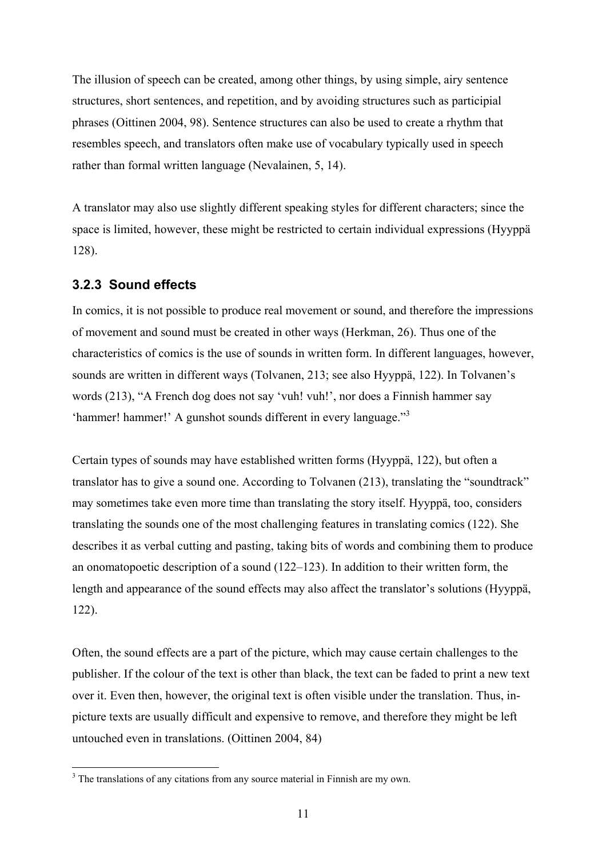The illusion of speech can be created, among other things, by using simple, airy sentence structures, short sentences, and repetition, and by avoiding structures such as participial phrases (Oittinen 2004, 98). Sentence structures can also be used to create a rhythm that resembles speech, and translators often make use of vocabulary typically used in speech rather than formal written language (Nevalainen, 5, 14).

A translator may also use slightly different speaking styles for different characters; since the space is limited, however, these might be restricted to certain individual expressions (Hyyppä 128).

#### **3.2.3 Sound effects**

 $\overline{a}$ 

In comics, it is not possible to produce real movement or sound, and therefore the impressions of movement and sound must be created in other ways (Herkman, 26). Thus one of the characteristics of comics is the use of sounds in written form. In different languages, however, sounds are written in different ways (Tolvanen, 213; see also Hyyppä, 122). In Tolvanen's words (213), "A French dog does not say 'vuh! vuh!', nor does a Finnish hammer say 'hammer! hammer!' A gunshot sounds different in every language."<sup>3</sup>

Certain types of sounds may have established written forms (Hyyppä, 122), but often a translator has to give a sound one. According to Tolvanen (213), translating the "soundtrack" may sometimes take even more time than translating the story itself. Hyyppä, too, considers translating the sounds one of the most challenging features in translating comics (122). She describes it as verbal cutting and pasting, taking bits of words and combining them to produce an onomatopoetic description of a sound (122–123). In addition to their written form, the length and appearance of the sound effects may also affect the translator's solutions (Hyyppä, 122).

Often, the sound effects are a part of the picture, which may cause certain challenges to the publisher. If the colour of the text is other than black, the text can be faded to print a new text over it. Even then, however, the original text is often visible under the translation. Thus, inpicture texts are usually difficult and expensive to remove, and therefore they might be left untouched even in translations. (Oittinen 2004, 84)

<sup>&</sup>lt;sup>3</sup> The translations of any citations from any source material in Finnish are my own.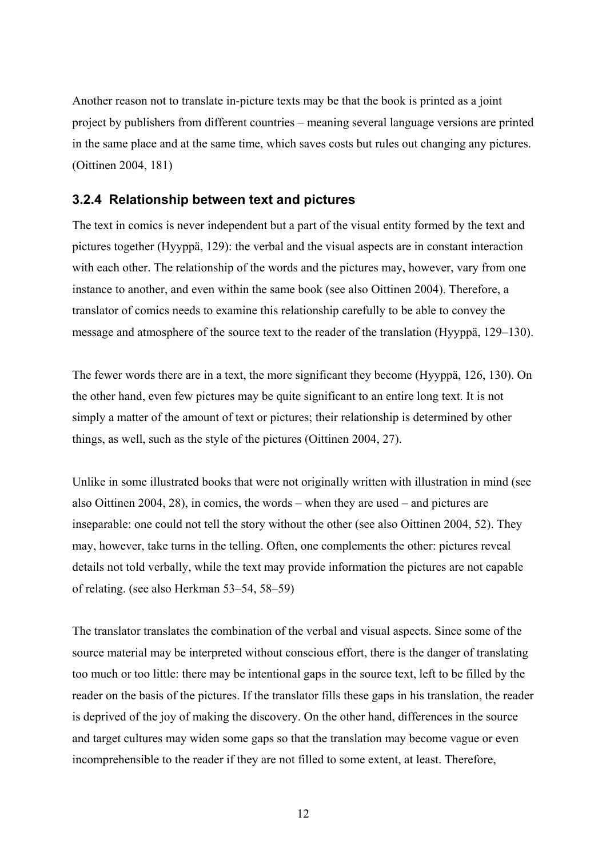Another reason not to translate in-picture texts may be that the book is printed as a joint project by publishers from different countries – meaning several language versions are printed in the same place and at the same time, which saves costs but rules out changing any pictures. (Oittinen 2004, 181)

## **3.2.4 Relationship between text and pictures**

The text in comics is never independent but a part of the visual entity formed by the text and pictures together (Hyyppä, 129): the verbal and the visual aspects are in constant interaction with each other. The relationship of the words and the pictures may, however, vary from one instance to another, and even within the same book (see also Oittinen 2004). Therefore, a translator of comics needs to examine this relationship carefully to be able to convey the message and atmosphere of the source text to the reader of the translation (Hyyppä, 129–130).

The fewer words there are in a text, the more significant they become (Hyyppä, 126, 130). On the other hand, even few pictures may be quite significant to an entire long text. It is not simply a matter of the amount of text or pictures; their relationship is determined by other things, as well, such as the style of the pictures (Oittinen 2004, 27).

Unlike in some illustrated books that were not originally written with illustration in mind (see also Oittinen 2004, 28), in comics, the words – when they are used – and pictures are inseparable: one could not tell the story without the other (see also Oittinen 2004, 52). They may, however, take turns in the telling. Often, one complements the other: pictures reveal details not told verbally, while the text may provide information the pictures are not capable of relating. (see also Herkman 53–54, 58–59)

The translator translates the combination of the verbal and visual aspects. Since some of the source material may be interpreted without conscious effort, there is the danger of translating too much or too little: there may be intentional gaps in the source text, left to be filled by the reader on the basis of the pictures. If the translator fills these gaps in his translation, the reader is deprived of the joy of making the discovery. On the other hand, differences in the source and target cultures may widen some gaps so that the translation may become vague or even incomprehensible to the reader if they are not filled to some extent, at least. Therefore,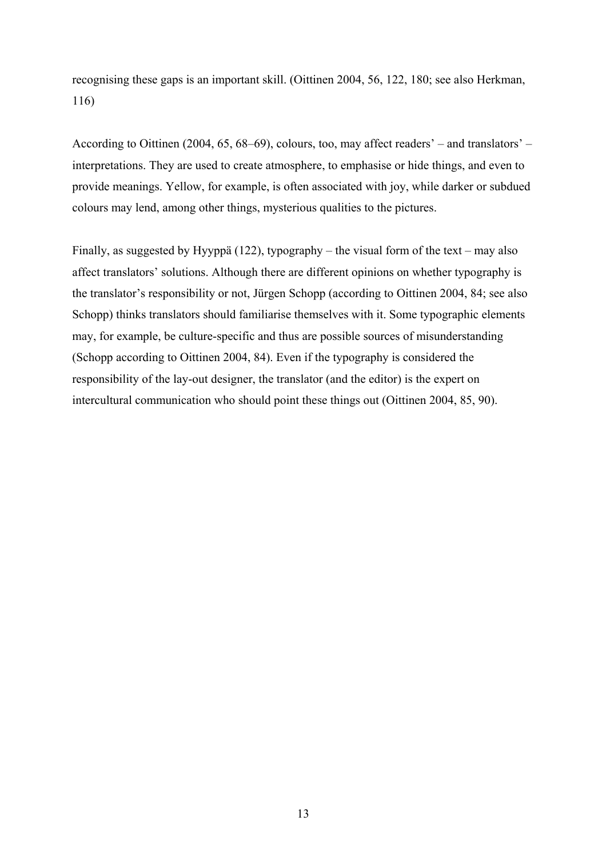recognising these gaps is an important skill. (Oittinen 2004, 56, 122, 180; see also Herkman, 116)

According to Oittinen (2004, 65, 68–69), colours, too, may affect readers' – and translators' – interpretations. They are used to create atmosphere, to emphasise or hide things, and even to provide meanings. Yellow, for example, is often associated with joy, while darker or subdued colours may lend, among other things, mysterious qualities to the pictures.

Finally, as suggested by Hyyppä (122), typography – the visual form of the text – may also affect translators' solutions. Although there are different opinions on whether typography is the translator's responsibility or not, Jürgen Schopp (according to Oittinen 2004, 84; see also Schopp) thinks translators should familiarise themselves with it. Some typographic elements may, for example, be culture-specific and thus are possible sources of misunderstanding (Schopp according to Oittinen 2004, 84). Even if the typography is considered the responsibility of the lay-out designer, the translator (and the editor) is the expert on intercultural communication who should point these things out (Oittinen 2004, 85, 90).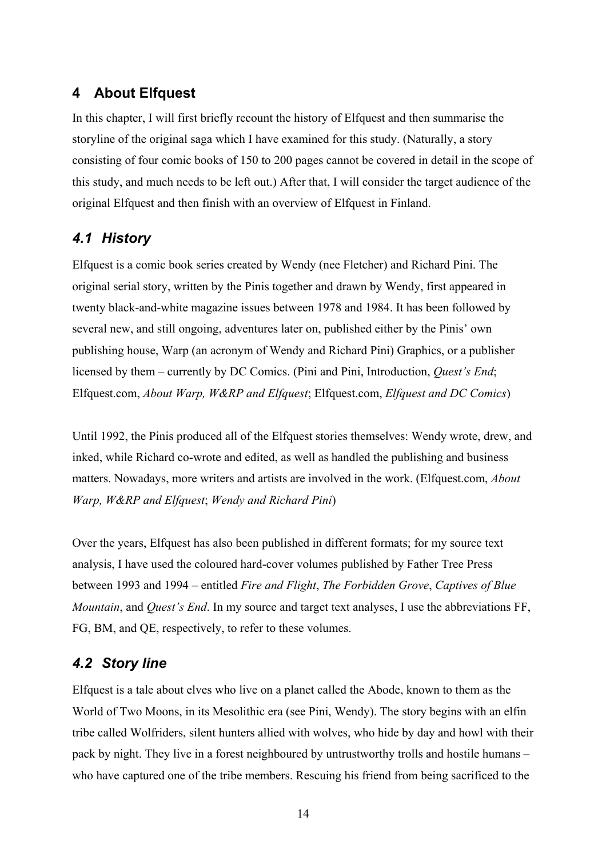# **4 About Elfquest**

In this chapter, I will first briefly recount the history of Elfquest and then summarise the storyline of the original saga which I have examined for this study. (Naturally, a story consisting of four comic books of 150 to 200 pages cannot be covered in detail in the scope of this study, and much needs to be left out.) After that, I will consider the target audience of the original Elfquest and then finish with an overview of Elfquest in Finland.

# *4.1 History*

Elfquest is a comic book series created by Wendy (nee Fletcher) and Richard Pini. The original serial story, written by the Pinis together and drawn by Wendy, first appeared in twenty black-and-white magazine issues between 1978 and 1984. It has been followed by several new, and still ongoing, adventures later on, published either by the Pinis' own publishing house, Warp (an acronym of Wendy and Richard Pini) Graphics, or a publisher licensed by them – currently by DC Comics. (Pini and Pini, Introduction, *Quest's End*; Elfquest.com, *About Warp, W&RP and Elfquest*; Elfquest.com, *Elfquest and DC Comics*)

Until 1992, the Pinis produced all of the Elfquest stories themselves: Wendy wrote, drew, and inked, while Richard co-wrote and edited, as well as handled the publishing and business matters. Nowadays, more writers and artists are involved in the work. (Elfquest.com, *About Warp, W&RP and Elfquest*; *Wendy and Richard Pini*)

Over the years, Elfquest has also been published in different formats; for my source text analysis, I have used the coloured hard-cover volumes published by Father Tree Press between 1993 and 1994 – entitled *Fire and Flight*, *The Forbidden Grove*, *Captives of Blue Mountain*, and *Quest's End*. In my source and target text analyses, I use the abbreviations FF, FG, BM, and QE, respectively, to refer to these volumes.

# *4.2 Story line*

Elfquest is a tale about elves who live on a planet called the Abode, known to them as the World of Two Moons, in its Mesolithic era (see Pini, Wendy). The story begins with an elfin tribe called Wolfriders, silent hunters allied with wolves, who hide by day and howl with their pack by night. They live in a forest neighboured by untrustworthy trolls and hostile humans – who have captured one of the tribe members. Rescuing his friend from being sacrificed to the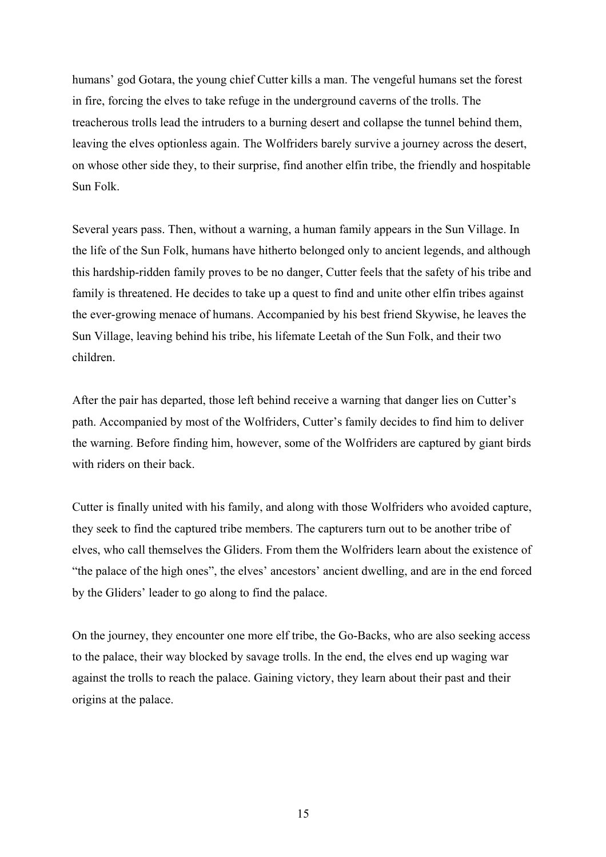humans' god Gotara, the young chief Cutter kills a man. The vengeful humans set the forest in fire, forcing the elves to take refuge in the underground caverns of the trolls. The treacherous trolls lead the intruders to a burning desert and collapse the tunnel behind them, leaving the elves optionless again. The Wolfriders barely survive a journey across the desert, on whose other side they, to their surprise, find another elfin tribe, the friendly and hospitable Sun Folk.

Several years pass. Then, without a warning, a human family appears in the Sun Village. In the life of the Sun Folk, humans have hitherto belonged only to ancient legends, and although this hardship-ridden family proves to be no danger, Cutter feels that the safety of his tribe and family is threatened. He decides to take up a quest to find and unite other elfin tribes against the ever-growing menace of humans. Accompanied by his best friend Skywise, he leaves the Sun Village, leaving behind his tribe, his lifemate Leetah of the Sun Folk, and their two children.

After the pair has departed, those left behind receive a warning that danger lies on Cutter's path. Accompanied by most of the Wolfriders, Cutter's family decides to find him to deliver the warning. Before finding him, however, some of the Wolfriders are captured by giant birds with riders on their back.

Cutter is finally united with his family, and along with those Wolfriders who avoided capture, they seek to find the captured tribe members. The capturers turn out to be another tribe of elves, who call themselves the Gliders. From them the Wolfriders learn about the existence of "the palace of the high ones", the elves' ancestors' ancient dwelling, and are in the end forced by the Gliders' leader to go along to find the palace.

On the journey, they encounter one more elf tribe, the Go-Backs, who are also seeking access to the palace, their way blocked by savage trolls. In the end, the elves end up waging war against the trolls to reach the palace. Gaining victory, they learn about their past and their origins at the palace.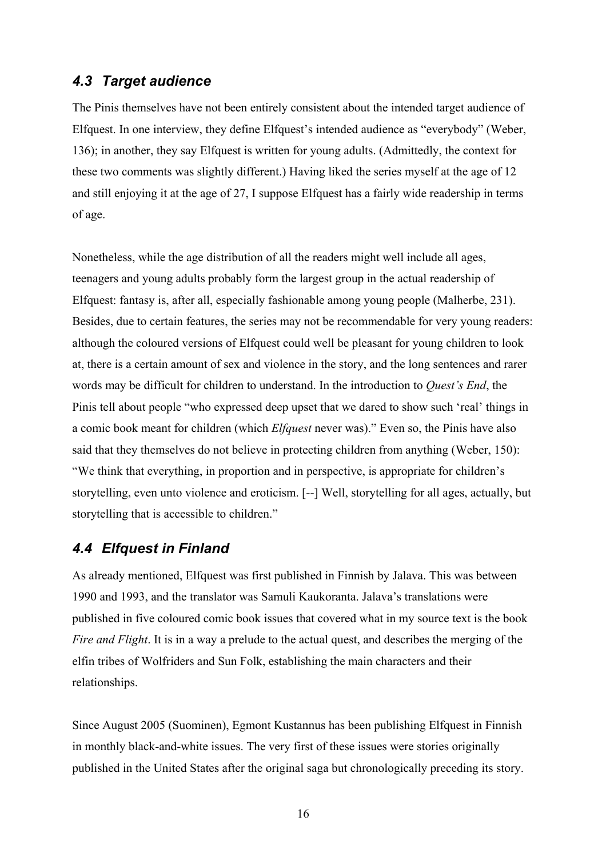# *4.3 Target audience*

The Pinis themselves have not been entirely consistent about the intended target audience of Elfquest. In one interview, they define Elfquest's intended audience as "everybody" (Weber, 136); in another, they say Elfquest is written for young adults. (Admittedly, the context for these two comments was slightly different.) Having liked the series myself at the age of 12 and still enjoying it at the age of 27, I suppose Elfquest has a fairly wide readership in terms of age.

Nonetheless, while the age distribution of all the readers might well include all ages, teenagers and young adults probably form the largest group in the actual readership of Elfquest: fantasy is, after all, especially fashionable among young people (Malherbe, 231). Besides, due to certain features, the series may not be recommendable for very young readers: although the coloured versions of Elfquest could well be pleasant for young children to look at, there is a certain amount of sex and violence in the story, and the long sentences and rarer words may be difficult for children to understand. In the introduction to *Quest's End*, the Pinis tell about people "who expressed deep upset that we dared to show such 'real' things in a comic book meant for children (which *Elfquest* never was)." Even so, the Pinis have also said that they themselves do not believe in protecting children from anything (Weber, 150): "We think that everything, in proportion and in perspective, is appropriate for children's storytelling, even unto violence and eroticism. [--] Well, storytelling for all ages, actually, but storytelling that is accessible to children."

# *4.4 Elfquest in Finland*

As already mentioned, Elfquest was first published in Finnish by Jalava. This was between 1990 and 1993, and the translator was Samuli Kaukoranta. Jalava's translations were published in five coloured comic book issues that covered what in my source text is the book *Fire and Flight*. It is in a way a prelude to the actual quest, and describes the merging of the elfin tribes of Wolfriders and Sun Folk, establishing the main characters and their relationships.

Since August 2005 (Suominen), Egmont Kustannus has been publishing Elfquest in Finnish in monthly black-and-white issues. The very first of these issues were stories originally published in the United States after the original saga but chronologically preceding its story.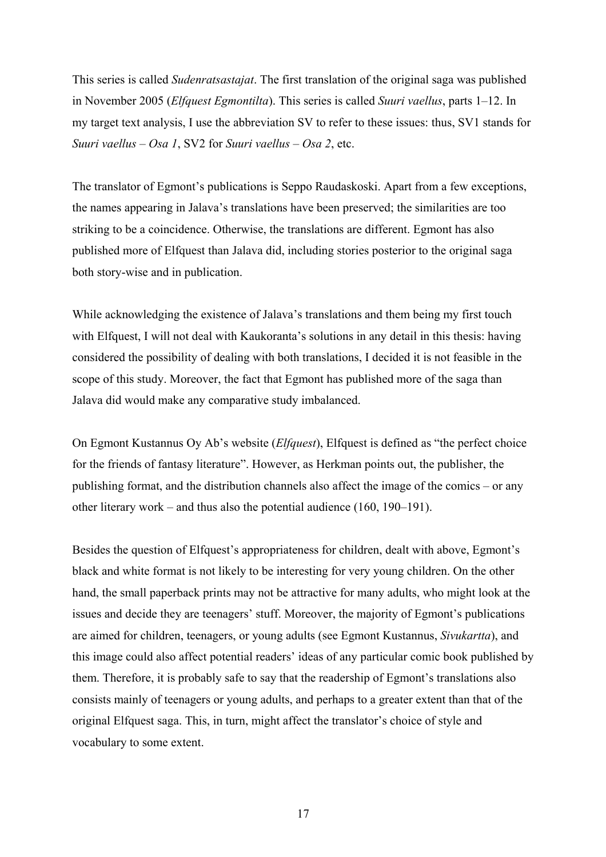This series is called *Sudenratsastajat*. The first translation of the original saga was published in November 2005 (*Elfquest Egmontilta*). This series is called *Suuri vaellus*, parts 1–12. In my target text analysis, I use the abbreviation SV to refer to these issues: thus, SV1 stands for *Suuri vaellus – Osa 1*, SV2 for *Suuri vaellus – Osa 2*, etc.

The translator of Egmont's publications is Seppo Raudaskoski. Apart from a few exceptions, the names appearing in Jalava's translations have been preserved; the similarities are too striking to be a coincidence. Otherwise, the translations are different. Egmont has also published more of Elfquest than Jalava did, including stories posterior to the original saga both story-wise and in publication.

While acknowledging the existence of Jalava's translations and them being my first touch with Elfquest, I will not deal with Kaukoranta's solutions in any detail in this thesis: having considered the possibility of dealing with both translations, I decided it is not feasible in the scope of this study. Moreover, the fact that Egmont has published more of the saga than Jalava did would make any comparative study imbalanced.

On Egmont Kustannus Oy Ab's website (*Elfquest*), Elfquest is defined as "the perfect choice for the friends of fantasy literature". However, as Herkman points out, the publisher, the publishing format, and the distribution channels also affect the image of the comics – or any other literary work – and thus also the potential audience (160, 190–191).

Besides the question of Elfquest's appropriateness for children, dealt with above, Egmont's black and white format is not likely to be interesting for very young children. On the other hand, the small paperback prints may not be attractive for many adults, who might look at the issues and decide they are teenagers' stuff. Moreover, the majority of Egmont's publications are aimed for children, teenagers, or young adults (see Egmont Kustannus, *Sivukartta*), and this image could also affect potential readers' ideas of any particular comic book published by them. Therefore, it is probably safe to say that the readership of Egmont's translations also consists mainly of teenagers or young adults, and perhaps to a greater extent than that of the original Elfquest saga. This, in turn, might affect the translator's choice of style and vocabulary to some extent.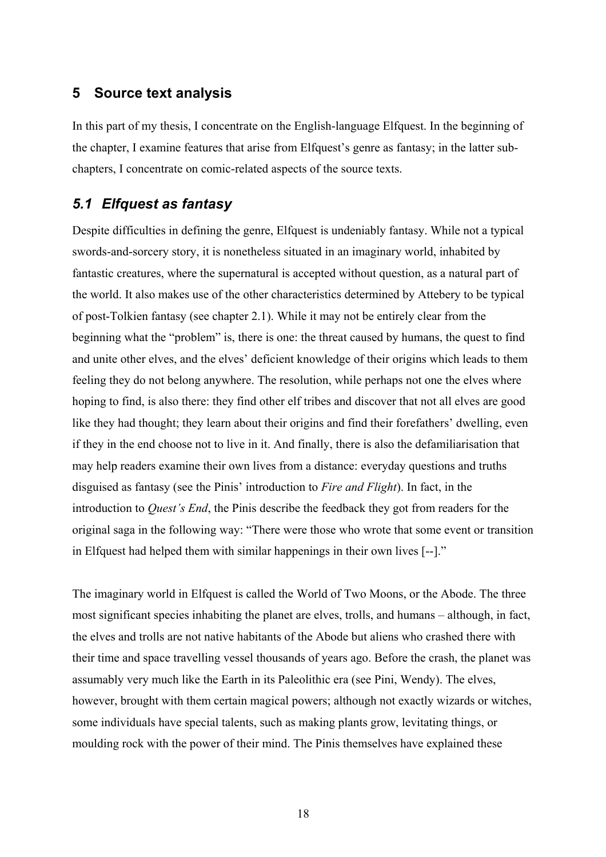### **5 Source text analysis**

In this part of my thesis, I concentrate on the English-language Elfquest. In the beginning of the chapter, I examine features that arise from Elfquest's genre as fantasy; in the latter subchapters, I concentrate on comic-related aspects of the source texts.

## *5.1 Elfquest as fantasy*

Despite difficulties in defining the genre. Elfquest is undeniably fantasy. While not a typical swords-and-sorcery story, it is nonetheless situated in an imaginary world, inhabited by fantastic creatures, where the supernatural is accepted without question, as a natural part of the world. It also makes use of the other characteristics determined by Attebery to be typical of post-Tolkien fantasy (see chapter 2.1). While it may not be entirely clear from the beginning what the "problem" is, there is one: the threat caused by humans, the quest to find and unite other elves, and the elves' deficient knowledge of their origins which leads to them feeling they do not belong anywhere. The resolution, while perhaps not one the elves where hoping to find, is also there: they find other elf tribes and discover that not all elves are good like they had thought; they learn about their origins and find their forefathers' dwelling, even if they in the end choose not to live in it. And finally, there is also the defamiliarisation that may help readers examine their own lives from a distance: everyday questions and truths disguised as fantasy (see the Pinis' introduction to *Fire and Flight*). In fact, in the introduction to *Quest's End*, the Pinis describe the feedback they got from readers for the original saga in the following way: "There were those who wrote that some event or transition in Elfquest had helped them with similar happenings in their own lives [--]."

The imaginary world in Elfquest is called the World of Two Moons, or the Abode. The three most significant species inhabiting the planet are elves, trolls, and humans – although, in fact, the elves and trolls are not native habitants of the Abode but aliens who crashed there with their time and space travelling vessel thousands of years ago. Before the crash, the planet was assumably very much like the Earth in its Paleolithic era (see Pini, Wendy). The elves, however, brought with them certain magical powers; although not exactly wizards or witches, some individuals have special talents, such as making plants grow, levitating things, or moulding rock with the power of their mind. The Pinis themselves have explained these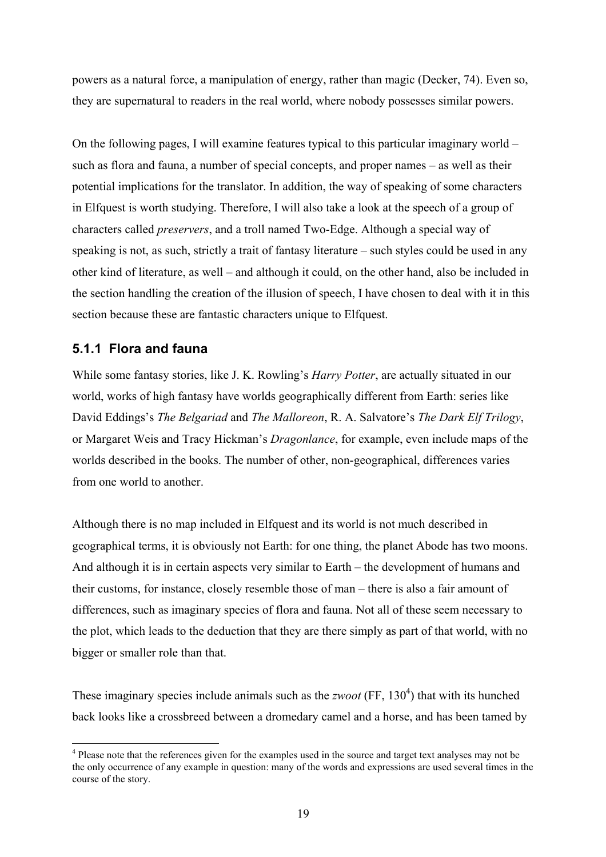powers as a natural force, a manipulation of energy, rather than magic (Decker, 74). Even so, they are supernatural to readers in the real world, where nobody possesses similar powers.

On the following pages, I will examine features typical to this particular imaginary world – such as flora and fauna, a number of special concepts, and proper names – as well as their potential implications for the translator. In addition, the way of speaking of some characters in Elfquest is worth studying. Therefore, I will also take a look at the speech of a group of characters called *preservers*, and a troll named Two-Edge. Although a special way of speaking is not, as such, strictly a trait of fantasy literature – such styles could be used in any other kind of literature, as well – and although it could, on the other hand, also be included in the section handling the creation of the illusion of speech, I have chosen to deal with it in this section because these are fantastic characters unique to Elfquest.

# **5.1.1 Flora and fauna**

 $\overline{a}$ 

While some fantasy stories, like J. K. Rowling's *Harry Potter*, are actually situated in our world, works of high fantasy have worlds geographically different from Earth: series like David Eddings's *The Belgariad* and *The Malloreon*, R. A. Salvatore's *The Dark Elf Trilogy*, or Margaret Weis and Tracy Hickman's *Dragonlance*, for example, even include maps of the worlds described in the books. The number of other, non-geographical, differences varies from one world to another.

Although there is no map included in Elfquest and its world is not much described in geographical terms, it is obviously not Earth: for one thing, the planet Abode has two moons. And although it is in certain aspects very similar to Earth – the development of humans and their customs, for instance, closely resemble those of man – there is also a fair amount of differences, such as imaginary species of flora and fauna. Not all of these seem necessary to the plot, which leads to the deduction that they are there simply as part of that world, with no bigger or smaller role than that.

These imaginary species include animals such as the *zwoot* (FF,  $130<sup>4</sup>$ ) that with its hunched back looks like a crossbreed between a dromedary camel and a horse, and has been tamed by

<sup>&</sup>lt;sup>4</sup> Please note that the references given for the examples used in the source and target text analyses may not be the only occurrence of any example in question: many of the words and expressions are used several times in the course of the story.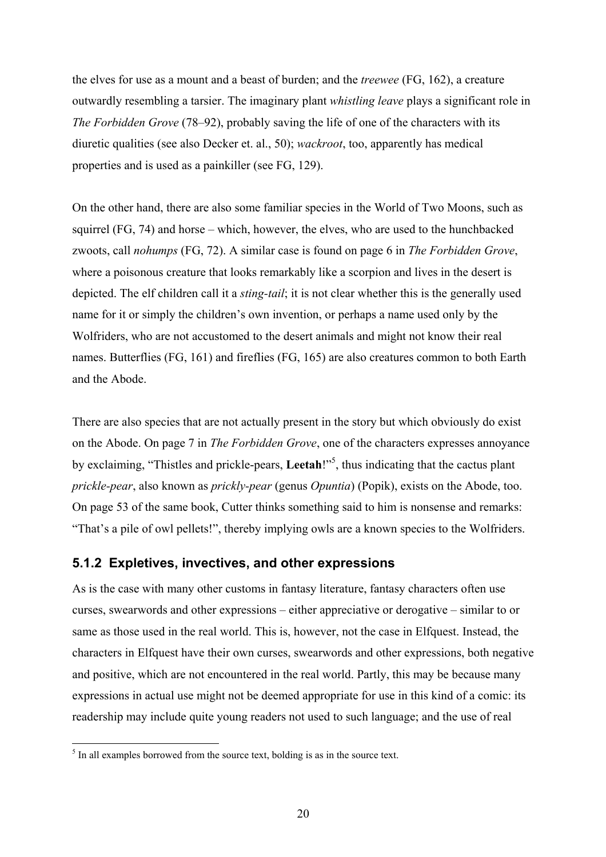the elves for use as a mount and a beast of burden; and the *treewee* (FG, 162), a creature outwardly resembling a tarsier. The imaginary plant *whistling leave* plays a significant role in *The Forbidden Grove* (78–92), probably saving the life of one of the characters with its diuretic qualities (see also Decker et. al., 50); *wackroot*, too, apparently has medical properties and is used as a painkiller (see FG, 129).

On the other hand, there are also some familiar species in the World of Two Moons, such as squirrel (FG, 74) and horse – which, however, the elves, who are used to the hunchbacked zwoots, call *nohumps* (FG, 72). A similar case is found on page 6 in *The Forbidden Grove*, where a poisonous creature that looks remarkably like a scorpion and lives in the desert is depicted. The elf children call it a *sting-tail*; it is not clear whether this is the generally used name for it or simply the children's own invention, or perhaps a name used only by the Wolfriders, who are not accustomed to the desert animals and might not know their real names. Butterflies (FG, 161) and fireflies (FG, 165) are also creatures common to both Earth and the Abode.

There are also species that are not actually present in the story but which obviously do exist on the Abode. On page 7 in *The Forbidden Grove*, one of the characters expresses annoyance by exclaiming, "Thistles and prickle-pears, Leetah!"<sup>5</sup>, thus indicating that the cactus plant *prickle-pear*, also known as *prickly-pear* (genus *Opuntia*) (Popik), exists on the Abode, too. On page 53 of the same book, Cutter thinks something said to him is nonsense and remarks: "That's a pile of owl pellets!", thereby implying owls are a known species to the Wolfriders.

### **5.1.2 Expletives, invectives, and other expressions**

As is the case with many other customs in fantasy literature, fantasy characters often use curses, swearwords and other expressions – either appreciative or derogative – similar to or same as those used in the real world. This is, however, not the case in Elfquest. Instead, the characters in Elfquest have their own curses, swearwords and other expressions, both negative and positive, which are not encountered in the real world. Partly, this may be because many expressions in actual use might not be deemed appropriate for use in this kind of a comic: its readership may include quite young readers not used to such language; and the use of real

<sup>&</sup>lt;sup>5</sup> In all examples borrowed from the source text, bolding is as in the source text.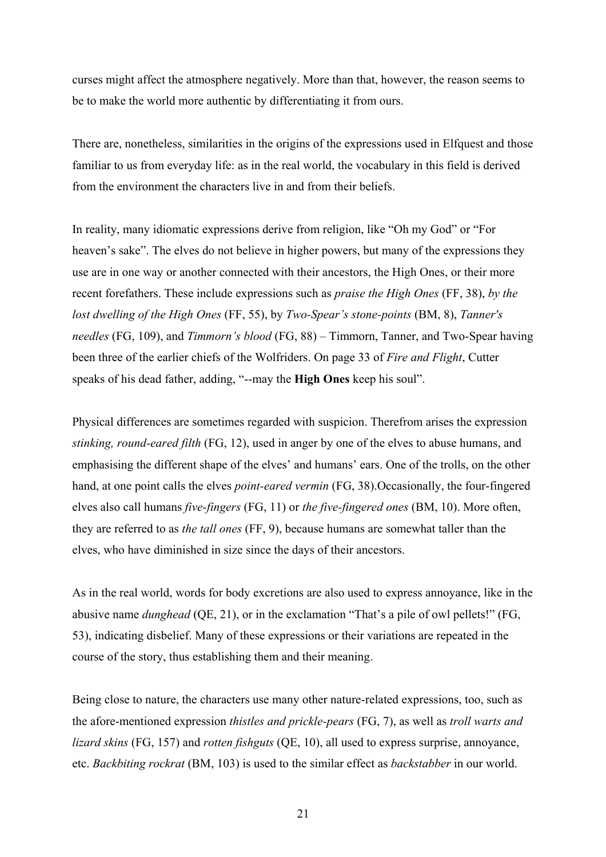curses might affect the atmosphere negatively. More than that, however, the reason seems to be to make the world more authentic by differentiating it from ours.

There are, nonetheless, similarities in the origins of the expressions used in Elfquest and those familiar to us from everyday life: as in the real world, the vocabulary in this field is derived from the environment the characters live in and from their beliefs.

In reality, many idiomatic expressions derive from religion, like "Oh my God" or "For heaven's sake". The elves do not believe in higher powers, but many of the expressions they use are in one way or another connected with their ancestors, the High Ones, or their more recent forefathers. These include expressions such as *praise the High Ones* (FF, 38), *by the lost dwelling of the High Ones* (FF, 55), by *Two-Spear's stone-points* (BM, 8), *Tanner's needles* (FG, 109), and *Timmorn's blood* (FG, 88) – Timmorn, Tanner, and Two-Spear having been three of the earlier chiefs of the Wolfriders. On page 33 of *Fire and Flight*, Cutter speaks of his dead father, adding, "--may the **High Ones** keep his soul".

Physical differences are sometimes regarded with suspicion. Therefrom arises the expression *stinking, round-eared filth* (FG, 12), used in anger by one of the elves to abuse humans, and emphasising the different shape of the elves' and humans' ears. One of the trolls, on the other hand, at one point calls the elves *point-eared vermin* (FG, 38).Occasionally, the four-fingered elves also call humans *five-fingers* (FG, 11) or *the five-fingered ones* (BM, 10). More often, they are referred to as *the tall ones* (FF, 9), because humans are somewhat taller than the elves, who have diminished in size since the days of their ancestors.

As in the real world, words for body excretions are also used to express annoyance, like in the abusive name *dunghead* (QE, 21), or in the exclamation "That's a pile of owl pellets!" (FG, 53), indicating disbelief. Many of these expressions or their variations are repeated in the course of the story, thus establishing them and their meaning.

Being close to nature, the characters use many other nature-related expressions, too, such as the afore-mentioned expression *thistles and prickle-pears* (FG, 7), as well as *troll warts and lizard skins* (FG, 157) and *rotten fishguts* (QE, 10), all used to express surprise, annoyance, etc. *Backbiting rockrat* (BM, 103) is used to the similar effect as *backstabber* in our world.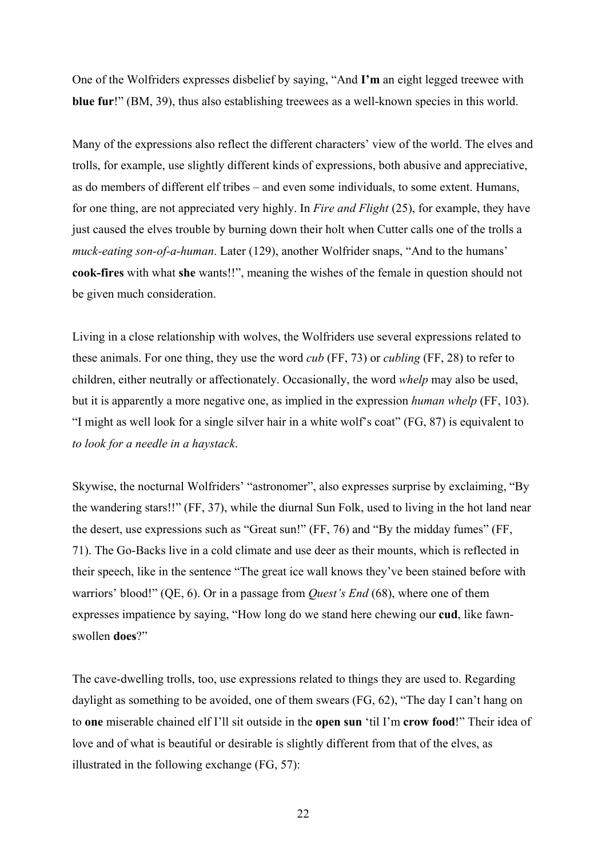One of the Wolfriders expresses disbelief by saying, "And **I'm** an eight legged treewee with **blue fur**!" (BM, 39), thus also establishing treewees as a well-known species in this world.

Many of the expressions also reflect the different characters' view of the world. The elves and trolls, for example, use slightly different kinds of expressions, both abusive and appreciative, as do members of different elf tribes – and even some individuals, to some extent. Humans, for one thing, are not appreciated very highly. In *Fire and Flight* (25), for example, they have just caused the elves trouble by burning down their holt when Cutter calls one of the trolls a *muck-eating son-of-a-human*. Later (129), another Wolfrider snaps, "And to the humans' **cook-fires** with what **she** wants!!", meaning the wishes of the female in question should not be given much consideration.

Living in a close relationship with wolves, the Wolfriders use several expressions related to these animals. For one thing, they use the word *cub* (FF, 73) or *cubling* (FF, 28) to refer to children, either neutrally or affectionately. Occasionally, the word *whelp* may also be used, but it is apparently a more negative one, as implied in the expression *human whelp* (FF, 103). "I might as well look for a single silver hair in a white wolf's coat" (FG, 87) is equivalent to *to look for a needle in a haystack*.

Skywise, the nocturnal Wolfriders' "astronomer", also expresses surprise by exclaiming, "By the wandering stars!!" (FF, 37), while the diurnal Sun Folk, used to living in the hot land near the desert, use expressions such as "Great sun!" (FF, 76) and "By the midday fumes" (FF, 71). The Go-Backs live in a cold climate and use deer as their mounts, which is reflected in their speech, like in the sentence "The great ice wall knows they've been stained before with warriors' blood!" (QE, 6). Or in a passage from *Quest's End* (68), where one of them expresses impatience by saying, "How long do we stand here chewing our **cud**, like fawnswollen **does**?"

The cave-dwelling trolls, too, use expressions related to things they are used to. Regarding daylight as something to be avoided, one of them swears (FG, 62), "The day I can't hang on to **one** miserable chained elf I'll sit outside in the **open sun** 'til I'm **crow food**!" Their idea of love and of what is beautiful or desirable is slightly different from that of the elves, as illustrated in the following exchange (FG, 57):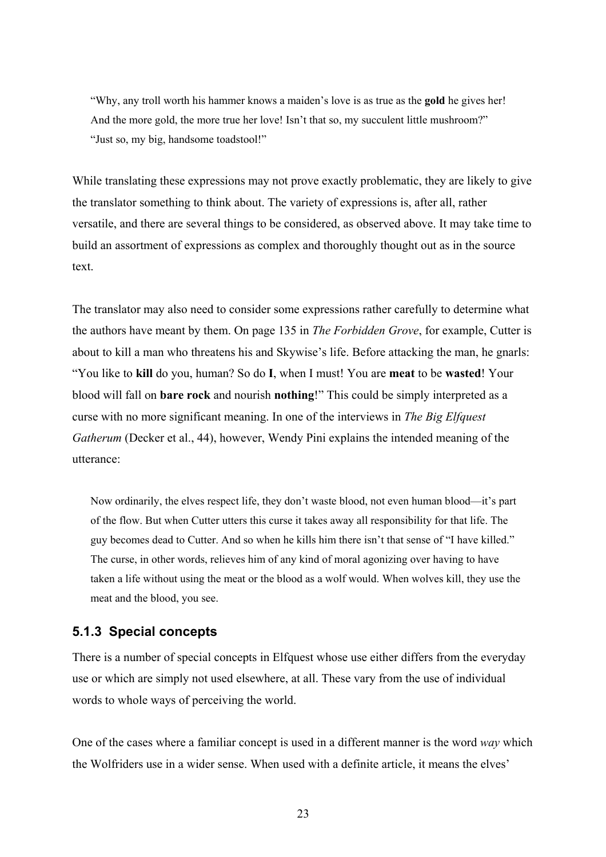"Why, any troll worth his hammer knows a maiden's love is as true as the **gold** he gives her! And the more gold, the more true her love! Isn't that so, my succulent little mushroom?" "Just so, my big, handsome toadstool!"

While translating these expressions may not prove exactly problematic, they are likely to give the translator something to think about. The variety of expressions is, after all, rather versatile, and there are several things to be considered, as observed above. It may take time to build an assortment of expressions as complex and thoroughly thought out as in the source text.

The translator may also need to consider some expressions rather carefully to determine what the authors have meant by them. On page 135 in *The Forbidden Grove*, for example, Cutter is about to kill a man who threatens his and Skywise's life. Before attacking the man, he gnarls: "You like to **kill** do you, human? So do **I**, when I must! You are **meat** to be **wasted**! Your blood will fall on **bare rock** and nourish **nothing**!" This could be simply interpreted as a curse with no more significant meaning. In one of the interviews in *The Big Elfquest Gatherum* (Decker et al., 44), however, Wendy Pini explains the intended meaning of the utterance:

Now ordinarily, the elves respect life, they don't waste blood, not even human blood—it's part of the flow. But when Cutter utters this curse it takes away all responsibility for that life. The guy becomes dead to Cutter. And so when he kills him there isn't that sense of "I have killed." The curse, in other words, relieves him of any kind of moral agonizing over having to have taken a life without using the meat or the blood as a wolf would. When wolves kill, they use the meat and the blood, you see.

### **5.1.3 Special concepts**

There is a number of special concepts in Elfquest whose use either differs from the everyday use or which are simply not used elsewhere, at all. These vary from the use of individual words to whole ways of perceiving the world.

One of the cases where a familiar concept is used in a different manner is the word *way* which the Wolfriders use in a wider sense. When used with a definite article, it means the elves'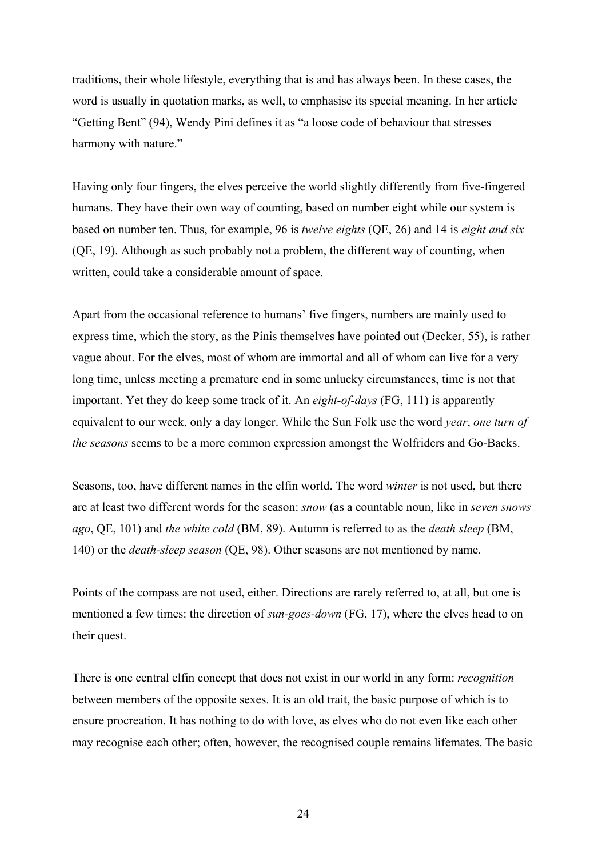traditions, their whole lifestyle, everything that is and has always been. In these cases, the word is usually in quotation marks, as well, to emphasise its special meaning. In her article "Getting Bent" (94), Wendy Pini defines it as "a loose code of behaviour that stresses harmony with nature."

Having only four fingers, the elves perceive the world slightly differently from five-fingered humans. They have their own way of counting, based on number eight while our system is based on number ten. Thus, for example, 96 is *twelve eights* (QE, 26) and 14 is *eight and six* (QE, 19). Although as such probably not a problem, the different way of counting, when written, could take a considerable amount of space.

Apart from the occasional reference to humans' five fingers, numbers are mainly used to express time, which the story, as the Pinis themselves have pointed out (Decker, 55), is rather vague about. For the elves, most of whom are immortal and all of whom can live for a very long time, unless meeting a premature end in some unlucky circumstances, time is not that important. Yet they do keep some track of it. An *eight-of-days* (FG, 111) is apparently equivalent to our week, only a day longer. While the Sun Folk use the word *year*, *one turn of the seasons* seems to be a more common expression amongst the Wolfriders and Go-Backs.

Seasons, too, have different names in the elfin world. The word *winter* is not used, but there are at least two different words for the season: *snow* (as a countable noun, like in *seven snows ago*, QE, 101) and *the white cold* (BM, 89). Autumn is referred to as the *death sleep* (BM, 140) or the *death-sleep season* (QE, 98). Other seasons are not mentioned by name.

Points of the compass are not used, either. Directions are rarely referred to, at all, but one is mentioned a few times: the direction of *sun-goes-down* (FG, 17), where the elves head to on their quest.

There is one central elfin concept that does not exist in our world in any form: *recognition* between members of the opposite sexes. It is an old trait, the basic purpose of which is to ensure procreation. It has nothing to do with love, as elves who do not even like each other may recognise each other; often, however, the recognised couple remains lifemates. The basic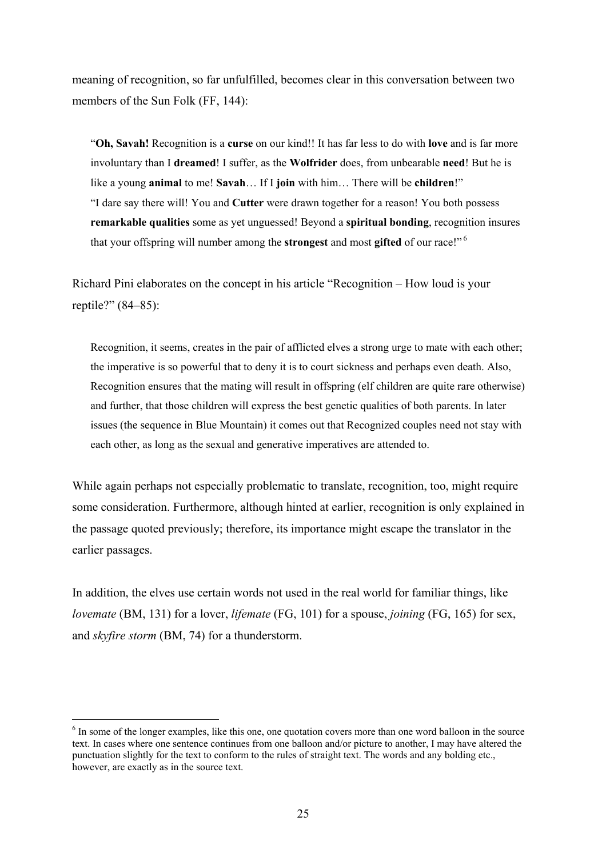meaning of recognition, so far unfulfilled, becomes clear in this conversation between two members of the Sun Folk (FF, 144):

"**Oh, Savah!** Recognition is a **curse** on our kind!! It has far less to do with **love** and is far more involuntary than I **dreamed**! I suffer, as the **Wolfrider** does, from unbearable **need**! But he is like a young **animal** to me! **Savah**… If I **join** with him… There will be **children**!" "I dare say there will! You and **Cutter** were drawn together for a reason! You both possess **remarkable qualities** some as yet unguessed! Beyond a **spiritual bonding**, recognition insures that your offspring will number among the **strongest** and most **gifted** of our race!" 6

Richard Pini elaborates on the concept in his article "Recognition – How loud is your reptile?" (84–85):

Recognition, it seems, creates in the pair of afflicted elves a strong urge to mate with each other; the imperative is so powerful that to deny it is to court sickness and perhaps even death. Also, Recognition ensures that the mating will result in offspring (elf children are quite rare otherwise) and further, that those children will express the best genetic qualities of both parents. In later issues (the sequence in Blue Mountain) it comes out that Recognized couples need not stay with each other, as long as the sexual and generative imperatives are attended to.

While again perhaps not especially problematic to translate, recognition, too, might require some consideration. Furthermore, although hinted at earlier, recognition is only explained in the passage quoted previously; therefore, its importance might escape the translator in the earlier passages.

In addition, the elves use certain words not used in the real world for familiar things, like *lovemate* (BM, 131) for a lover, *lifemate* (FG, 101) for a spouse, *joining* (FG, 165) for sex, and *skyfire storm* (BM, 74) for a thunderstorm.

 $\overline{a}$ 

<sup>&</sup>lt;sup>6</sup> In some of the longer examples, like this one, one quotation covers more than one word balloon in the source text. In cases where one sentence continues from one balloon and/or picture to another, I may have altered the punctuation slightly for the text to conform to the rules of straight text. The words and any bolding etc., however, are exactly as in the source text.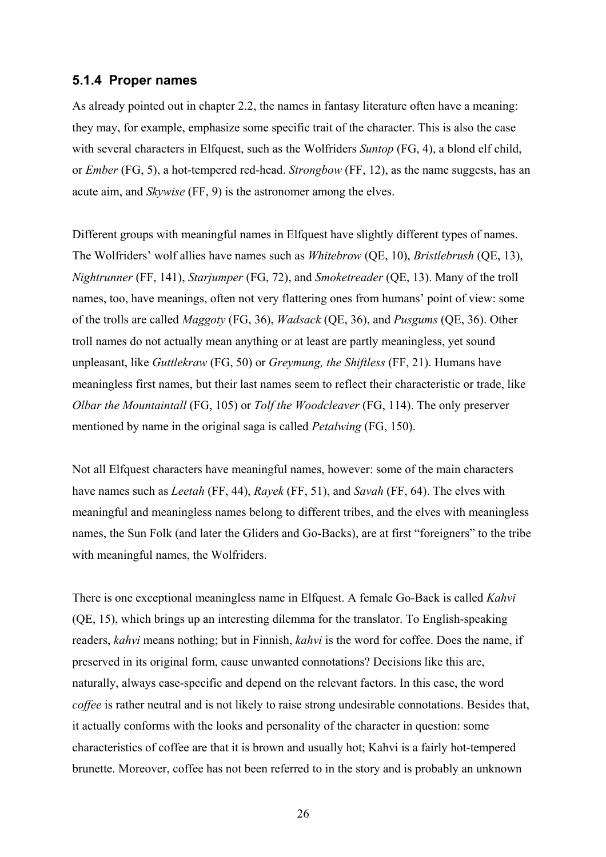#### **5.1.4 Proper names**

As already pointed out in chapter 2.2, the names in fantasy literature often have a meaning: they may, for example, emphasize some specific trait of the character. This is also the case with several characters in Elfquest, such as the Wolfriders *Suntop* (FG, 4), a blond elf child, or *Ember* (FG, 5), a hot-tempered red-head. *Strongbow* (FF, 12), as the name suggests, has an acute aim, and *Skywise* (FF, 9) is the astronomer among the elves.

Different groups with meaningful names in Elfquest have slightly different types of names. The Wolfriders' wolf allies have names such as *Whitebrow* (QE, 10), *Bristlebrush* (QE, 13), *Nightrunner* (FF, 141), *Starjumper* (FG, 72), and *Smoketreader* (QE, 13). Many of the troll names, too, have meanings, often not very flattering ones from humans' point of view: some of the trolls are called *Maggoty* (FG, 36), *Wadsack* (QE, 36), and *Pusgums* (QE, 36). Other troll names do not actually mean anything or at least are partly meaningless, yet sound unpleasant, like *Guttlekraw* (FG, 50) or *Greymung, the Shiftless* (FF, 21). Humans have meaningless first names, but their last names seem to reflect their characteristic or trade, like *Olbar the Mountaintall* (FG, 105) or *Tolf the Woodcleaver* (FG, 114). The only preserver mentioned by name in the original saga is called *Petalwing* (FG, 150).

Not all Elfquest characters have meaningful names, however: some of the main characters have names such as *Leetah* (FF, 44), *Rayek* (FF, 51), and *Savah* (FF, 64). The elves with meaningful and meaningless names belong to different tribes, and the elves with meaningless names, the Sun Folk (and later the Gliders and Go-Backs), are at first "foreigners" to the tribe with meaningful names, the Wolfriders.

There is one exceptional meaningless name in Elfquest. A female Go-Back is called *Kahvi* (QE, 15), which brings up an interesting dilemma for the translator. To English-speaking readers, *kahvi* means nothing; but in Finnish, *kahvi* is the word for coffee. Does the name, if preserved in its original form, cause unwanted connotations? Decisions like this are, naturally, always case-specific and depend on the relevant factors. In this case, the word *coffee* is rather neutral and is not likely to raise strong undesirable connotations. Besides that, it actually conforms with the looks and personality of the character in question: some characteristics of coffee are that it is brown and usually hot; Kahvi is a fairly hot-tempered brunette. Moreover, coffee has not been referred to in the story and is probably an unknown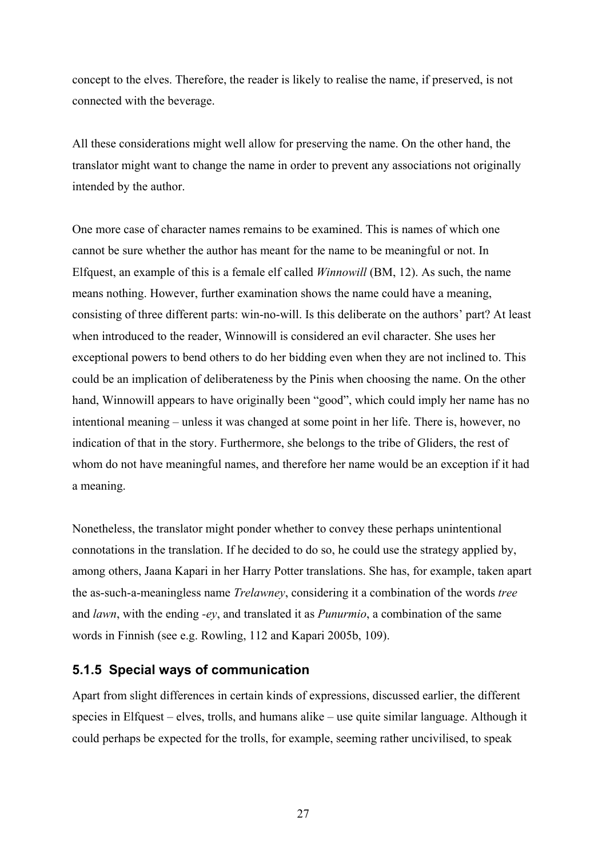concept to the elves. Therefore, the reader is likely to realise the name, if preserved, is not connected with the beverage.

All these considerations might well allow for preserving the name. On the other hand, the translator might want to change the name in order to prevent any associations not originally intended by the author.

One more case of character names remains to be examined. This is names of which one cannot be sure whether the author has meant for the name to be meaningful or not. In Elfquest, an example of this is a female elf called *Winnowill* (BM, 12). As such, the name means nothing. However, further examination shows the name could have a meaning, consisting of three different parts: win-no-will. Is this deliberate on the authors' part? At least when introduced to the reader, Winnowill is considered an evil character. She uses her exceptional powers to bend others to do her bidding even when they are not inclined to. This could be an implication of deliberateness by the Pinis when choosing the name. On the other hand, Winnowill appears to have originally been "good", which could imply her name has no intentional meaning – unless it was changed at some point in her life. There is, however, no indication of that in the story. Furthermore, she belongs to the tribe of Gliders, the rest of whom do not have meaningful names, and therefore her name would be an exception if it had a meaning.

Nonetheless, the translator might ponder whether to convey these perhaps unintentional connotations in the translation. If he decided to do so, he could use the strategy applied by, among others, Jaana Kapari in her Harry Potter translations. She has, for example, taken apart the as-such-a-meaningless name *Trelawney*, considering it a combination of the words *tree* and *lawn*, with the ending *-ey*, and translated it as *Punurmio*, a combination of the same words in Finnish (see e.g. Rowling, 112 and Kapari 2005b, 109).

#### **5.1.5 Special ways of communication**

Apart from slight differences in certain kinds of expressions, discussed earlier, the different species in Elfquest – elves, trolls, and humans alike – use quite similar language. Although it could perhaps be expected for the trolls, for example, seeming rather uncivilised, to speak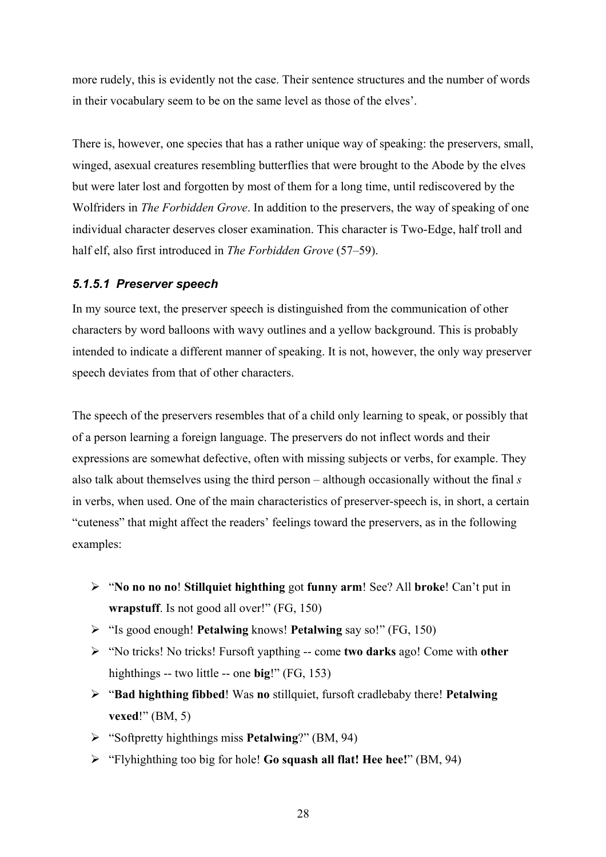more rudely, this is evidently not the case. Their sentence structures and the number of words in their vocabulary seem to be on the same level as those of the elves'.

There is, however, one species that has a rather unique way of speaking: the preservers, small, winged, asexual creatures resembling butterflies that were brought to the Abode by the elves but were later lost and forgotten by most of them for a long time, until rediscovered by the Wolfriders in *The Forbidden Grove*. In addition to the preservers, the way of speaking of one individual character deserves closer examination. This character is Two-Edge, half troll and half elf, also first introduced in *The Forbidden Grove* (57–59).

#### *5.1.5.1 Preserver speech*

In my source text, the preserver speech is distinguished from the communication of other characters by word balloons with wavy outlines and a yellow background. This is probably intended to indicate a different manner of speaking. It is not, however, the only way preserver speech deviates from that of other characters.

The speech of the preservers resembles that of a child only learning to speak, or possibly that of a person learning a foreign language. The preservers do not inflect words and their expressions are somewhat defective, often with missing subjects or verbs, for example. They also talk about themselves using the third person – although occasionally without the final *s* in verbs, when used. One of the main characteristics of preserver-speech is, in short, a certain "cuteness" that might affect the readers' feelings toward the preservers, as in the following examples:

- ¾ "**No no no no**! **Stillquiet highthing** got **funny arm**! See? All **broke**! Can't put in **wrapstuff**. Is not good all over!" (FG, 150)
- ¾ "Is good enough! **Petalwing** knows! **Petalwing** say so!" (FG, 150)
- ¾ "No tricks! No tricks! Fursoft yapthing -- come **two darks** ago! Come with **other** highthings -- two little -- one **big**!" (FG, 153)
- ¾ "**Bad highthing fibbed**! Was **no** stillquiet, fursoft cradlebaby there! **Petalwing vexed**!" (BM, 5)
- ¾ "Softpretty highthings miss **Petalwing**?" (BM, 94)
- ¾ "Flyhighthing too big for hole! **Go squash all flat! Hee hee!**" (BM, 94)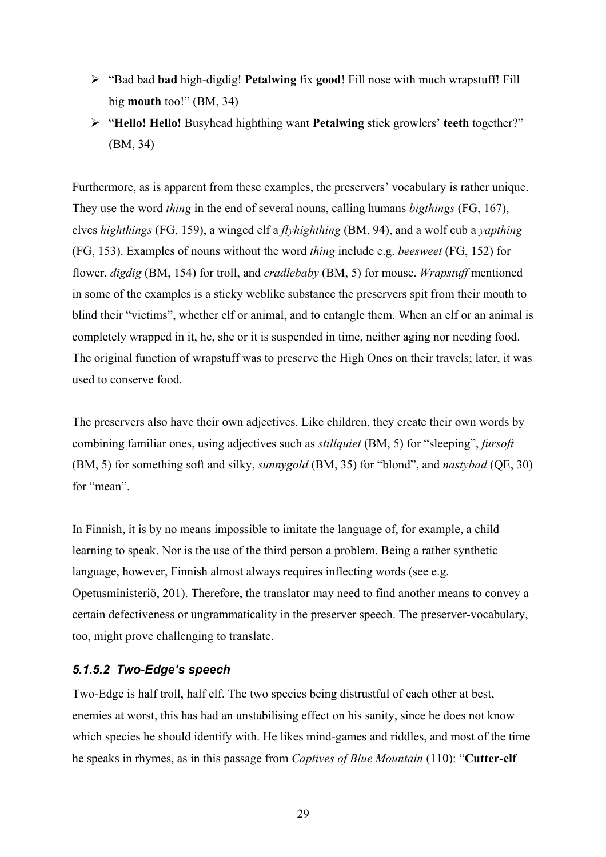- ¾ "Bad bad **bad** high-digdig! **Petalwing** fix **good**! Fill nose with much wrapstuff! Fill big **mouth** too!" (BM, 34)
- ¾ "**Hello! Hello!** Busyhead highthing want **Petalwing** stick growlers' **teeth** together?" (BM, 34)

Furthermore, as is apparent from these examples, the preservers' vocabulary is rather unique. They use the word *thing* in the end of several nouns, calling humans *bigthings* (FG, 167), elves *highthings* (FG, 159), a winged elf a *flyhighthing* (BM, 94), and a wolf cub a *yapthing* (FG, 153). Examples of nouns without the word *thing* include e.g. *beesweet* (FG, 152) for flower, *digdig* (BM, 154) for troll, and *cradlebaby* (BM, 5) for mouse. *Wrapstuff* mentioned in some of the examples is a sticky weblike substance the preservers spit from their mouth to blind their "victims", whether elf or animal, and to entangle them. When an elf or an animal is completely wrapped in it, he, she or it is suspended in time, neither aging nor needing food. The original function of wrapstuff was to preserve the High Ones on their travels; later, it was used to conserve food.

The preservers also have their own adjectives. Like children, they create their own words by combining familiar ones, using adjectives such as *stillquiet* (BM, 5) for "sleeping", *fursoft* (BM, 5) for something soft and silky, *sunnygold* (BM, 35) for "blond", and *nastybad* (QE, 30) for "mean".

In Finnish, it is by no means impossible to imitate the language of, for example, a child learning to speak. Nor is the use of the third person a problem. Being a rather synthetic language, however, Finnish almost always requires inflecting words (see e.g. Opetusministeriö, 201). Therefore, the translator may need to find another means to convey a certain defectiveness or ungrammaticality in the preserver speech. The preserver-vocabulary, too, might prove challenging to translate.

### *5.1.5.2 Two-Edge's speech*

Two-Edge is half troll, half elf. The two species being distrustful of each other at best, enemies at worst, this has had an unstabilising effect on his sanity, since he does not know which species he should identify with. He likes mind-games and riddles, and most of the time he speaks in rhymes, as in this passage from *Captives of Blue Mountain* (110): "**Cutter-elf**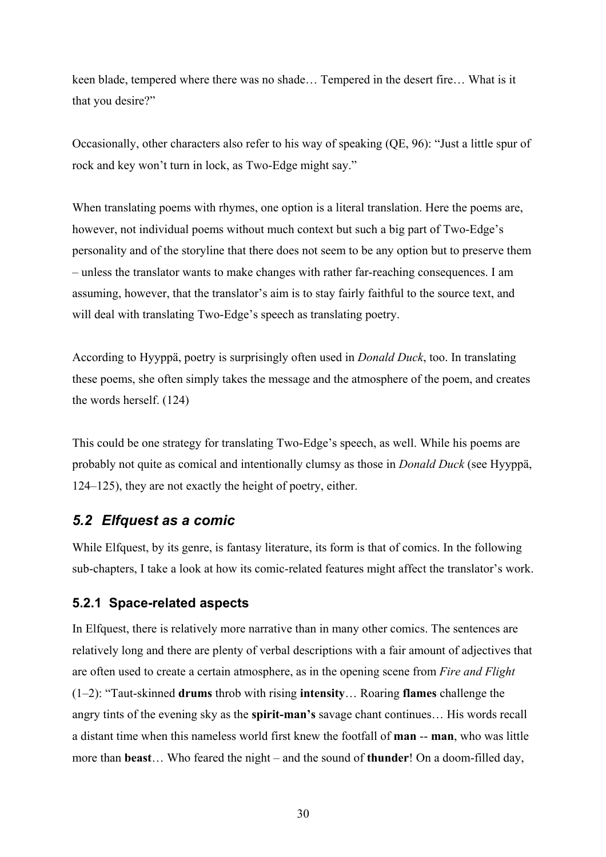keen blade, tempered where there was no shade… Tempered in the desert fire… What is it that you desire?"

Occasionally, other characters also refer to his way of speaking (QE, 96): "Just a little spur of rock and key won't turn in lock, as Two-Edge might say."

When translating poems with rhymes, one option is a literal translation. Here the poems are, however, not individual poems without much context but such a big part of Two-Edge's personality and of the storyline that there does not seem to be any option but to preserve them – unless the translator wants to make changes with rather far-reaching consequences. I am assuming, however, that the translator's aim is to stay fairly faithful to the source text, and will deal with translating Two-Edge's speech as translating poetry.

According to Hyyppä, poetry is surprisingly often used in *Donald Duck*, too. In translating these poems, she often simply takes the message and the atmosphere of the poem, and creates the words herself. (124)

This could be one strategy for translating Two-Edge's speech, as well. While his poems are probably not quite as comical and intentionally clumsy as those in *Donald Duck* (see Hyyppä, 124–125), they are not exactly the height of poetry, either.

# *5.2 Elfquest as a comic*

While Elfquest, by its genre, is fantasy literature, its form is that of comics. In the following sub-chapters, I take a look at how its comic-related features might affect the translator's work.

### **5.2.1 Space-related aspects**

In Elfquest, there is relatively more narrative than in many other comics. The sentences are relatively long and there are plenty of verbal descriptions with a fair amount of adjectives that are often used to create a certain atmosphere, as in the opening scene from *Fire and Flight* (1–2): "Taut-skinned **drums** throb with rising **intensity**… Roaring **flames** challenge the angry tints of the evening sky as the **spirit-man's** savage chant continues… His words recall a distant time when this nameless world first knew the footfall of **man** -- **man**, who was little more than **beast**… Who feared the night – and the sound of **thunder**! On a doom-filled day,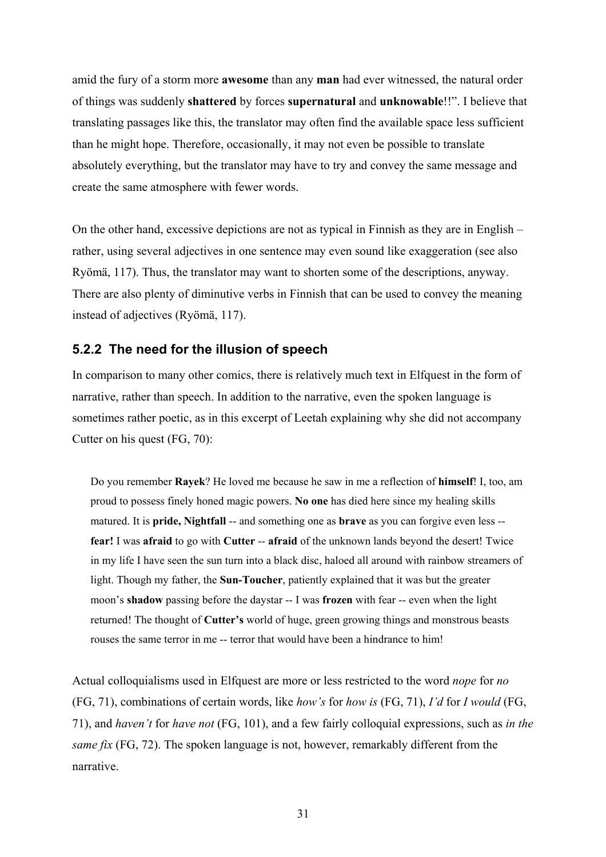amid the fury of a storm more **awesome** than any **man** had ever witnessed, the natural order of things was suddenly **shattered** by forces **supernatural** and **unknowable**!!". I believe that translating passages like this, the translator may often find the available space less sufficient than he might hope. Therefore, occasionally, it may not even be possible to translate absolutely everything, but the translator may have to try and convey the same message and create the same atmosphere with fewer words.

On the other hand, excessive depictions are not as typical in Finnish as they are in English – rather, using several adjectives in one sentence may even sound like exaggeration (see also Ryömä, 117). Thus, the translator may want to shorten some of the descriptions, anyway. There are also plenty of diminutive verbs in Finnish that can be used to convey the meaning instead of adjectives (Ryömä, 117).

#### **5.2.2 The need for the illusion of speech**

In comparison to many other comics, there is relatively much text in Elfquest in the form of narrative, rather than speech. In addition to the narrative, even the spoken language is sometimes rather poetic, as in this excerpt of Leetah explaining why she did not accompany Cutter on his quest (FG, 70):

Do you remember **Rayek**? He loved me because he saw in me a reflection of **himself**! I, too, am proud to possess finely honed magic powers. **No one** has died here since my healing skills matured. It is **pride, Nightfall** -- and something one as **brave** as you can forgive even less - **fear!** I was **afraid** to go with **Cutter** -- **afraid** of the unknown lands beyond the desert! Twice in my life I have seen the sun turn into a black disc, haloed all around with rainbow streamers of light. Though my father, the **Sun-Toucher**, patiently explained that it was but the greater moon's **shadow** passing before the daystar -- I was **frozen** with fear -- even when the light returned! The thought of **Cutter's** world of huge, green growing things and monstrous beasts rouses the same terror in me -- terror that would have been a hindrance to him!

Actual colloquialisms used in Elfquest are more or less restricted to the word *nope* for *no* (FG, 71), combinations of certain words, like *how's* for *how is* (FG, 71), *I'd* for *I would* (FG, 71), and *haven't* for *have not* (FG, 101), and a few fairly colloquial expressions, such as *in the same fix* (FG, 72). The spoken language is not, however, remarkably different from the narrative.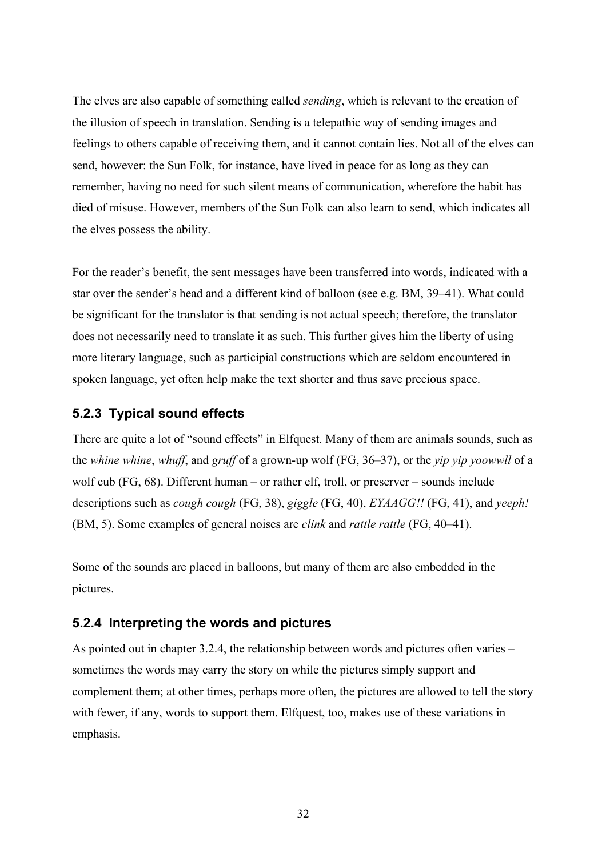The elves are also capable of something called *sending*, which is relevant to the creation of the illusion of speech in translation. Sending is a telepathic way of sending images and feelings to others capable of receiving them, and it cannot contain lies. Not all of the elves can send, however: the Sun Folk, for instance, have lived in peace for as long as they can remember, having no need for such silent means of communication, wherefore the habit has died of misuse. However, members of the Sun Folk can also learn to send, which indicates all the elves possess the ability.

For the reader's benefit, the sent messages have been transferred into words, indicated with a star over the sender's head and a different kind of balloon (see e.g. BM, 39–41). What could be significant for the translator is that sending is not actual speech; therefore, the translator does not necessarily need to translate it as such. This further gives him the liberty of using more literary language, such as participial constructions which are seldom encountered in spoken language, yet often help make the text shorter and thus save precious space.

### **5.2.3 Typical sound effects**

There are quite a lot of "sound effects" in Elfquest. Many of them are animals sounds, such as the *whine whine*, *whuff*, and *gruff* of a grown-up wolf (FG, 36–37), or the *yip yip yoowwll* of a wolf cub (FG, 68). Different human – or rather elf, troll, or preserver – sounds include descriptions such as *cough cough* (FG, 38), *giggle* (FG, 40), *EYAAGG!!* (FG, 41), and *yeeph!* (BM, 5). Some examples of general noises are *clink* and *rattle rattle* (FG, 40–41).

Some of the sounds are placed in balloons, but many of them are also embedded in the pictures.

#### **5.2.4 Interpreting the words and pictures**

As pointed out in chapter 3.2.4, the relationship between words and pictures often varies – sometimes the words may carry the story on while the pictures simply support and complement them; at other times, perhaps more often, the pictures are allowed to tell the story with fewer, if any, words to support them. Elfquest, too, makes use of these variations in emphasis.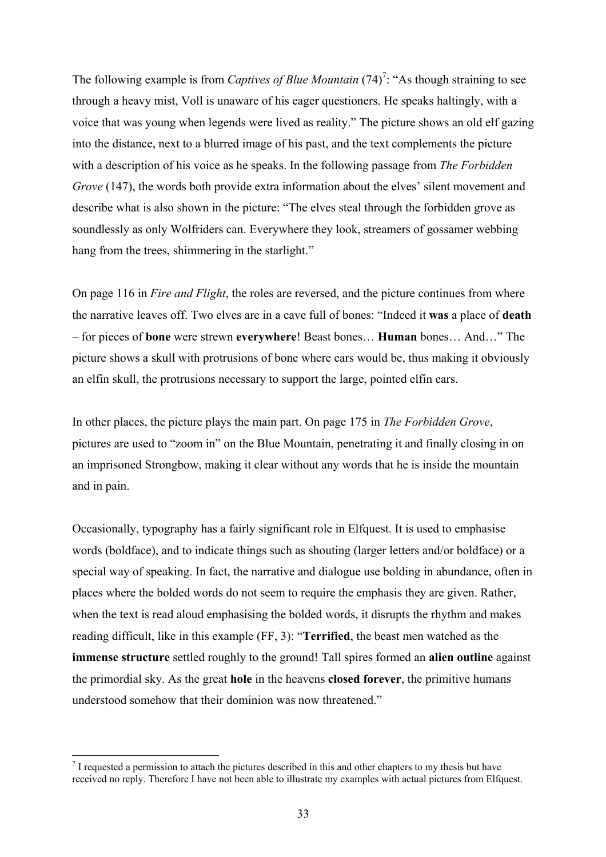The following example is from *Captives of Blue Mountain*  $(74)^7$ : "As though straining to see through a heavy mist, Voll is unaware of his eager questioners. He speaks haltingly, with a voice that was young when legends were lived as reality." The picture shows an old elf gazing into the distance, next to a blurred image of his past, and the text complements the picture with a description of his voice as he speaks. In the following passage from *The Forbidden Grove* (147), the words both provide extra information about the elves' silent movement and describe what is also shown in the picture: "The elves steal through the forbidden grove as soundlessly as only Wolfriders can. Everywhere they look, streamers of gossamer webbing hang from the trees, shimmering in the starlight."

On page 116 in *Fire and Flight*, the roles are reversed, and the picture continues from where the narrative leaves off. Two elves are in a cave full of bones: "Indeed it **was** a place of **death** – for pieces of **bone** were strewn **everywhere**! Beast bones… **Human** bones… And…" The picture shows a skull with protrusions of bone where ears would be, thus making it obviously an elfin skull, the protrusions necessary to support the large, pointed elfin ears.

In other places, the picture plays the main part. On page 175 in *The Forbidden Grove*, pictures are used to "zoom in" on the Blue Mountain, penetrating it and finally closing in on an imprisoned Strongbow, making it clear without any words that he is inside the mountain and in pain.

Occasionally, typography has a fairly significant role in Elfquest. It is used to emphasise words (boldface), and to indicate things such as shouting (larger letters and/or boldface) or a special way of speaking. In fact, the narrative and dialogue use bolding in abundance, often in places where the bolded words do not seem to require the emphasis they are given. Rather, when the text is read aloud emphasising the bolded words, it disrupts the rhythm and makes reading difficult, like in this example (FF, 3): "**Terrified**, the beast men watched as the **immense structure** settled roughly to the ground! Tall spires formed an **alien outline** against the primordial sky. As the great **hole** in the heavens **closed forever**, the primitive humans understood somehow that their dominion was now threatened."

 $\overline{a}$ 

 $<sup>7</sup>$  I requested a permission to attach the pictures described in this and other chapters to my thesis but have</sup> received no reply. Therefore I have not been able to illustrate my examples with actual pictures from Elfquest.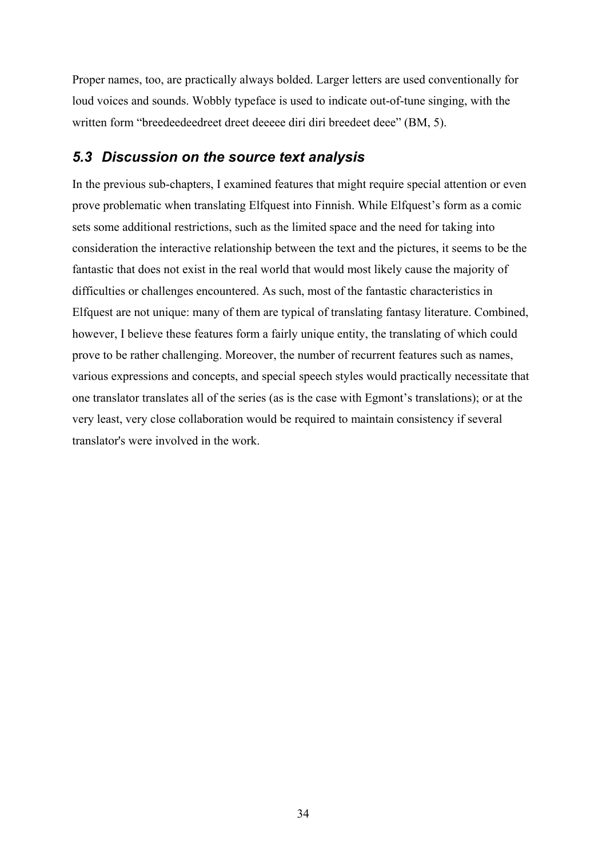Proper names, too, are practically always bolded. Larger letters are used conventionally for loud voices and sounds. Wobbly typeface is used to indicate out-of-tune singing, with the written form "breedeedeedreet dreet deeeee diri diri breedeet deee" (BM, 5).

## *5.3 Discussion on the source text analysis*

In the previous sub-chapters, I examined features that might require special attention or even prove problematic when translating Elfquest into Finnish. While Elfquest's form as a comic sets some additional restrictions, such as the limited space and the need for taking into consideration the interactive relationship between the text and the pictures, it seems to be the fantastic that does not exist in the real world that would most likely cause the majority of difficulties or challenges encountered. As such, most of the fantastic characteristics in Elfquest are not unique: many of them are typical of translating fantasy literature. Combined, however, I believe these features form a fairly unique entity, the translating of which could prove to be rather challenging. Moreover, the number of recurrent features such as names, various expressions and concepts, and special speech styles would practically necessitate that one translator translates all of the series (as is the case with Egmont's translations); or at the very least, very close collaboration would be required to maintain consistency if several translator's were involved in the work.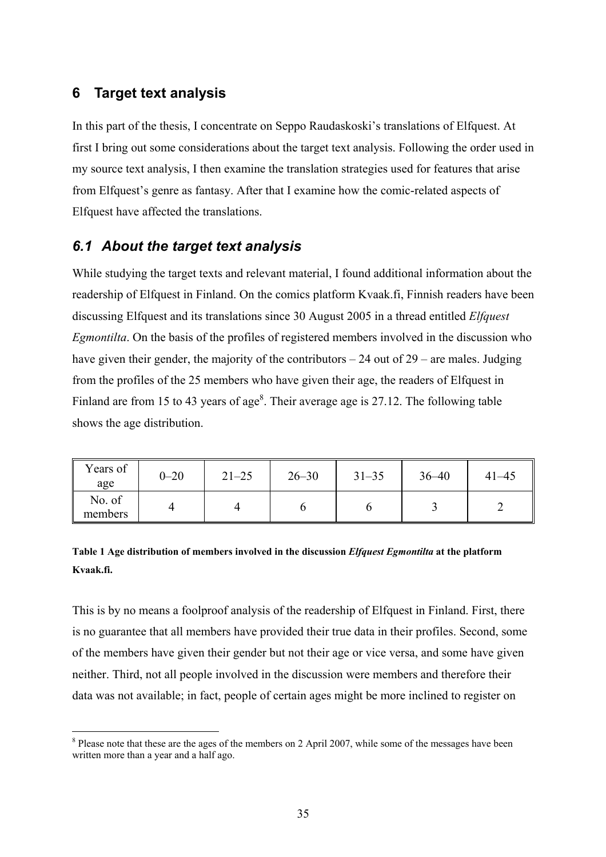# **6 Target text analysis**

 $\overline{a}$ 

In this part of the thesis, I concentrate on Seppo Raudaskoski's translations of Elfquest. At first I bring out some considerations about the target text analysis. Following the order used in my source text analysis, I then examine the translation strategies used for features that arise from Elfquest's genre as fantasy. After that I examine how the comic-related aspects of Elfquest have affected the translations.

# *6.1 About the target text analysis*

While studying the target texts and relevant material, I found additional information about the readership of Elfquest in Finland. On the comics platform Kvaak.fi, Finnish readers have been discussing Elfquest and its translations since 30 August 2005 in a thread entitled *Elfquest Egmontilta*. On the basis of the profiles of registered members involved in the discussion who have given their gender, the majority of the contributors  $-24$  out of  $29$  – are males. Judging from the profiles of the 25 members who have given their age, the readers of Elfquest in Finland are from 15 to 43 years of age<sup>8</sup>. Their average age is 27.12. The following table shows the age distribution.

| Years of<br>age   | $0 - 20$ | $21 - 25$ | $26 - 30$ | $31 - 35$ | $36 - 40$ | $41 - 45$ |
|-------------------|----------|-----------|-----------|-----------|-----------|-----------|
| No. of<br>members |          |           |           |           |           |           |

## **Table 1 Age distribution of members involved in the discussion** *Elfquest Egmontilta* **at the platform Kvaak.fi.**

This is by no means a foolproof analysis of the readership of Elfquest in Finland. First, there is no guarantee that all members have provided their true data in their profiles. Second, some of the members have given their gender but not their age or vice versa, and some have given neither. Third, not all people involved in the discussion were members and therefore their data was not available; in fact, people of certain ages might be more inclined to register on

<sup>&</sup>lt;sup>8</sup> Please note that these are the ages of the members on 2 April 2007, while some of the messages have been written more than a year and a half ago.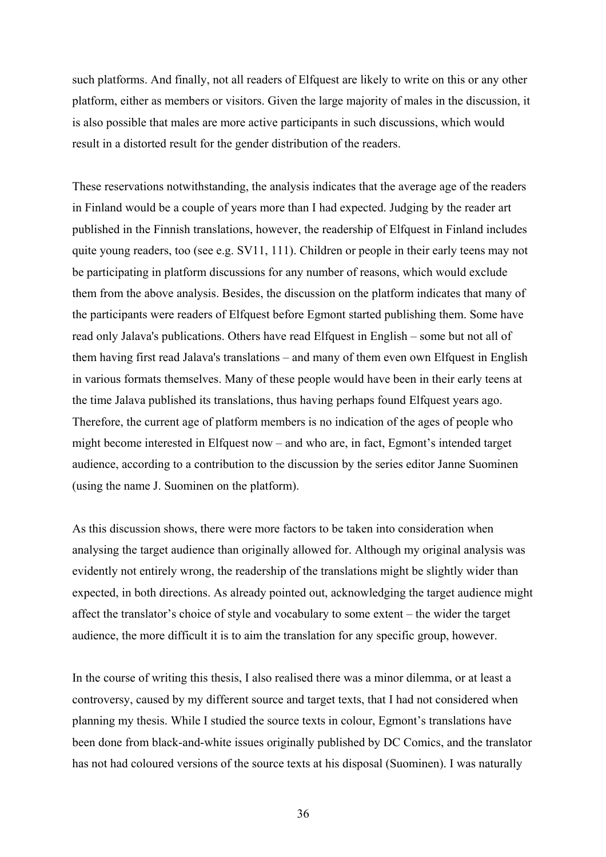such platforms. And finally, not all readers of Elfquest are likely to write on this or any other platform, either as members or visitors. Given the large majority of males in the discussion, it is also possible that males are more active participants in such discussions, which would result in a distorted result for the gender distribution of the readers.

These reservations notwithstanding, the analysis indicates that the average age of the readers in Finland would be a couple of years more than I had expected. Judging by the reader art published in the Finnish translations, however, the readership of Elfquest in Finland includes quite young readers, too (see e.g. SV11, 111). Children or people in their early teens may not be participating in platform discussions for any number of reasons, which would exclude them from the above analysis. Besides, the discussion on the platform indicates that many of the participants were readers of Elfquest before Egmont started publishing them. Some have read only Jalava's publications. Others have read Elfquest in English – some but not all of them having first read Jalava's translations – and many of them even own Elfquest in English in various formats themselves. Many of these people would have been in their early teens at the time Jalava published its translations, thus having perhaps found Elfquest years ago. Therefore, the current age of platform members is no indication of the ages of people who might become interested in Elfquest now – and who are, in fact, Egmont's intended target audience, according to a contribution to the discussion by the series editor Janne Suominen (using the name J. Suominen on the platform).

As this discussion shows, there were more factors to be taken into consideration when analysing the target audience than originally allowed for. Although my original analysis was evidently not entirely wrong, the readership of the translations might be slightly wider than expected, in both directions. As already pointed out, acknowledging the target audience might affect the translator's choice of style and vocabulary to some extent – the wider the target audience, the more difficult it is to aim the translation for any specific group, however.

In the course of writing this thesis, I also realised there was a minor dilemma, or at least a controversy, caused by my different source and target texts, that I had not considered when planning my thesis. While I studied the source texts in colour, Egmont's translations have been done from black-and-white issues originally published by DC Comics, and the translator has not had coloured versions of the source texts at his disposal (Suominen). I was naturally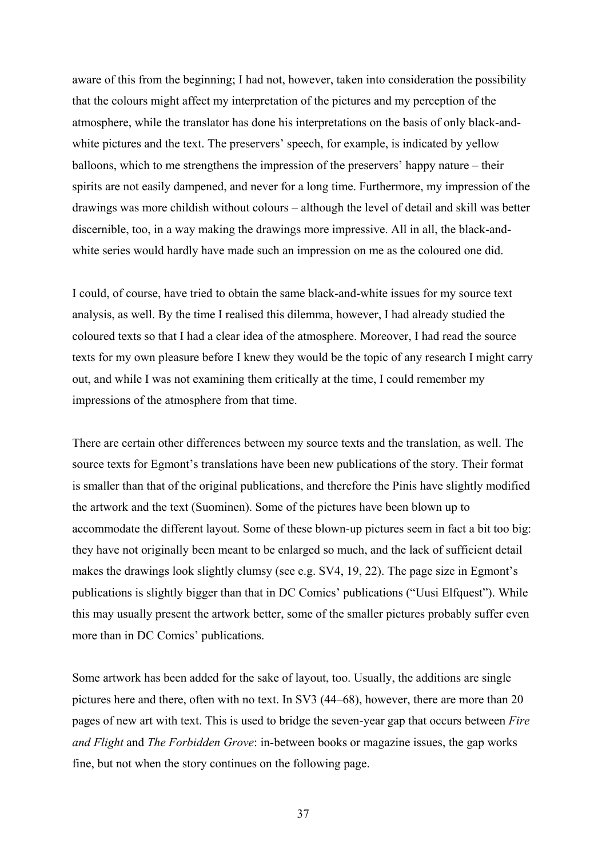aware of this from the beginning; I had not, however, taken into consideration the possibility that the colours might affect my interpretation of the pictures and my perception of the atmosphere, while the translator has done his interpretations on the basis of only black-andwhite pictures and the text. The preservers' speech, for example, is indicated by yellow balloons, which to me strengthens the impression of the preservers' happy nature – their spirits are not easily dampened, and never for a long time. Furthermore, my impression of the drawings was more childish without colours – although the level of detail and skill was better discernible, too, in a way making the drawings more impressive. All in all, the black-andwhite series would hardly have made such an impression on me as the coloured one did.

I could, of course, have tried to obtain the same black-and-white issues for my source text analysis, as well. By the time I realised this dilemma, however, I had already studied the coloured texts so that I had a clear idea of the atmosphere. Moreover, I had read the source texts for my own pleasure before I knew they would be the topic of any research I might carry out, and while I was not examining them critically at the time, I could remember my impressions of the atmosphere from that time.

There are certain other differences between my source texts and the translation, as well. The source texts for Egmont's translations have been new publications of the story. Their format is smaller than that of the original publications, and therefore the Pinis have slightly modified the artwork and the text (Suominen). Some of the pictures have been blown up to accommodate the different layout. Some of these blown-up pictures seem in fact a bit too big: they have not originally been meant to be enlarged so much, and the lack of sufficient detail makes the drawings look slightly clumsy (see e.g. SV4, 19, 22). The page size in Egmont's publications is slightly bigger than that in DC Comics' publications ("Uusi Elfquest"). While this may usually present the artwork better, some of the smaller pictures probably suffer even more than in DC Comics' publications.

Some artwork has been added for the sake of layout, too. Usually, the additions are single pictures here and there, often with no text. In SV3 (44–68), however, there are more than 20 pages of new art with text. This is used to bridge the seven-year gap that occurs between *Fire and Flight* and *The Forbidden Grove*: in-between books or magazine issues, the gap works fine, but not when the story continues on the following page.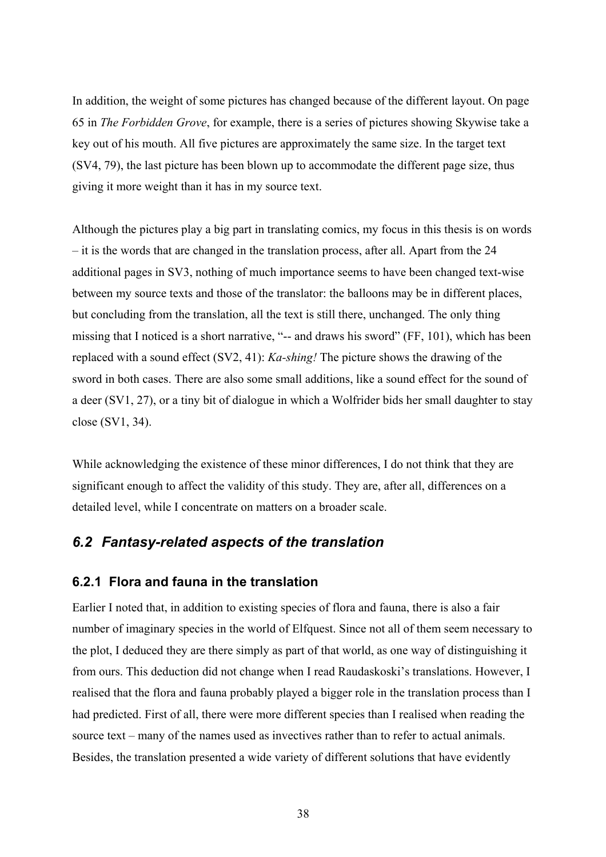In addition, the weight of some pictures has changed because of the different layout. On page 65 in *The Forbidden Grove*, for example, there is a series of pictures showing Skywise take a key out of his mouth. All five pictures are approximately the same size. In the target text (SV4, 79), the last picture has been blown up to accommodate the different page size, thus giving it more weight than it has in my source text.

Although the pictures play a big part in translating comics, my focus in this thesis is on words – it is the words that are changed in the translation process, after all. Apart from the 24 additional pages in SV3, nothing of much importance seems to have been changed text-wise between my source texts and those of the translator: the balloons may be in different places, but concluding from the translation, all the text is still there, unchanged. The only thing missing that I noticed is a short narrative, "-- and draws his sword" (FF, 101), which has been replaced with a sound effect (SV2, 41): *Ka-shing!* The picture shows the drawing of the sword in both cases. There are also some small additions, like a sound effect for the sound of a deer (SV1, 27), or a tiny bit of dialogue in which a Wolfrider bids her small daughter to stay close (SV1, 34).

While acknowledging the existence of these minor differences, I do not think that they are significant enough to affect the validity of this study. They are, after all, differences on a detailed level, while I concentrate on matters on a broader scale.

# *6.2 Fantasy-related aspects of the translation*

## **6.2.1 Flora and fauna in the translation**

Earlier I noted that, in addition to existing species of flora and fauna, there is also a fair number of imaginary species in the world of Elfquest. Since not all of them seem necessary to the plot, I deduced they are there simply as part of that world, as one way of distinguishing it from ours. This deduction did not change when I read Raudaskoski's translations. However, I realised that the flora and fauna probably played a bigger role in the translation process than I had predicted. First of all, there were more different species than I realised when reading the source text – many of the names used as invectives rather than to refer to actual animals. Besides, the translation presented a wide variety of different solutions that have evidently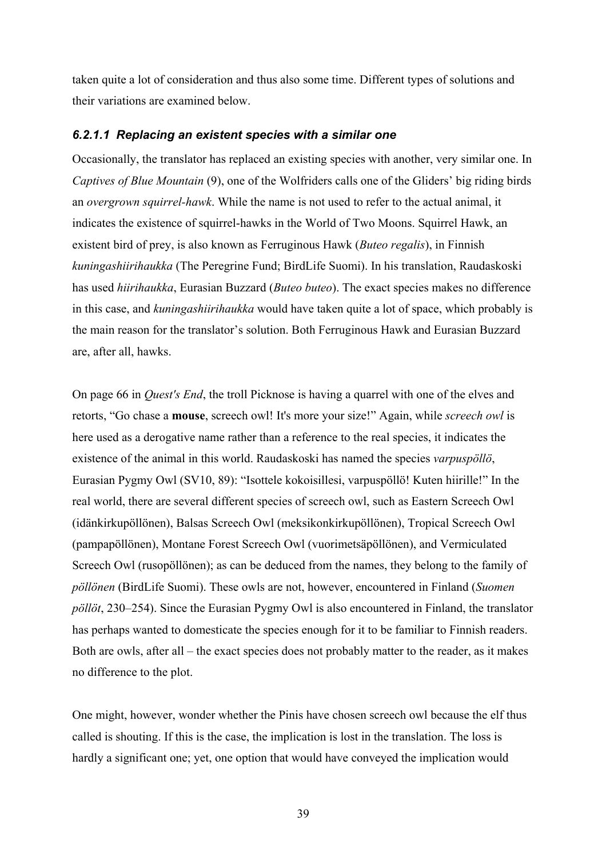taken quite a lot of consideration and thus also some time. Different types of solutions and their variations are examined below.

### *6.2.1.1 Replacing an existent species with a similar one*

Occasionally, the translator has replaced an existing species with another, very similar one. In *Captives of Blue Mountain* (9), one of the Wolfriders calls one of the Gliders' big riding birds an *overgrown squirrel-hawk*. While the name is not used to refer to the actual animal, it indicates the existence of squirrel-hawks in the World of Two Moons. Squirrel Hawk, an existent bird of prey, is also known as Ferruginous Hawk (*Buteo regalis*), in Finnish *kuningashiirihaukka* (The Peregrine Fund; BirdLife Suomi). In his translation, Raudaskoski has used *hiirihaukka*, Eurasian Buzzard (*Buteo buteo*). The exact species makes no difference in this case, and *kuningashiirihaukka* would have taken quite a lot of space, which probably is the main reason for the translator's solution. Both Ferruginous Hawk and Eurasian Buzzard are, after all, hawks.

On page 66 in *Quest's End*, the troll Picknose is having a quarrel with one of the elves and retorts, "Go chase a **mouse**, screech owl! It's more your size!" Again, while *screech owl* is here used as a derogative name rather than a reference to the real species, it indicates the existence of the animal in this world. Raudaskoski has named the species *varpuspöllö*, Eurasian Pygmy Owl (SV10, 89): "Isottele kokoisillesi, varpuspöllö! Kuten hiirille!" In the real world, there are several different species of screech owl, such as Eastern Screech Owl (idänkirkupöllönen), Balsas Screech Owl (meksikonkirkupöllönen), Tropical Screech Owl (pampapöllönen), Montane Forest Screech Owl (vuorimetsäpöllönen), and Vermiculated Screech Owl (rusopöllönen); as can be deduced from the names, they belong to the family of *pöllönen* (BirdLife Suomi). These owls are not, however, encountered in Finland (*Suomen pöllöt*, 230–254). Since the Eurasian Pygmy Owl is also encountered in Finland, the translator has perhaps wanted to domesticate the species enough for it to be familiar to Finnish readers. Both are owls, after all – the exact species does not probably matter to the reader, as it makes no difference to the plot.

One might, however, wonder whether the Pinis have chosen screech owl because the elf thus called is shouting. If this is the case, the implication is lost in the translation. The loss is hardly a significant one; yet, one option that would have conveyed the implication would

39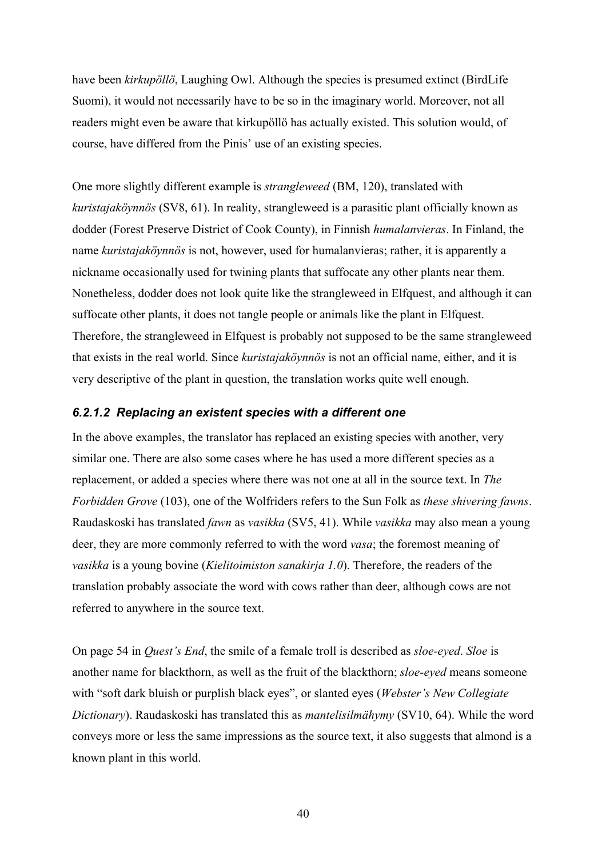have been *kirkupöllö*, Laughing Owl. Although the species is presumed extinct (BirdLife Suomi), it would not necessarily have to be so in the imaginary world. Moreover, not all readers might even be aware that kirkupöllö has actually existed. This solution would, of course, have differed from the Pinis' use of an existing species.

One more slightly different example is *strangleweed* (BM, 120), translated with *kuristajaköynnös* (SV8, 61). In reality, strangleweed is a parasitic plant officially known as dodder (Forest Preserve District of Cook County), in Finnish *humalanvieras*. In Finland, the name *kuristajaköynnös* is not, however, used for humalanvieras; rather, it is apparently a nickname occasionally used for twining plants that suffocate any other plants near them. Nonetheless, dodder does not look quite like the strangleweed in Elfquest, and although it can suffocate other plants, it does not tangle people or animals like the plant in Elfquest. Therefore, the strangleweed in Elfquest is probably not supposed to be the same strangleweed that exists in the real world. Since *kuristajaköynnös* is not an official name, either, and it is very descriptive of the plant in question, the translation works quite well enough.

#### *6.2.1.2 Replacing an existent species with a different one*

In the above examples, the translator has replaced an existing species with another, very similar one. There are also some cases where he has used a more different species as a replacement, or added a species where there was not one at all in the source text. In *The Forbidden Grove* (103), one of the Wolfriders refers to the Sun Folk as *these shivering fawns*. Raudaskoski has translated *fawn* as *vasikka* (SV5, 41). While *vasikka* may also mean a young deer, they are more commonly referred to with the word *vasa*; the foremost meaning of *vasikka* is a young bovine (*Kielitoimiston sanakirja 1.0*). Therefore, the readers of the translation probably associate the word with cows rather than deer, although cows are not referred to anywhere in the source text.

On page 54 in *Quest's End*, the smile of a female troll is described as *sloe-eyed*. *Sloe* is another name for blackthorn, as well as the fruit of the blackthorn; *sloe-eyed* means someone with "soft dark bluish or purplish black eyes", or slanted eyes (*Webster's New Collegiate Dictionary*). Raudaskoski has translated this as *mantelisilmähymy* (SV10, 64). While the word conveys more or less the same impressions as the source text, it also suggests that almond is a known plant in this world.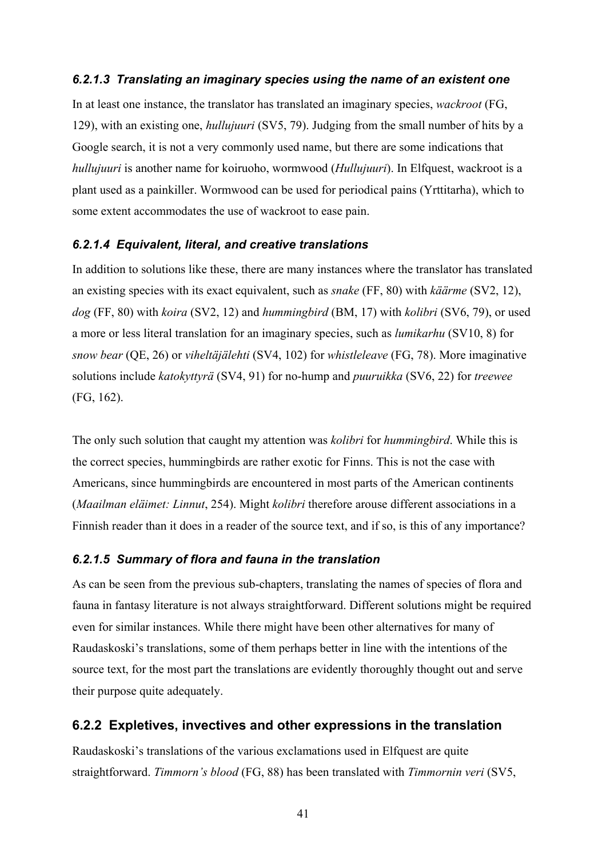### *6.2.1.3 Translating an imaginary species using the name of an existent one*

In at least one instance, the translator has translated an imaginary species, *wackroot* (FG, 129), with an existing one, *hullujuuri* (SV5, 79). Judging from the small number of hits by a Google search, it is not a very commonly used name, but there are some indications that *hullujuuri* is another name for koiruoho, wormwood (*Hullujuuri*). In Elfquest, wackroot is a plant used as a painkiller. Wormwood can be used for periodical pains (Yrttitarha), which to some extent accommodates the use of wackroot to ease pain.

#### *6.2.1.4 Equivalent, literal, and creative translations*

In addition to solutions like these, there are many instances where the translator has translated an existing species with its exact equivalent, such as *snake* (FF, 80) with *käärme* (SV2, 12), *dog* (FF, 80) with *koira* (SV2, 12) and *hummingbird* (BM, 17) with *kolibri* (SV6, 79), or used a more or less literal translation for an imaginary species, such as *lumikarhu* (SV10, 8) for *snow bear* (QE, 26) or *viheltäjälehti* (SV4, 102) for *whistleleave* (FG, 78). More imaginative solutions include *katokyttyrä* (SV4, 91) for no-hump and *puuruikka* (SV6, 22) for *treewee* (FG, 162).

The only such solution that caught my attention was *kolibri* for *hummingbird*. While this is the correct species, hummingbirds are rather exotic for Finns. This is not the case with Americans, since hummingbirds are encountered in most parts of the American continents (*Maailman eläimet: Linnut*, 254). Might *kolibri* therefore arouse different associations in a Finnish reader than it does in a reader of the source text, and if so, is this of any importance?

#### *6.2.1.5 Summary of flora and fauna in the translation*

As can be seen from the previous sub-chapters, translating the names of species of flora and fauna in fantasy literature is not always straightforward. Different solutions might be required even for similar instances. While there might have been other alternatives for many of Raudaskoski's translations, some of them perhaps better in line with the intentions of the source text, for the most part the translations are evidently thoroughly thought out and serve their purpose quite adequately.

### **6.2.2 Expletives, invectives and other expressions in the translation**

Raudaskoski's translations of the various exclamations used in Elfquest are quite straightforward. *Timmorn's blood* (FG, 88) has been translated with *Timmornin veri* (SV5,

41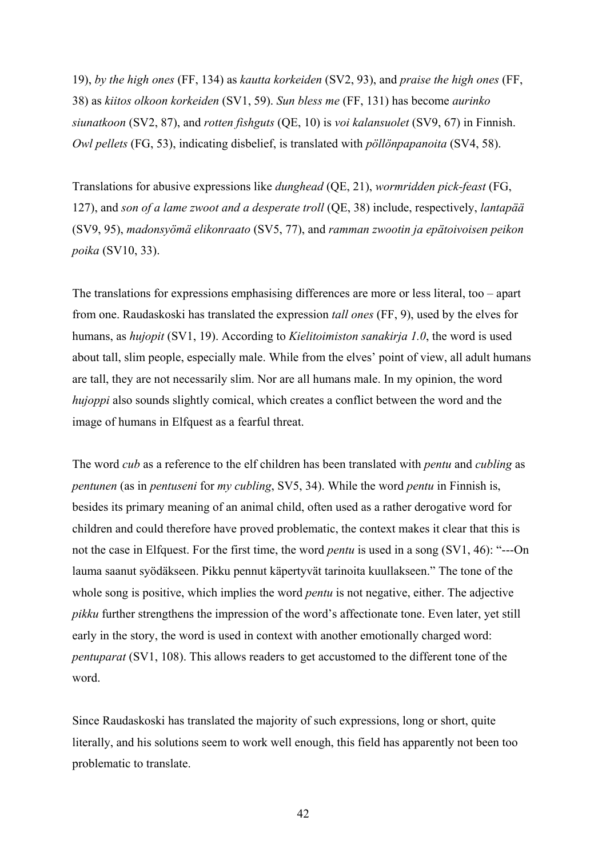19), *by the high ones* (FF, 134) as *kautta korkeiden* (SV2, 93), and *praise the high ones* (FF, 38) as *kiitos olkoon korkeiden* (SV1, 59). *Sun bless me* (FF, 131) has become *aurinko siunatkoon* (SV2, 87), and *rotten fishguts* (QE, 10) is *voi kalansuolet* (SV9, 67) in Finnish. *Owl pellets* (FG, 53), indicating disbelief, is translated with *pöllönpapanoita* (SV4, 58).

Translations for abusive expressions like *dunghead* (QE, 21), *wormridden pick-feast* (FG, 127), and *son of a lame zwoot and a desperate troll* (QE, 38) include, respectively, *lantapää* (SV9, 95), *madonsyömä elikonraato* (SV5, 77), and *ramman zwootin ja epätoivoisen peikon poika* (SV10, 33).

The translations for expressions emphasising differences are more or less literal, too – apart from one. Raudaskoski has translated the expression *tall ones* (FF, 9), used by the elves for humans, as *hujopit* (SV1, 19). According to *Kielitoimiston sanakirja 1.0*, the word is used about tall, slim people, especially male. While from the elves' point of view, all adult humans are tall, they are not necessarily slim. Nor are all humans male. In my opinion, the word *hujoppi* also sounds slightly comical, which creates a conflict between the word and the image of humans in Elfquest as a fearful threat.

The word *cub* as a reference to the elf children has been translated with *pentu* and *cubling* as *pentunen* (as in *pentuseni* for *my cubling*, SV5, 34). While the word *pentu* in Finnish is, besides its primary meaning of an animal child, often used as a rather derogative word for children and could therefore have proved problematic, the context makes it clear that this is not the case in Elfquest. For the first time, the word *pentu* is used in a song (SV1, 46): "---On lauma saanut syödäkseen. Pikku pennut käpertyvät tarinoita kuullakseen." The tone of the whole song is positive, which implies the word *pentu* is not negative, either. The adjective *pikku* further strengthens the impression of the word's affectionate tone. Even later, yet still early in the story, the word is used in context with another emotionally charged word: *pentuparat* (SV1, 108). This allows readers to get accustomed to the different tone of the word.

Since Raudaskoski has translated the majority of such expressions, long or short, quite literally, and his solutions seem to work well enough, this field has apparently not been too problematic to translate.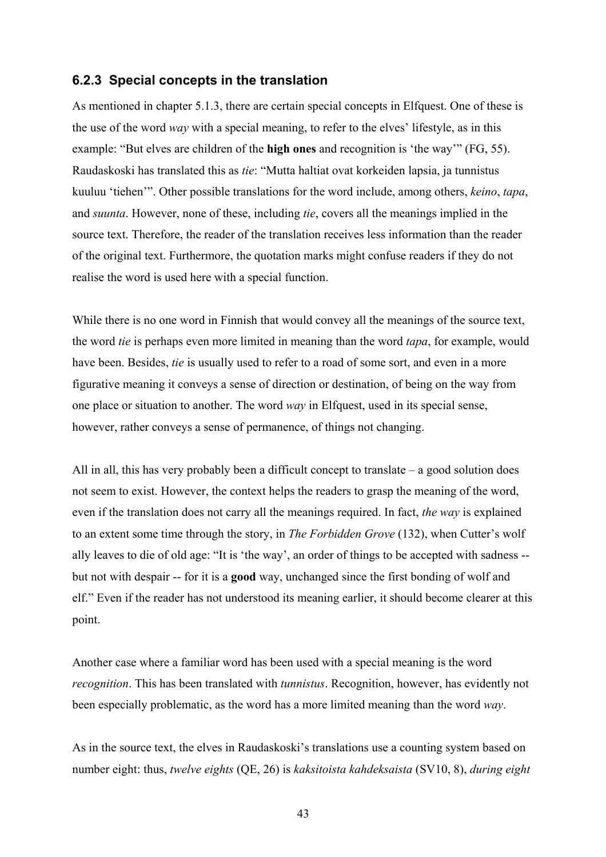### **6.2.3 Special concepts in the translation**

As mentioned in chapter 5.1.3, there are certain special concepts in Elfquest. One of these is the use of the word *way* with a special meaning, to refer to the elves' lifestyle, as in this example: "But elves are children of the **high ones** and recognition is 'the way'" (FG, 55). Raudaskoski has translated this as *tie*: "Mutta haltiat ovat korkeiden lapsia, ja tunnistus kuuluu 'tiehen'". Other possible translations for the word include, among others, *keino*, *tapa*, and *suunta*. However, none of these, including *tie*, covers all the meanings implied in the source text. Therefore, the reader of the translation receives less information than the reader of the original text. Furthermore, the quotation marks might confuse readers if they do not realise the word is used here with a special function.

While there is no one word in Finnish that would convey all the meanings of the source text, the word *tie* is perhaps even more limited in meaning than the word *tapa*, for example, would have been. Besides, *tie* is usually used to refer to a road of some sort, and even in a more figurative meaning it conveys a sense of direction or destination, of being on the way from one place or situation to another. The word *way* in Elfquest, used in its special sense, however, rather conveys a sense of permanence, of things not changing.

All in all, this has very probably been a difficult concept to translate – a good solution does not seem to exist. However, the context helps the readers to grasp the meaning of the word, even if the translation does not carry all the meanings required. In fact, *the way* is explained to an extent some time through the story, in *The Forbidden Grove* (132), when Cutter's wolf ally leaves to die of old age: "It is 'the way', an order of things to be accepted with sadness - but not with despair -- for it is a **good** way, unchanged since the first bonding of wolf and elf." Even if the reader has not understood its meaning earlier, it should become clearer at this point.

Another case where a familiar word has been used with a special meaning is the word *recognition*. This has been translated with *tunnistus*. Recognition, however, has evidently not been especially problematic, as the word has a more limited meaning than the word *way*.

As in the source text, the elves in Raudaskoski's translations use a counting system based on number eight: thus, *twelve eights* (QE, 26) is *kaksitoista kahdeksaista* (SV10, 8), *during eight* 

43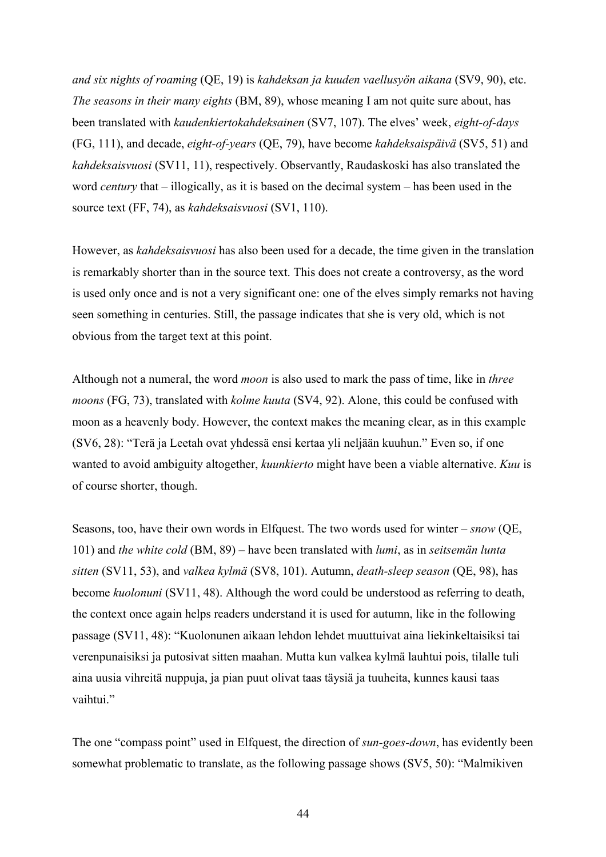*and six nights of roaming* (QE, 19) is *kahdeksan ja kuuden vaellusyön aikana* (SV9, 90), etc. *The seasons in their many eights* (BM, 89), whose meaning I am not quite sure about, has been translated with *kaudenkiertokahdeksainen* (SV7, 107). The elves' week, *eight-of-days* (FG, 111), and decade, *eight-of-years* (QE, 79), have become *kahdeksaispäivä* (SV5, 51) and *kahdeksaisvuosi* (SV11, 11), respectively. Observantly, Raudaskoski has also translated the word *century* that – illogically, as it is based on the decimal system – has been used in the source text (FF, 74), as *kahdeksaisvuosi* (SV1, 110).

However, as *kahdeksaisvuosi* has also been used for a decade, the time given in the translation is remarkably shorter than in the source text. This does not create a controversy, as the word is used only once and is not a very significant one: one of the elves simply remarks not having seen something in centuries. Still, the passage indicates that she is very old, which is not obvious from the target text at this point.

Although not a numeral, the word *moon* is also used to mark the pass of time, like in *three moons* (FG, 73), translated with *kolme kuuta* (SV4, 92). Alone, this could be confused with moon as a heavenly body. However, the context makes the meaning clear, as in this example (SV6, 28): "Terä ja Leetah ovat yhdessä ensi kertaa yli neljään kuuhun." Even so, if one wanted to avoid ambiguity altogether, *kuunkierto* might have been a viable alternative. *Kuu* is of course shorter, though.

Seasons, too, have their own words in Elfquest. The two words used for winter – *snow* (QE, 101) and *the white cold* (BM, 89) – have been translated with *lumi*, as in *seitsemän lunta sitten* (SV11, 53), and *valkea kylmä* (SV8, 101). Autumn, *death-sleep season* (QE, 98), has become *kuolonuni* (SV11, 48). Although the word could be understood as referring to death, the context once again helps readers understand it is used for autumn, like in the following passage (SV11, 48): "Kuolonunen aikaan lehdon lehdet muuttuivat aina liekinkeltaisiksi tai verenpunaisiksi ja putosivat sitten maahan. Mutta kun valkea kylmä lauhtui pois, tilalle tuli aina uusia vihreitä nuppuja, ja pian puut olivat taas täysiä ja tuuheita, kunnes kausi taas vaihtui."

The one "compass point" used in Elfquest, the direction of *sun-goes-down*, has evidently been somewhat problematic to translate, as the following passage shows (SV5, 50): "Malmikiven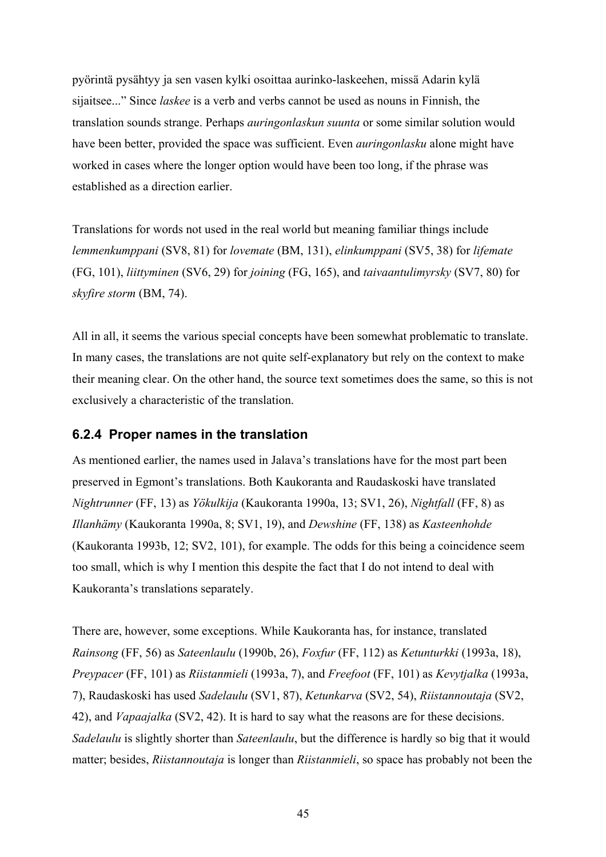pyörintä pysähtyy ja sen vasen kylki osoittaa aurinko-laskeehen, missä Adarin kylä sijaitsee..." Since *laskee* is a verb and verbs cannot be used as nouns in Finnish, the translation sounds strange. Perhaps *auringonlaskun suunta* or some similar solution would have been better, provided the space was sufficient. Even *auringonlasku* alone might have worked in cases where the longer option would have been too long, if the phrase was established as a direction earlier.

Translations for words not used in the real world but meaning familiar things include *lemmenkumppani* (SV8, 81) for *lovemate* (BM, 131), *elinkumppani* (SV5, 38) for *lifemate* (FG, 101), *liittyminen* (SV6, 29) for *joining* (FG, 165), and *taivaantulimyrsky* (SV7, 80) for *skyfire storm* (BM, 74).

All in all, it seems the various special concepts have been somewhat problematic to translate. In many cases, the translations are not quite self-explanatory but rely on the context to make their meaning clear. On the other hand, the source text sometimes does the same, so this is not exclusively a characteristic of the translation.

### **6.2.4 Proper names in the translation**

As mentioned earlier, the names used in Jalava's translations have for the most part been preserved in Egmont's translations. Both Kaukoranta and Raudaskoski have translated *Nightrunner* (FF, 13) as *Yökulkija* (Kaukoranta 1990a, 13; SV1, 26), *Nightfall* (FF, 8) as *Illanhämy* (Kaukoranta 1990a, 8; SV1, 19), and *Dewshine* (FF, 138) as *Kasteenhohde* (Kaukoranta 1993b, 12; SV2, 101), for example. The odds for this being a coincidence seem too small, which is why I mention this despite the fact that I do not intend to deal with Kaukoranta's translations separately.

There are, however, some exceptions. While Kaukoranta has, for instance, translated *Rainsong* (FF, 56) as *Sateenlaulu* (1990b, 26), *Foxfur* (FF, 112) as *Ketunturkki* (1993a, 18), *Preypacer* (FF, 101) as *Riistanmieli* (1993a, 7), and *Freefoot* (FF, 101) as *Kevytjalka* (1993a, 7), Raudaskoski has used *Sadelaulu* (SV1, 87), *Ketunkarva* (SV2, 54), *Riistannoutaja* (SV2, 42), and *Vapaajalka* (SV2, 42). It is hard to say what the reasons are for these decisions. *Sadelaulu* is slightly shorter than *Sateenlaulu*, but the difference is hardly so big that it would matter; besides, *Riistannoutaja* is longer than *Riistanmieli*, so space has probably not been the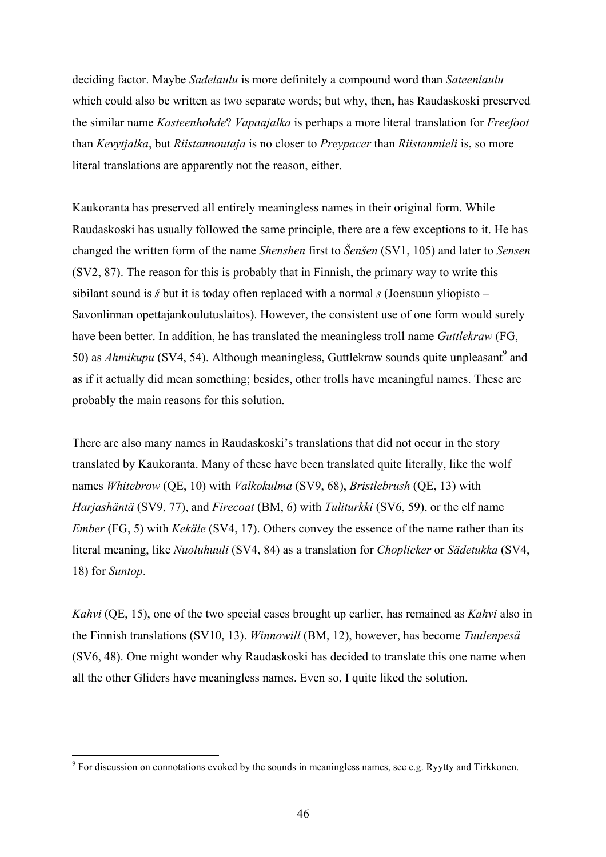deciding factor. Maybe *Sadelaulu* is more definitely a compound word than *Sateenlaulu* which could also be written as two separate words; but why, then, has Raudaskoski preserved the similar name *Kasteenhohde*? *Vapaajalka* is perhaps a more literal translation for *Freefoot* than *Kevytjalka*, but *Riistannoutaja* is no closer to *Preypacer* than *Riistanmieli* is, so more literal translations are apparently not the reason, either.

Kaukoranta has preserved all entirely meaningless names in their original form. While Raudaskoski has usually followed the same principle, there are a few exceptions to it. He has changed the written form of the name *Shenshen* first to *Šenšen* (SV1, 105) and later to *Sensen* (SV2, 87). The reason for this is probably that in Finnish, the primary way to write this sibilant sound is *š* but it is today often replaced with a normal *s* (Joensuun yliopisto – Savonlinnan opettajankoulutuslaitos). However, the consistent use of one form would surely have been better. In addition, he has translated the meaningless troll name *Guttlekraw* (FG, 50) as *Ahmikupu* (SV4, 54). Although meaningless, Guttlekraw sounds quite unpleasant<sup>9</sup> and as if it actually did mean something; besides, other trolls have meaningful names. These are probably the main reasons for this solution.

There are also many names in Raudaskoski's translations that did not occur in the story translated by Kaukoranta. Many of these have been translated quite literally, like the wolf names *Whitebrow* (QE, 10) with *Valkokulma* (SV9, 68), *Bristlebrush* (QE, 13) with *Harjashäntä* (SV9, 77), and *Firecoat* (BM, 6) with *Tuliturkki* (SV6, 59), or the elf name *Ember* (FG, 5) with *Kekäle* (SV4, 17). Others convey the essence of the name rather than its literal meaning, like *Nuoluhuuli* (SV4, 84) as a translation for *Choplicker* or *Sädetukka* (SV4, 18) for *Suntop*.

*Kahvi* (QE, 15), one of the two special cases brought up earlier, has remained as *Kahvi* also in the Finnish translations (SV10, 13). *Winnowill* (BM, 12), however, has become *Tuulenpesä* (SV6, 48). One might wonder why Raudaskoski has decided to translate this one name when all the other Gliders have meaningless names. Even so, I quite liked the solution.

 $\overline{a}$ 

 $9^9$  For discussion on connotations evoked by the sounds in meaningless names, see e.g. Ryytty and Tirkkonen.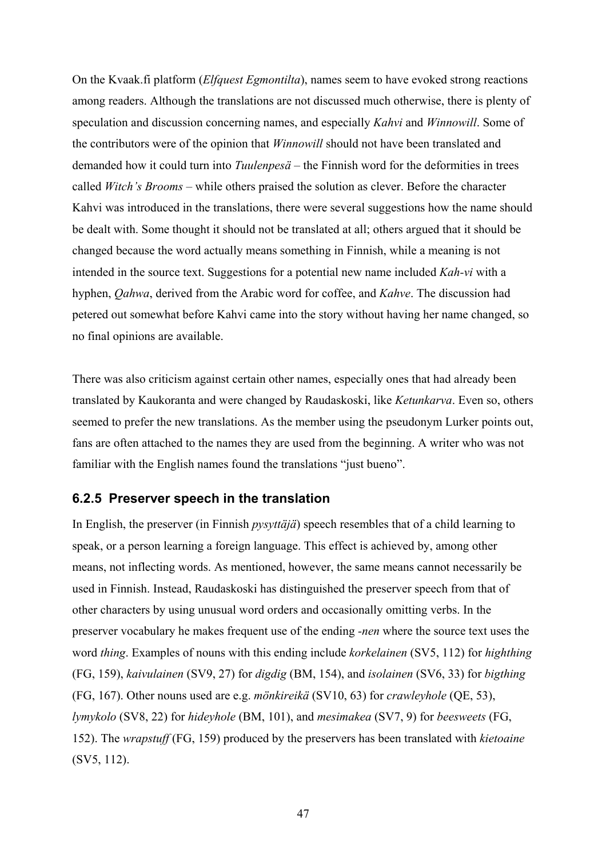On the Kvaak.fi platform (*Elfquest Egmontilta*), names seem to have evoked strong reactions among readers. Although the translations are not discussed much otherwise, there is plenty of speculation and discussion concerning names, and especially *Kahvi* and *Winnowill*. Some of the contributors were of the opinion that *Winnowill* should not have been translated and demanded how it could turn into *Tuulenpesä* – the Finnish word for the deformities in trees called *Witch's Brooms* – while others praised the solution as clever. Before the character Kahvi was introduced in the translations, there were several suggestions how the name should be dealt with. Some thought it should not be translated at all; others argued that it should be changed because the word actually means something in Finnish, while a meaning is not intended in the source text. Suggestions for a potential new name included *Kah-vi* with a hyphen, *Qahwa*, derived from the Arabic word for coffee, and *Kahve*. The discussion had petered out somewhat before Kahvi came into the story without having her name changed, so no final opinions are available.

There was also criticism against certain other names, especially ones that had already been translated by Kaukoranta and were changed by Raudaskoski, like *Ketunkarva*. Even so, others seemed to prefer the new translations. As the member using the pseudonym Lurker points out, fans are often attached to the names they are used from the beginning. A writer who was not familiar with the English names found the translations "just bueno".

### **6.2.5 Preserver speech in the translation**

In English, the preserver (in Finnish *pysyttäjä*) speech resembles that of a child learning to speak, or a person learning a foreign language. This effect is achieved by, among other means, not inflecting words. As mentioned, however, the same means cannot necessarily be used in Finnish. Instead, Raudaskoski has distinguished the preserver speech from that of other characters by using unusual word orders and occasionally omitting verbs. In the preserver vocabulary he makes frequent use of the ending *-nen* where the source text uses the word *thing*. Examples of nouns with this ending include *korkelainen* (SV5, 112) for *highthing* (FG, 159), *kaivulainen* (SV9, 27) for *digdig* (BM, 154), and *isolainen* (SV6, 33) for *bigthing* (FG, 167). Other nouns used are e.g. *mönkireikä* (SV10, 63) for *crawleyhole* (QE, 53), *lymykolo* (SV8, 22) for *hideyhole* (BM, 101), and *mesimakea* (SV7, 9) for *beesweets* (FG, 152). The *wrapstuff* (FG, 159) produced by the preservers has been translated with *kietoaine* (SV5, 112).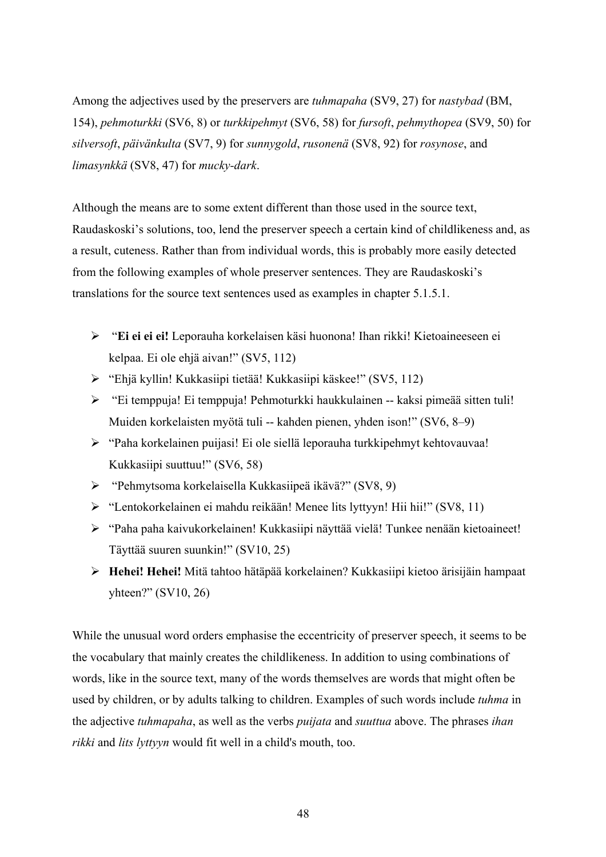Among the adjectives used by the preservers are *tuhmapaha* (SV9, 27) for *nastybad* (BM, 154), *pehmoturkki* (SV6, 8) or *turkkipehmyt* (SV6, 58) for *fursoft*, *pehmythopea* (SV9, 50) for *silversoft*, *päivänkulta* (SV7, 9) for *sunnygold*, *rusonenä* (SV8, 92) for *rosynose*, and *limasynkkä* (SV8, 47) for *mucky-dark*.

Although the means are to some extent different than those used in the source text, Raudaskoski's solutions, too, lend the preserver speech a certain kind of childlikeness and, as a result, cuteness. Rather than from individual words, this is probably more easily detected from the following examples of whole preserver sentences. They are Raudaskoski's translations for the source text sentences used as examples in chapter 5.1.5.1.

- ¾ "**Ei ei ei ei!** Leporauha korkelaisen käsi huonona! Ihan rikki! Kietoaineeseen ei kelpaa. Ei ole ehjä aivan!" (SV5, 112)
- ¾ "Ehjä kyllin! Kukkasiipi tietää! Kukkasiipi käskee!" (SV5, 112)
- ¾ "Ei temppuja! Ei temppuja! Pehmoturkki haukkulainen -- kaksi pimeää sitten tuli! Muiden korkelaisten myötä tuli -- kahden pienen, yhden ison!" (SV6, 8–9)
- ¾ "Paha korkelainen puijasi! Ei ole siellä leporauha turkkipehmyt kehtovauvaa! Kukkasiipi suuttuu!" (SV6, 58)
- ¾ "Pehmytsoma korkelaisella Kukkasiipeä ikävä?" (SV8, 9)
- ¾ "Lentokorkelainen ei mahdu reikään! Menee lits lyttyyn! Hii hii!" (SV8, 11)
- ¾ "Paha paha kaivukorkelainen! Kukkasiipi näyttää vielä! Tunkee nenään kietoaineet! Täyttää suuren suunkin!" (SV10, 25)
- ¾ **Hehei! Hehei!** Mitä tahtoo hätäpää korkelainen? Kukkasiipi kietoo ärisijäin hampaat yhteen?" (SV10, 26)

While the unusual word orders emphasise the eccentricity of preserver speech, it seems to be the vocabulary that mainly creates the childlikeness. In addition to using combinations of words, like in the source text, many of the words themselves are words that might often be used by children, or by adults talking to children. Examples of such words include *tuhma* in the adjective *tuhmapaha*, as well as the verbs *puijata* and *suuttua* above. The phrases *ihan rikki* and *lits lyttyyn* would fit well in a child's mouth, too.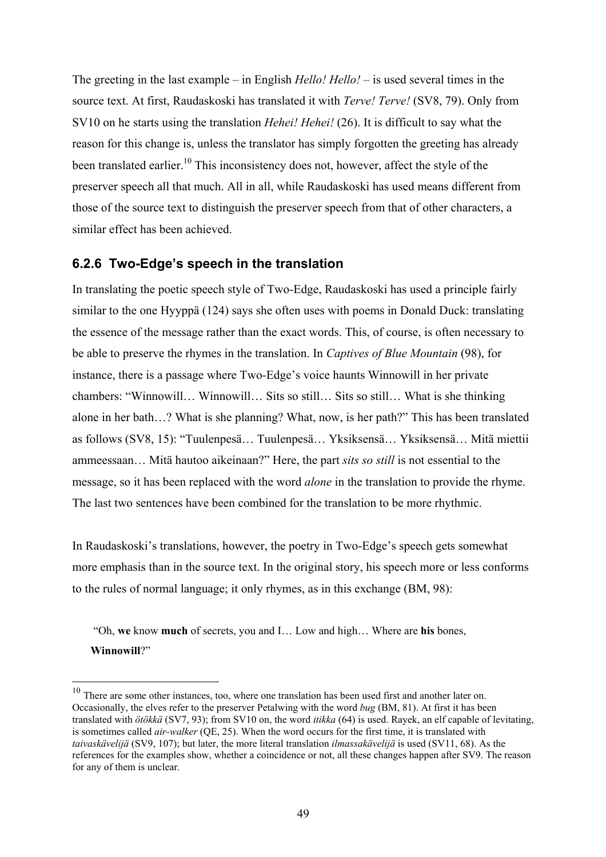The greeting in the last example – in English *Hello! Hello!* – is used several times in the source text. At first, Raudaskoski has translated it with *Terve! Terve!* (SV8, 79). Only from SV10 on he starts using the translation *Hehei! Hehei!* (26). It is difficult to say what the reason for this change is, unless the translator has simply forgotten the greeting has already been translated earlier.<sup>10</sup> This inconsistency does not, however, affect the style of the preserver speech all that much. All in all, while Raudaskoski has used means different from those of the source text to distinguish the preserver speech from that of other characters, a similar effect has been achieved.

## **6.2.6 Two-Edge's speech in the translation**

In translating the poetic speech style of Two-Edge, Raudaskoski has used a principle fairly similar to the one Hyyppä (124) says she often uses with poems in Donald Duck: translating the essence of the message rather than the exact words. This, of course, is often necessary to be able to preserve the rhymes in the translation. In *Captives of Blue Mountain* (98), for instance, there is a passage where Two-Edge's voice haunts Winnowill in her private chambers: "Winnowill… Winnowill… Sits so still… Sits so still… What is she thinking alone in her bath…? What is she planning? What, now, is her path?" This has been translated as follows (SV8, 15): "Tuulenpesä… Tuulenpesä… Yksiksensä… Yksiksensä… Mitä miettii ammeessaan… Mitä hautoo aikeinaan?" Here, the part *sits so still* is not essential to the message, so it has been replaced with the word *alone* in the translation to provide the rhyme. The last two sentences have been combined for the translation to be more rhythmic.

In Raudaskoski's translations, however, the poetry in Two-Edge's speech gets somewhat more emphasis than in the source text. In the original story, his speech more or less conforms to the rules of normal language; it only rhymes, as in this exchange (BM, 98):

 "Oh, **we** know **much** of secrets, you and I… Low and high… Where are **his** bones, **Winnowill**?"

 $\overline{a}$ 

 $10$  There are some other instances, too, where one translation has been used first and another later on. Occasionally, the elves refer to the preserver Petalwing with the word *bug* (BM, 81). At first it has been translated with *ötökkä* (SV7, 93); from SV10 on, the word *itikka* (64) is used. Rayek, an elf capable of levitating, is sometimes called *air-walker* (QE, 25). When the word occurs for the first time, it is translated with *taivaskävelijä* (SV9, 107); but later, the more literal translation *ilmassakävelijä* is used (SV11, 68). As the references for the examples show, whether a coincidence or not, all these changes happen after SV9. The reason for any of them is unclear.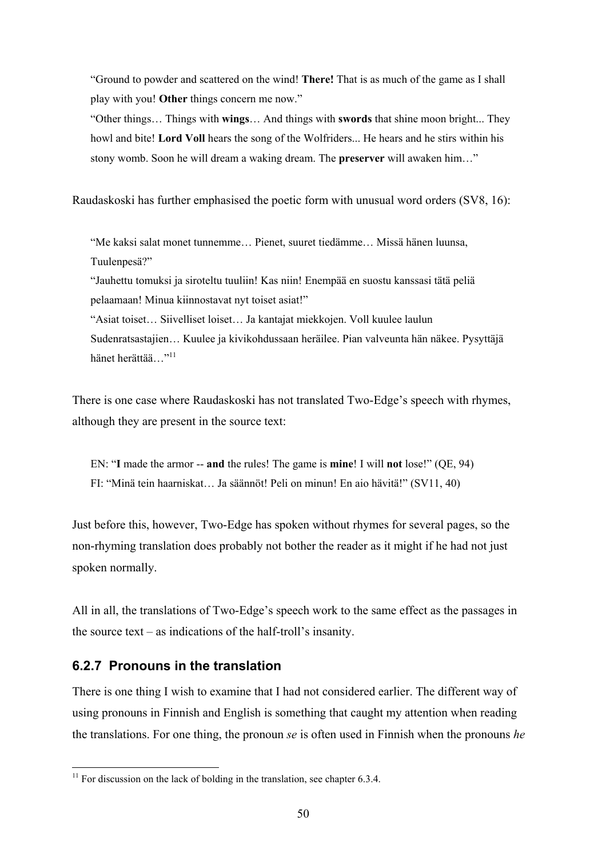"Ground to powder and scattered on the wind! **There!** That is as much of the game as I shall play with you! **Other** things concern me now."

"Other things… Things with **wings**… And things with **swords** that shine moon bright... They howl and bite! **Lord Voll** hears the song of the Wolfriders... He hears and he stirs within his stony womb. Soon he will dream a waking dream. The **preserver** will awaken him…"

Raudaskoski has further emphasised the poetic form with unusual word orders (SV8, 16):

"Me kaksi salat monet tunnemme… Pienet, suuret tiedämme… Missä hänen luunsa, Tuulenpesä?"

"Jauhettu tomuksi ja siroteltu tuuliin! Kas niin! Enempää en suostu kanssasi tätä peliä pelaamaan! Minua kiinnostavat nyt toiset asiat!"

"Asiat toiset… Siivelliset loiset… Ja kantajat miekkojen. Voll kuulee laulun Sudenratsastajien… Kuulee ja kivikohdussaan heräilee. Pian valveunta hän näkee. Pysyttäjä hänet herättää..."<sup>11</sup>

There is one case where Raudaskoski has not translated Two-Edge's speech with rhymes, although they are present in the source text:

EN: "**I** made the armor -- **and** the rules! The game is **mine**! I will **not** lose!" (QE, 94) FI: "Minä tein haarniskat… Ja säännöt! Peli on minun! En aio hävitä!" (SV11, 40)

Just before this, however, Two-Edge has spoken without rhymes for several pages, so the non-rhyming translation does probably not bother the reader as it might if he had not just spoken normally.

All in all, the translations of Two-Edge's speech work to the same effect as the passages in the source text – as indications of the half-troll's insanity.

## **6.2.7 Pronouns in the translation**

 $\overline{a}$ 

There is one thing I wish to examine that I had not considered earlier. The different way of using pronouns in Finnish and English is something that caught my attention when reading the translations. For one thing, the pronoun *se* is often used in Finnish when the pronouns *he*

 $11$  For discussion on the lack of bolding in the translation, see chapter 6.3.4.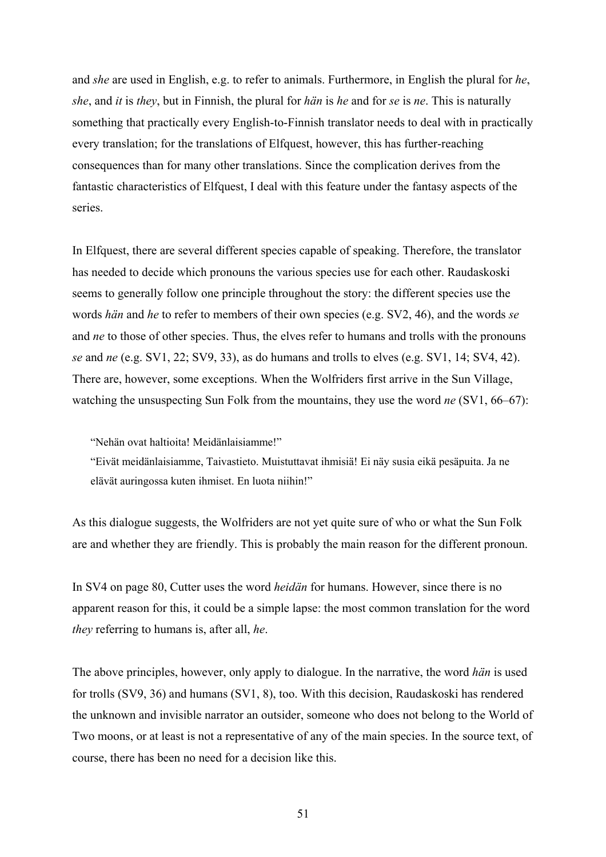and *she* are used in English, e.g. to refer to animals. Furthermore, in English the plural for *he*, *she*, and *it* is *they*, but in Finnish, the plural for *hän* is *he* and for *se* is *ne*. This is naturally something that practically every English-to-Finnish translator needs to deal with in practically every translation; for the translations of Elfquest, however, this has further-reaching consequences than for many other translations. Since the complication derives from the fantastic characteristics of Elfquest, I deal with this feature under the fantasy aspects of the series.

In Elfquest, there are several different species capable of speaking. Therefore, the translator has needed to decide which pronouns the various species use for each other. Raudaskoski seems to generally follow one principle throughout the story: the different species use the words *hän* and *he* to refer to members of their own species (e.g. SV2, 46), and the words *se* and *ne* to those of other species. Thus, the elves refer to humans and trolls with the pronouns *se* and *ne* (e.g. SV1, 22; SV9, 33), as do humans and trolls to elves (e.g. SV1, 14; SV4, 42). There are, however, some exceptions. When the Wolfriders first arrive in the Sun Village, watching the unsuspecting Sun Folk from the mountains, they use the word *ne* (SV1, 66–67):

"Nehän ovat haltioita! Meidänlaisiamme!"

"Eivät meidänlaisiamme, Taivastieto. Muistuttavat ihmisiä! Ei näy susia eikä pesäpuita. Ja ne elävät auringossa kuten ihmiset. En luota niihin!"

As this dialogue suggests, the Wolfriders are not yet quite sure of who or what the Sun Folk are and whether they are friendly. This is probably the main reason for the different pronoun.

In SV4 on page 80, Cutter uses the word *heidän* for humans. However, since there is no apparent reason for this, it could be a simple lapse: the most common translation for the word *they* referring to humans is, after all, *he*.

The above principles, however, only apply to dialogue. In the narrative, the word *hän* is used for trolls (SV9, 36) and humans (SV1, 8), too. With this decision, Raudaskoski has rendered the unknown and invisible narrator an outsider, someone who does not belong to the World of Two moons, or at least is not a representative of any of the main species. In the source text, of course, there has been no need for a decision like this.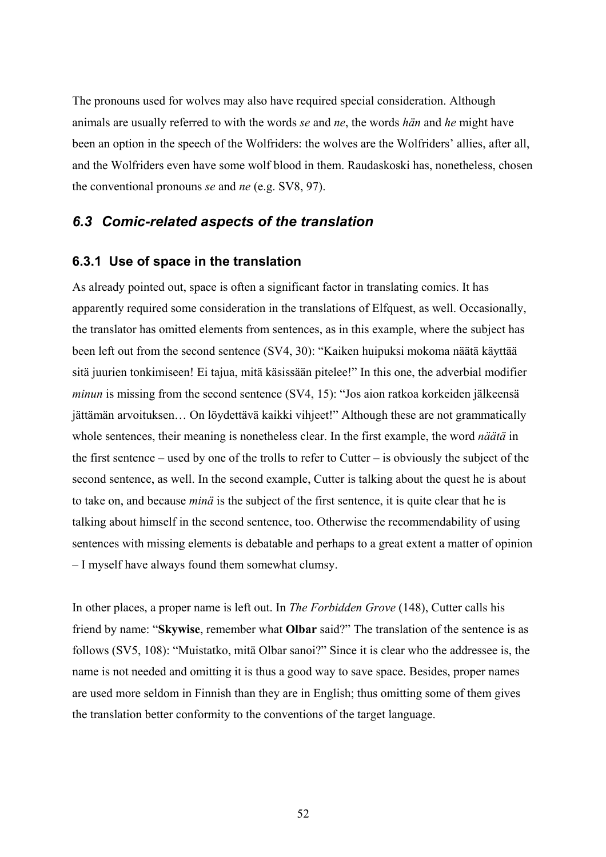The pronouns used for wolves may also have required special consideration. Although animals are usually referred to with the words *se* and *ne*, the words *hän* and *he* might have been an option in the speech of the Wolfriders: the wolves are the Wolfriders' allies, after all, and the Wolfriders even have some wolf blood in them. Raudaskoski has, nonetheless, chosen the conventional pronouns *se* and *ne* (e.g. SV8, 97).

## *6.3 Comic-related aspects of the translation*

#### **6.3.1 Use of space in the translation**

As already pointed out, space is often a significant factor in translating comics. It has apparently required some consideration in the translations of Elfquest, as well. Occasionally, the translator has omitted elements from sentences, as in this example, where the subject has been left out from the second sentence (SV4, 30): "Kaiken huipuksi mokoma näätä käyttää sitä juurien tonkimiseen! Ei tajua, mitä käsissään pitelee!" In this one, the adverbial modifier *minun* is missing from the second sentence (SV4, 15): "Jos aion ratkoa korkeiden jälkeensä jättämän arvoituksen… On löydettävä kaikki vihjeet!" Although these are not grammatically whole sentences, their meaning is nonetheless clear. In the first example, the word *näätä* in the first sentence – used by one of the trolls to refer to Cutter – is obviously the subject of the second sentence, as well. In the second example, Cutter is talking about the quest he is about to take on, and because *minä* is the subject of the first sentence, it is quite clear that he is talking about himself in the second sentence, too. Otherwise the recommendability of using sentences with missing elements is debatable and perhaps to a great extent a matter of opinion – I myself have always found them somewhat clumsy.

In other places, a proper name is left out. In *The Forbidden Grove* (148), Cutter calls his friend by name: "**Skywise**, remember what **Olbar** said?" The translation of the sentence is as follows (SV5, 108): "Muistatko, mitä Olbar sanoi?" Since it is clear who the addressee is, the name is not needed and omitting it is thus a good way to save space. Besides, proper names are used more seldom in Finnish than they are in English; thus omitting some of them gives the translation better conformity to the conventions of the target language.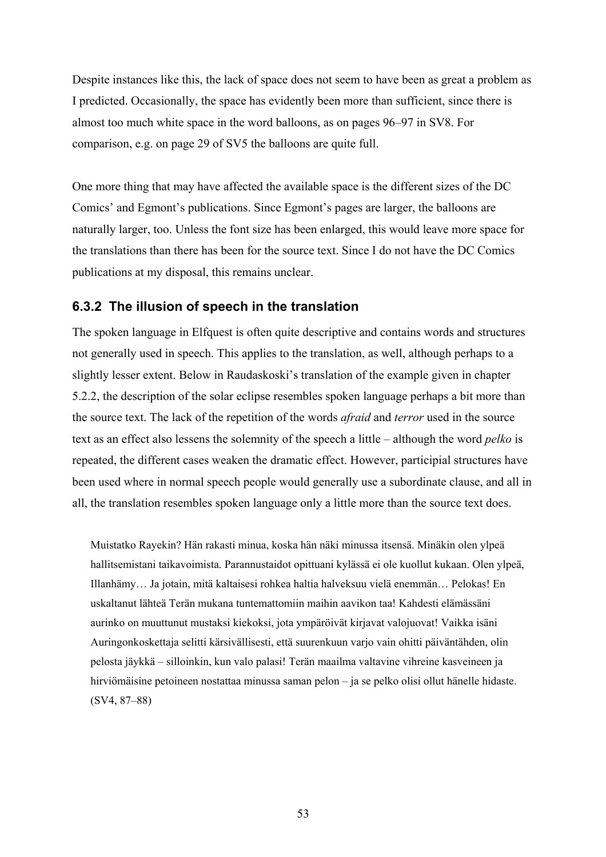Despite instances like this, the lack of space does not seem to have been as great a problem as I predicted. Occasionally, the space has evidently been more than sufficient, since there is almost too much white space in the word balloons, as on pages 96–97 in SV8. For comparison, e.g. on page 29 of SV5 the balloons are quite full.

One more thing that may have affected the available space is the different sizes of the DC Comics' and Egmont's publications. Since Egmont's pages are larger, the balloons are naturally larger, too. Unless the font size has been enlarged, this would leave more space for the translations than there has been for the source text. Since I do not have the DC Comics publications at my disposal, this remains unclear.

## **6.3.2 The illusion of speech in the translation**

The spoken language in Elfquest is often quite descriptive and contains words and structures not generally used in speech. This applies to the translation, as well, although perhaps to a slightly lesser extent. Below in Raudaskoski's translation of the example given in chapter 5.2.2, the description of the solar eclipse resembles spoken language perhaps a bit more than the source text. The lack of the repetition of the words *afraid* and *terror* used in the source text as an effect also lessens the solemnity of the speech a little – although the word *pelko* is repeated, the different cases weaken the dramatic effect. However, participial structures have been used where in normal speech people would generally use a subordinate clause, and all in all, the translation resembles spoken language only a little more than the source text does.

Muistatko Rayekin? Hän rakasti minua, koska hän näki minussa itsensä. Minäkin olen ylpeä hallitsemistani taikavoimista. Parannustaidot opittuani kylässä ei ole kuollut kukaan. Olen ylpeä, Illanhämy… Ja jotain, mitä kaltaisesi rohkea haltia halveksuu vielä enemmän… Pelokas! En uskaltanut lähteä Terän mukana tuntemattomiin maihin aavikon taa! Kahdesti elämässäni aurinko on muuttunut mustaksi kiekoksi, jota ympäröivät kirjavat valojuovat! Vaikka isäni Auringonkoskettaja selitti kärsivällisesti, että suurenkuun varjo vain ohitti päiväntähden, olin pelosta jäykkä – silloinkin, kun valo palasi! Terän maailma valtavine vihreine kasveineen ja hirviömäisine petoineen nostattaa minussa saman pelon – ja se pelko olisi ollut hänelle hidaste. (SV4, 87–88)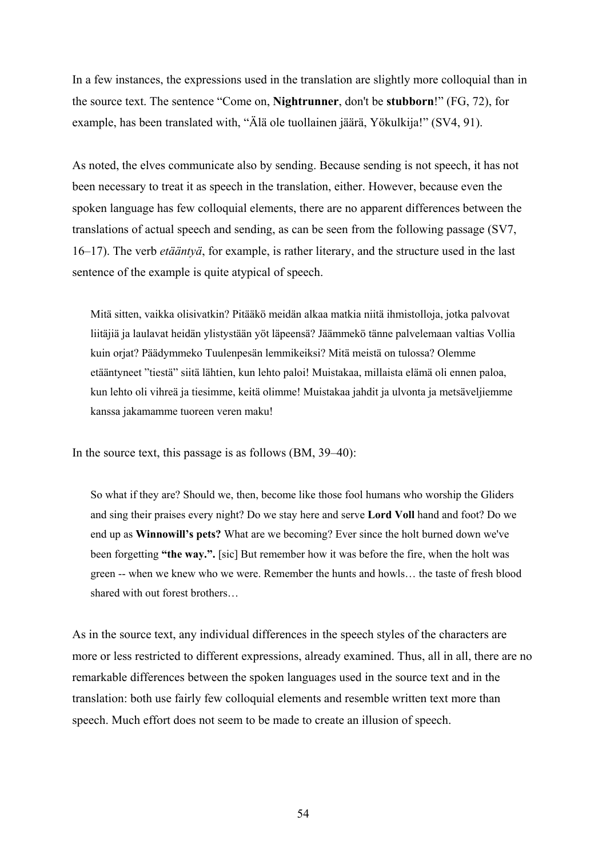In a few instances, the expressions used in the translation are slightly more colloquial than in the source text. The sentence "Come on, **Nightrunner**, don't be **stubborn**!" (FG, 72), for example, has been translated with, "Älä ole tuollainen jäärä, Yökulkija!" (SV4, 91).

As noted, the elves communicate also by sending. Because sending is not speech, it has not been necessary to treat it as speech in the translation, either. However, because even the spoken language has few colloquial elements, there are no apparent differences between the translations of actual speech and sending, as can be seen from the following passage (SV7, 16–17). The verb *etääntyä*, for example, is rather literary, and the structure used in the last sentence of the example is quite atypical of speech.

Mitä sitten, vaikka olisivatkin? Pitääkö meidän alkaa matkia niitä ihmistolloja, jotka palvovat liitäjiä ja laulavat heidän ylistystään yöt läpeensä? Jäämmekö tänne palvelemaan valtias Vollia kuin orjat? Päädymmeko Tuulenpesän lemmikeiksi? Mitä meistä on tulossa? Olemme etääntyneet "tiestä" siitä lähtien, kun lehto paloi! Muistakaa, millaista elämä oli ennen paloa, kun lehto oli vihreä ja tiesimme, keitä olimme! Muistakaa jahdit ja ulvonta ja metsäveljiemme kanssa jakamamme tuoreen veren maku!

In the source text, this passage is as follows (BM, 39–40):

So what if they are? Should we, then, become like those fool humans who worship the Gliders and sing their praises every night? Do we stay here and serve **Lord Voll** hand and foot? Do we end up as **Winnowill's pets?** What are we becoming? Ever since the holt burned down we've been forgetting **"the way.".** [sic] But remember how it was before the fire, when the holt was green -- when we knew who we were. Remember the hunts and howls… the taste of fresh blood shared with out forest brothers…

As in the source text, any individual differences in the speech styles of the characters are more or less restricted to different expressions, already examined. Thus, all in all, there are no remarkable differences between the spoken languages used in the source text and in the translation: both use fairly few colloquial elements and resemble written text more than speech. Much effort does not seem to be made to create an illusion of speech.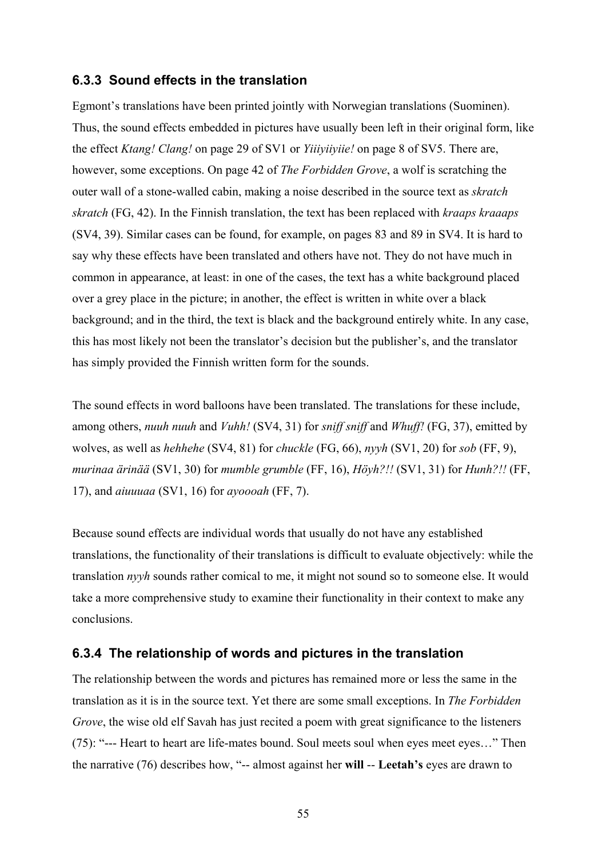### **6.3.3 Sound effects in the translation**

Egmont's translations have been printed jointly with Norwegian translations (Suominen). Thus, the sound effects embedded in pictures have usually been left in their original form, like the effect *Ktang! Clang!* on page 29 of SV1 or *Yiiiyiiyiie!* on page 8 of SV5. There are, however, some exceptions. On page 42 of *The Forbidden Grove*, a wolf is scratching the outer wall of a stone-walled cabin, making a noise described in the source text as *skratch skratch* (FG, 42). In the Finnish translation, the text has been replaced with *kraaps kraaaps* (SV4, 39). Similar cases can be found, for example, on pages 83 and 89 in SV4. It is hard to say why these effects have been translated and others have not. They do not have much in common in appearance, at least: in one of the cases, the text has a white background placed over a grey place in the picture; in another, the effect is written in white over a black background; and in the third, the text is black and the background entirely white. In any case, this has most likely not been the translator's decision but the publisher's, and the translator has simply provided the Finnish written form for the sounds.

The sound effects in word balloons have been translated. The translations for these include, among others, *nuuh nuuh* and *Vuhh!* (SV4, 31) for *sniff sniff* and *Whuff!* (FG, 37), emitted by wolves, as well as *hehhehe* (SV4, 81) for *chuckle* (FG, 66), *nyyh* (SV1, 20) for *sob* (FF, 9), *murinaa ärinää* (SV1, 30) for *mumble grumble* (FF, 16), *Höyh?!!* (SV1, 31) for *Hunh?!!* (FF, 17), and *aiuuuaa* (SV1, 16) for *ayoooah* (FF, 7).

Because sound effects are individual words that usually do not have any established translations, the functionality of their translations is difficult to evaluate objectively: while the translation *nyyh* sounds rather comical to me, it might not sound so to someone else. It would take a more comprehensive study to examine their functionality in their context to make any conclusions.

## **6.3.4 The relationship of words and pictures in the translation**

The relationship between the words and pictures has remained more or less the same in the translation as it is in the source text. Yet there are some small exceptions. In *The Forbidden Grove*, the wise old elf Savah has just recited a poem with great significance to the listeners (75): "--- Heart to heart are life-mates bound. Soul meets soul when eyes meet eyes…" Then the narrative (76) describes how, "-- almost against her **will** -- **Leetah's** eyes are drawn to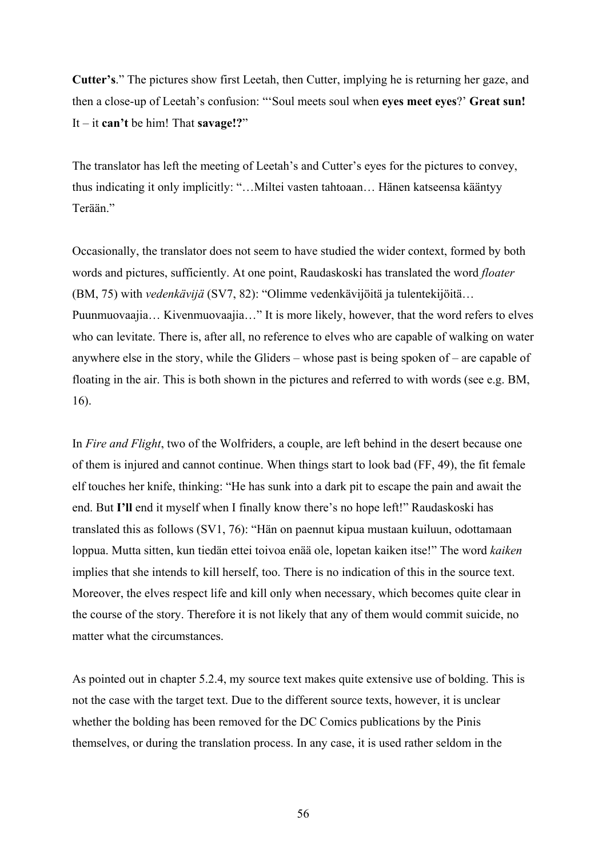**Cutter's**." The pictures show first Leetah, then Cutter, implying he is returning her gaze, and then a close-up of Leetah's confusion: "'Soul meets soul when **eyes meet eyes**?' **Great sun!** It – it **can't** be him! That **savage!?**"

The translator has left the meeting of Leetah's and Cutter's eyes for the pictures to convey, thus indicating it only implicitly: "…Miltei vasten tahtoaan… Hänen katseensa kääntyy Terään."

Occasionally, the translator does not seem to have studied the wider context, formed by both words and pictures, sufficiently. At one point, Raudaskoski has translated the word *floater* (BM, 75) with *vedenkävijä* (SV7, 82): "Olimme vedenkävijöitä ja tulentekijöitä… Puunmuovaajia… Kivenmuovaajia…" It is more likely, however, that the word refers to elves who can levitate. There is, after all, no reference to elves who are capable of walking on water anywhere else in the story, while the Gliders – whose past is being spoken of – are capable of floating in the air. This is both shown in the pictures and referred to with words (see e.g. BM, 16).

In *Fire and Flight*, two of the Wolfriders, a couple, are left behind in the desert because one of them is injured and cannot continue. When things start to look bad (FF, 49), the fit female elf touches her knife, thinking: "He has sunk into a dark pit to escape the pain and await the end. But **I'll** end it myself when I finally know there's no hope left!" Raudaskoski has translated this as follows (SV1, 76): "Hän on paennut kipua mustaan kuiluun, odottamaan loppua. Mutta sitten, kun tiedän ettei toivoa enää ole, lopetan kaiken itse!" The word *kaiken* implies that she intends to kill herself, too. There is no indication of this in the source text. Moreover, the elves respect life and kill only when necessary, which becomes quite clear in the course of the story. Therefore it is not likely that any of them would commit suicide, no matter what the circumstances.

As pointed out in chapter 5.2.4, my source text makes quite extensive use of bolding. This is not the case with the target text. Due to the different source texts, however, it is unclear whether the bolding has been removed for the DC Comics publications by the Pinis themselves, or during the translation process. In any case, it is used rather seldom in the

56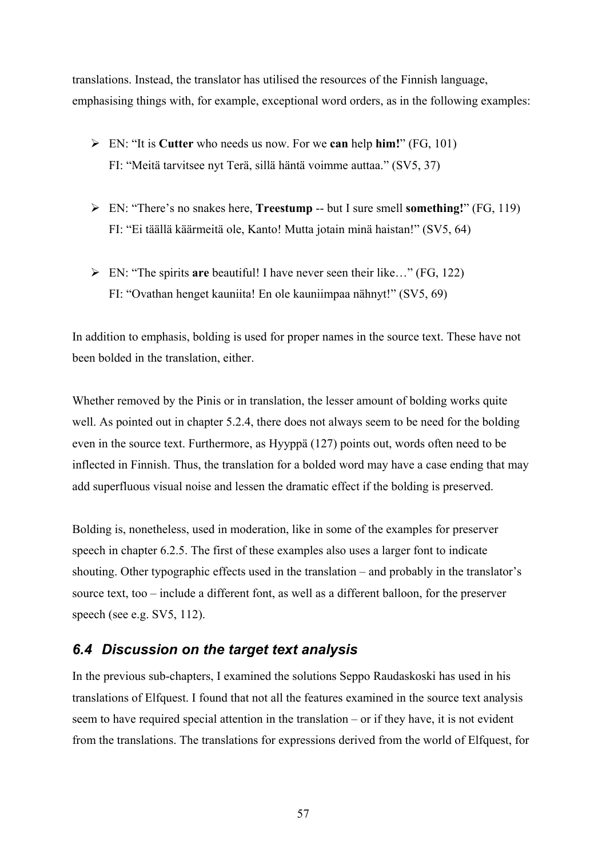translations. Instead, the translator has utilised the resources of the Finnish language, emphasising things with, for example, exceptional word orders, as in the following examples:

- ¾ EN: "It is **Cutter** who needs us now. For we **can** help **him!**" (FG, 101) FI: "Meitä tarvitsee nyt Terä, sillä häntä voimme auttaa." (SV5, 37)
- ¾ EN: "There's no snakes here, **Treestump** -- but I sure smell **something!**" (FG, 119) FI: "Ei täällä käärmeitä ole, Kanto! Mutta jotain minä haistan!" (SV5, 64)
- ¾ EN: "The spirits **are** beautiful! I have never seen their like…" (FG, 122) FI: "Ovathan henget kauniita! En ole kauniimpaa nähnyt!" (SV5, 69)

In addition to emphasis, bolding is used for proper names in the source text. These have not been bolded in the translation, either.

Whether removed by the Pinis or in translation, the lesser amount of bolding works quite well. As pointed out in chapter 5.2.4, there does not always seem to be need for the bolding even in the source text. Furthermore, as Hyyppä (127) points out, words often need to be inflected in Finnish. Thus, the translation for a bolded word may have a case ending that may add superfluous visual noise and lessen the dramatic effect if the bolding is preserved.

Bolding is, nonetheless, used in moderation, like in some of the examples for preserver speech in chapter 6.2.5. The first of these examples also uses a larger font to indicate shouting. Other typographic effects used in the translation – and probably in the translator's source text, too – include a different font, as well as a different balloon, for the preserver speech (see e.g. SV5, 112).

## *6.4 Discussion on the target text analysis*

In the previous sub-chapters, I examined the solutions Seppo Raudaskoski has used in his translations of Elfquest. I found that not all the features examined in the source text analysis seem to have required special attention in the translation – or if they have, it is not evident from the translations. The translations for expressions derived from the world of Elfquest, for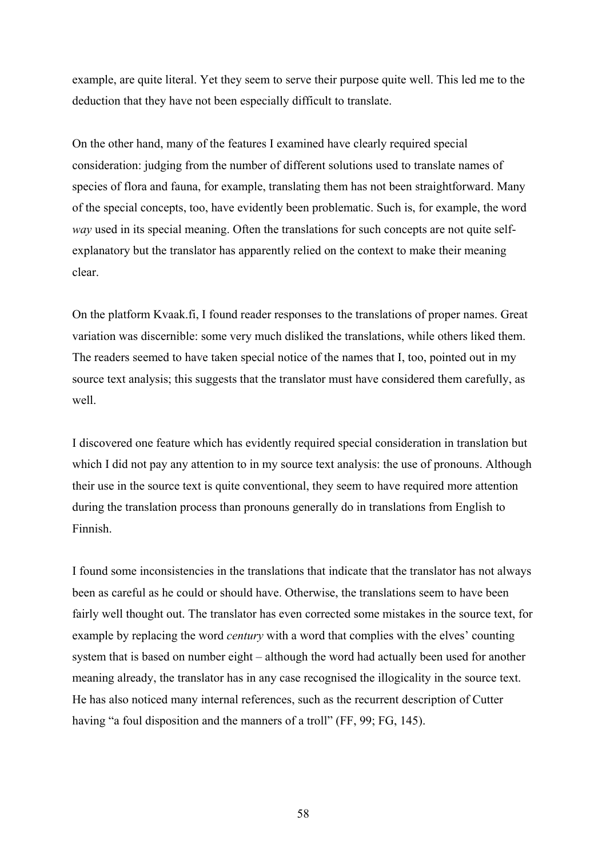example, are quite literal. Yet they seem to serve their purpose quite well. This led me to the deduction that they have not been especially difficult to translate.

On the other hand, many of the features I examined have clearly required special consideration: judging from the number of different solutions used to translate names of species of flora and fauna, for example, translating them has not been straightforward. Many of the special concepts, too, have evidently been problematic. Such is, for example, the word *way* used in its special meaning. Often the translations for such concepts are not quite selfexplanatory but the translator has apparently relied on the context to make their meaning clear.

On the platform Kvaak.fi, I found reader responses to the translations of proper names. Great variation was discernible: some very much disliked the translations, while others liked them. The readers seemed to have taken special notice of the names that I, too, pointed out in my source text analysis; this suggests that the translator must have considered them carefully, as well.

I discovered one feature which has evidently required special consideration in translation but which I did not pay any attention to in my source text analysis: the use of pronouns. Although their use in the source text is quite conventional, they seem to have required more attention during the translation process than pronouns generally do in translations from English to Finnish.

I found some inconsistencies in the translations that indicate that the translator has not always been as careful as he could or should have. Otherwise, the translations seem to have been fairly well thought out. The translator has even corrected some mistakes in the source text, for example by replacing the word *century* with a word that complies with the elves' counting system that is based on number eight – although the word had actually been used for another meaning already, the translator has in any case recognised the illogicality in the source text. He has also noticed many internal references, such as the recurrent description of Cutter having "a foul disposition and the manners of a troll" (FF, 99; FG, 145).

58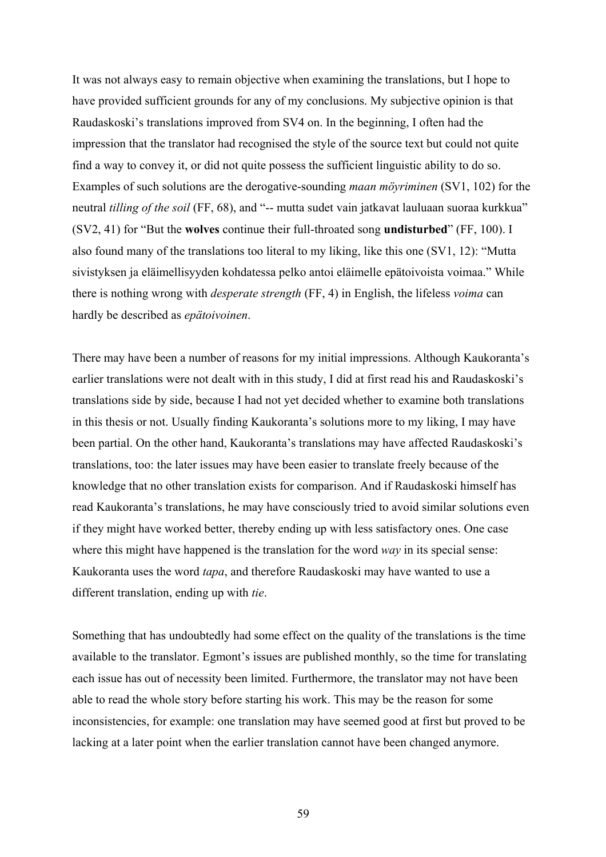It was not always easy to remain objective when examining the translations, but I hope to have provided sufficient grounds for any of my conclusions. My subjective opinion is that Raudaskoski's translations improved from SV4 on. In the beginning, I often had the impression that the translator had recognised the style of the source text but could not quite find a way to convey it, or did not quite possess the sufficient linguistic ability to do so. Examples of such solutions are the derogative-sounding *maan möyriminen* (SV1, 102) for the neutral *tilling of the soil* (FF, 68), and "-- mutta sudet vain jatkavat lauluaan suoraa kurkkua" (SV2, 41) for "But the **wolves** continue their full-throated song **undisturbed**" (FF, 100). I also found many of the translations too literal to my liking, like this one (SV1, 12): "Mutta sivistyksen ja eläimellisyyden kohdatessa pelko antoi eläimelle epätoivoista voimaa." While there is nothing wrong with *desperate strength* (FF, 4) in English, the lifeless *voima* can hardly be described as *epätoivoinen*.

There may have been a number of reasons for my initial impressions. Although Kaukoranta's earlier translations were not dealt with in this study, I did at first read his and Raudaskoski's translations side by side, because I had not yet decided whether to examine both translations in this thesis or not. Usually finding Kaukoranta's solutions more to my liking, I may have been partial. On the other hand, Kaukoranta's translations may have affected Raudaskoski's translations, too: the later issues may have been easier to translate freely because of the knowledge that no other translation exists for comparison. And if Raudaskoski himself has read Kaukoranta's translations, he may have consciously tried to avoid similar solutions even if they might have worked better, thereby ending up with less satisfactory ones. One case where this might have happened is the translation for the word *way* in its special sense: Kaukoranta uses the word *tapa*, and therefore Raudaskoski may have wanted to use a different translation, ending up with *tie*.

Something that has undoubtedly had some effect on the quality of the translations is the time available to the translator. Egmont's issues are published monthly, so the time for translating each issue has out of necessity been limited. Furthermore, the translator may not have been able to read the whole story before starting his work. This may be the reason for some inconsistencies, for example: one translation may have seemed good at first but proved to be lacking at a later point when the earlier translation cannot have been changed anymore.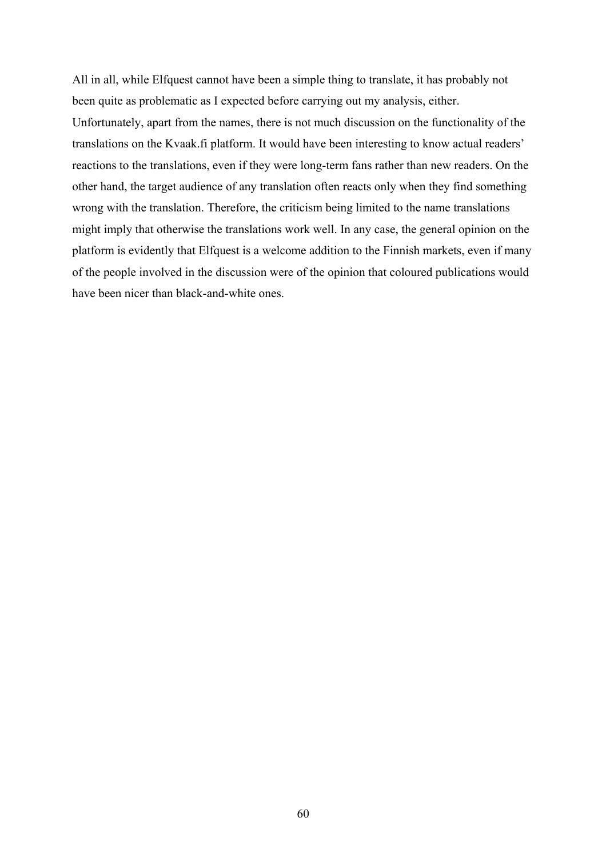All in all, while Elfquest cannot have been a simple thing to translate, it has probably not been quite as problematic as I expected before carrying out my analysis, either.

Unfortunately, apart from the names, there is not much discussion on the functionality of the translations on the Kvaak.fi platform. It would have been interesting to know actual readers' reactions to the translations, even if they were long-term fans rather than new readers. On the other hand, the target audience of any translation often reacts only when they find something wrong with the translation. Therefore, the criticism being limited to the name translations might imply that otherwise the translations work well. In any case, the general opinion on the platform is evidently that Elfquest is a welcome addition to the Finnish markets, even if many of the people involved in the discussion were of the opinion that coloured publications would have been nicer than black-and-white ones.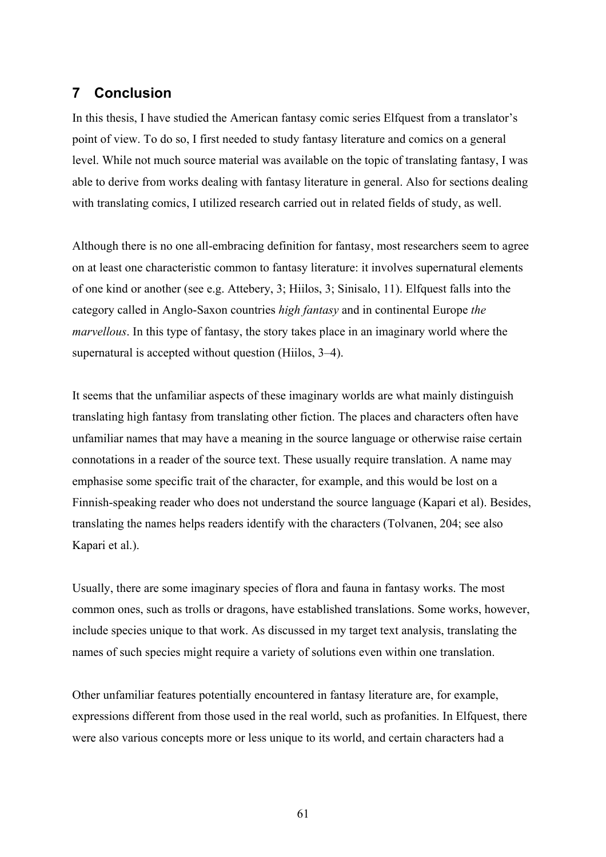## **7 Conclusion**

In this thesis, I have studied the American fantasy comic series Elfquest from a translator's point of view. To do so, I first needed to study fantasy literature and comics on a general level. While not much source material was available on the topic of translating fantasy, I was able to derive from works dealing with fantasy literature in general. Also for sections dealing with translating comics, I utilized research carried out in related fields of study, as well.

Although there is no one all-embracing definition for fantasy, most researchers seem to agree on at least one characteristic common to fantasy literature: it involves supernatural elements of one kind or another (see e.g. Attebery, 3; Hiilos, 3; Sinisalo, 11). Elfquest falls into the category called in Anglo-Saxon countries *high fantasy* and in continental Europe *the marvellous*. In this type of fantasy, the story takes place in an imaginary world where the supernatural is accepted without question (Hiilos, 3–4).

It seems that the unfamiliar aspects of these imaginary worlds are what mainly distinguish translating high fantasy from translating other fiction. The places and characters often have unfamiliar names that may have a meaning in the source language or otherwise raise certain connotations in a reader of the source text. These usually require translation. A name may emphasise some specific trait of the character, for example, and this would be lost on a Finnish-speaking reader who does not understand the source language (Kapari et al). Besides, translating the names helps readers identify with the characters (Tolvanen, 204; see also Kapari et al.).

Usually, there are some imaginary species of flora and fauna in fantasy works. The most common ones, such as trolls or dragons, have established translations. Some works, however, include species unique to that work. As discussed in my target text analysis, translating the names of such species might require a variety of solutions even within one translation.

Other unfamiliar features potentially encountered in fantasy literature are, for example, expressions different from those used in the real world, such as profanities. In Elfquest, there were also various concepts more or less unique to its world, and certain characters had a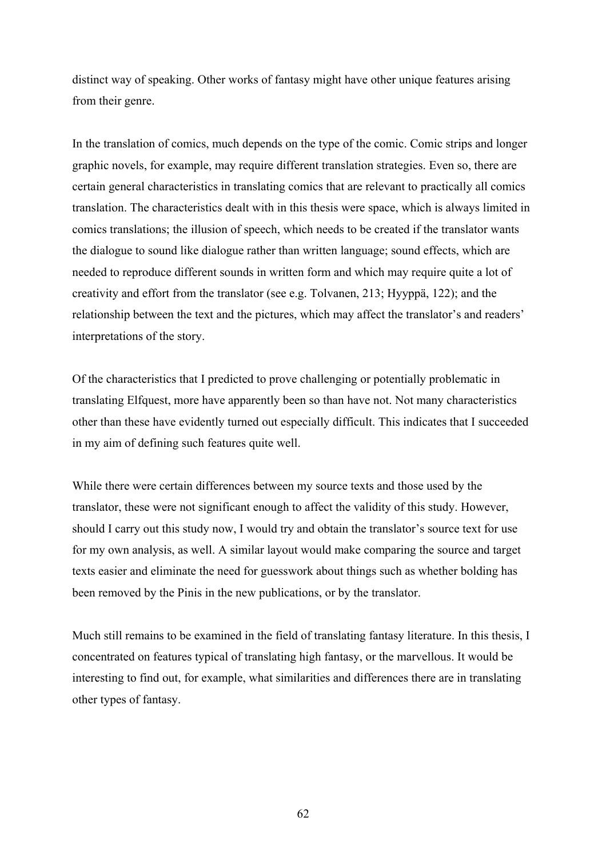distinct way of speaking. Other works of fantasy might have other unique features arising from their genre.

In the translation of comics, much depends on the type of the comic. Comic strips and longer graphic novels, for example, may require different translation strategies. Even so, there are certain general characteristics in translating comics that are relevant to practically all comics translation. The characteristics dealt with in this thesis were space, which is always limited in comics translations; the illusion of speech, which needs to be created if the translator wants the dialogue to sound like dialogue rather than written language; sound effects, which are needed to reproduce different sounds in written form and which may require quite a lot of creativity and effort from the translator (see e.g. Tolvanen, 213; Hyyppä, 122); and the relationship between the text and the pictures, which may affect the translator's and readers' interpretations of the story.

Of the characteristics that I predicted to prove challenging or potentially problematic in translating Elfquest, more have apparently been so than have not. Not many characteristics other than these have evidently turned out especially difficult. This indicates that I succeeded in my aim of defining such features quite well.

While there were certain differences between my source texts and those used by the translator, these were not significant enough to affect the validity of this study. However, should I carry out this study now, I would try and obtain the translator's source text for use for my own analysis, as well. A similar layout would make comparing the source and target texts easier and eliminate the need for guesswork about things such as whether bolding has been removed by the Pinis in the new publications, or by the translator.

Much still remains to be examined in the field of translating fantasy literature. In this thesis, I concentrated on features typical of translating high fantasy, or the marvellous. It would be interesting to find out, for example, what similarities and differences there are in translating other types of fantasy.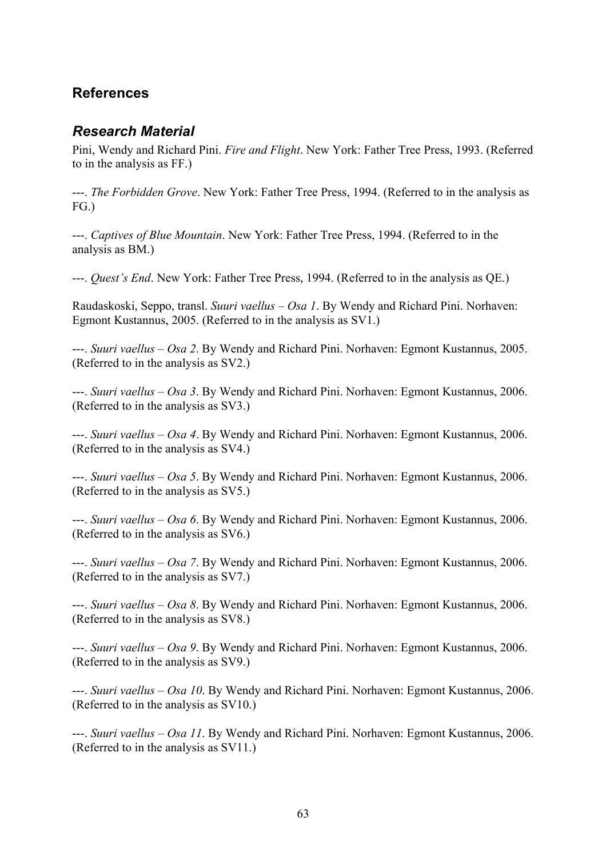# **References**

## *Research Material*

Pini, Wendy and Richard Pini. *Fire and Flight*. New York: Father Tree Press, 1993. (Referred to in the analysis as FF.)

---. *The Forbidden Grove*. New York: Father Tree Press, 1994. (Referred to in the analysis as FG.)

---. *Captives of Blue Mountain*. New York: Father Tree Press, 1994. (Referred to in the analysis as BM.)

---. *Quest's End*. New York: Father Tree Press, 1994. (Referred to in the analysis as QE.)

Raudaskoski, Seppo, transl. *Suuri vaellus – Osa 1*. By Wendy and Richard Pini. Norhaven: Egmont Kustannus, 2005. (Referred to in the analysis as SV1.)

---. *Suuri vaellus – Osa 2*. By Wendy and Richard Pini. Norhaven: Egmont Kustannus, 2005. (Referred to in the analysis as SV2.)

---. *Suuri vaellus – Osa 3*. By Wendy and Richard Pini. Norhaven: Egmont Kustannus, 2006. (Referred to in the analysis as SV3.)

---. *Suuri vaellus – Osa 4*. By Wendy and Richard Pini. Norhaven: Egmont Kustannus, 2006. (Referred to in the analysis as SV4.)

---. *Suuri vaellus – Osa 5*. By Wendy and Richard Pini. Norhaven: Egmont Kustannus, 2006. (Referred to in the analysis as SV5.)

---. *Suuri vaellus – Osa 6*. By Wendy and Richard Pini. Norhaven: Egmont Kustannus, 2006. (Referred to in the analysis as SV6.)

---. *Suuri vaellus – Osa 7*. By Wendy and Richard Pini. Norhaven: Egmont Kustannus, 2006. (Referred to in the analysis as SV7.)

---. *Suuri vaellus – Osa 8*. By Wendy and Richard Pini. Norhaven: Egmont Kustannus, 2006. (Referred to in the analysis as SV8.)

---. *Suuri vaellus – Osa 9*. By Wendy and Richard Pini. Norhaven: Egmont Kustannus, 2006. (Referred to in the analysis as SV9.)

---. *Suuri vaellus – Osa 10*. By Wendy and Richard Pini. Norhaven: Egmont Kustannus, 2006. (Referred to in the analysis as SV10.)

---. *Suuri vaellus – Osa 11*. By Wendy and Richard Pini. Norhaven: Egmont Kustannus, 2006. (Referred to in the analysis as SV11.)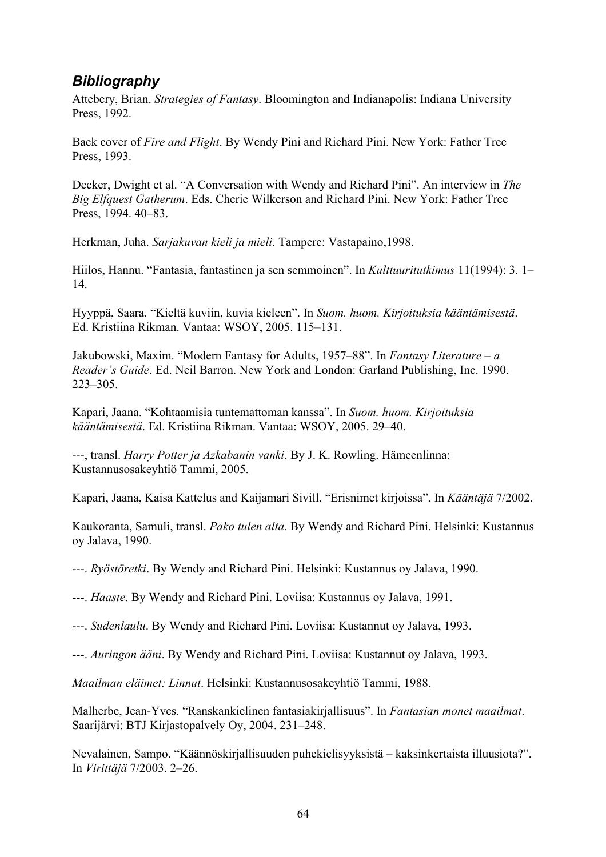# *Bibliography*

Attebery, Brian. *Strategies of Fantasy*. Bloomington and Indianapolis: Indiana University Press, 1992.

Back cover of *Fire and Flight*. By Wendy Pini and Richard Pini. New York: Father Tree Press, 1993.

Decker, Dwight et al. "A Conversation with Wendy and Richard Pini". An interview in *The Big Elfquest Gatherum*. Eds. Cherie Wilkerson and Richard Pini. New York: Father Tree Press, 1994. 40–83.

Herkman, Juha. *Sarjakuvan kieli ja mieli*. Tampere: Vastapaino,1998.

Hiilos, Hannu. "Fantasia, fantastinen ja sen semmoinen". In *Kulttuuritutkimus* 11(1994): 3. 1– 14.

Hyyppä, Saara. "Kieltä kuviin, kuvia kieleen". In *Suom. huom. Kirjoituksia kääntämisestä*. Ed. Kristiina Rikman. Vantaa: WSOY, 2005. 115–131.

Jakubowski, Maxim. "Modern Fantasy for Adults, 1957–88". In *Fantasy Literature – a Reader's Guide*. Ed. Neil Barron. New York and London: Garland Publishing, Inc. 1990. 223–305.

Kapari, Jaana. "Kohtaamisia tuntemattoman kanssa". In *Suom. huom. Kirjoituksia kääntämisestä*. Ed. Kristiina Rikman. Vantaa: WSOY, 2005. 29–40.

---, transl. *Harry Potter ja Azkabanin vanki*. By J. K. Rowling. Hämeenlinna: Kustannusosakeyhtiö Tammi, 2005.

Kapari, Jaana, Kaisa Kattelus and Kaijamari Sivill. "Erisnimet kirjoissa". In *Kääntäjä* 7/2002.

Kaukoranta, Samuli, transl. *Pako tulen alta*. By Wendy and Richard Pini. Helsinki: Kustannus oy Jalava, 1990.

---. *Ryöstöretki*. By Wendy and Richard Pini. Helsinki: Kustannus oy Jalava, 1990.

---. *Haaste*. By Wendy and Richard Pini. Loviisa: Kustannus oy Jalava, 1991.

---. *Sudenlaulu*. By Wendy and Richard Pini. Loviisa: Kustannut oy Jalava, 1993.

---. *Auringon ääni*. By Wendy and Richard Pini. Loviisa: Kustannut oy Jalava, 1993.

*Maailman eläimet: Linnut*. Helsinki: Kustannusosakeyhtiö Tammi, 1988.

Malherbe, Jean-Yves. "Ranskankielinen fantasiakirjallisuus". In *Fantasian monet maailmat*. Saarijärvi: BTJ Kirjastopalvely Oy, 2004. 231–248.

Nevalainen, Sampo. "Käännöskirjallisuuden puhekielisyyksistä – kaksinkertaista illuusiota?". In *Virittäjä* 7/2003. 2–26.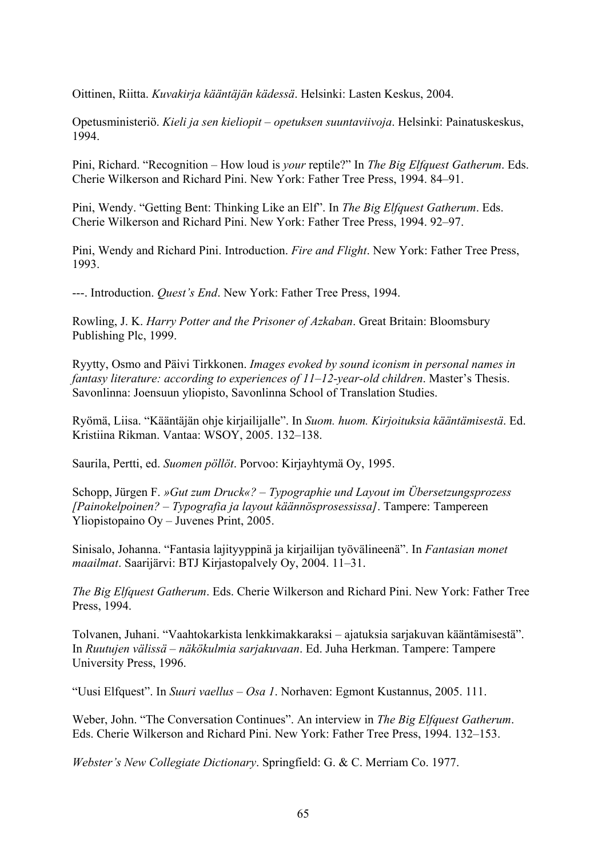Oittinen, Riitta. *Kuvakirja kääntäjän kädessä*. Helsinki: Lasten Keskus, 2004.

Opetusministeriö. *Kieli ja sen kieliopit – opetuksen suuntaviivoja*. Helsinki: Painatuskeskus, 1994.

Pini, Richard. "Recognition – How loud is *your* reptile?" In *The Big Elfquest Gatherum*. Eds. Cherie Wilkerson and Richard Pini. New York: Father Tree Press, 1994. 84–91.

Pini, Wendy. "Getting Bent: Thinking Like an Elf". In *The Big Elfquest Gatherum*. Eds. Cherie Wilkerson and Richard Pini. New York: Father Tree Press, 1994. 92–97.

Pini, Wendy and Richard Pini. Introduction. *Fire and Flight*. New York: Father Tree Press, 1993.

---. Introduction. *Quest's End*. New York: Father Tree Press, 1994.

Rowling, J. K. *Harry Potter and the Prisoner of Azkaban*. Great Britain: Bloomsbury Publishing Plc, 1999.

Ryytty, Osmo and Päivi Tirkkonen. *Images evoked by sound iconism in personal names in fantasy literature: according to experiences of 11–12-year-old children*. Master's Thesis. Savonlinna: Joensuun yliopisto, Savonlinna School of Translation Studies.

Ryömä, Liisa. "Kääntäjän ohje kirjailijalle". In *Suom. huom. Kirjoituksia kääntämisestä*. Ed. Kristiina Rikman. Vantaa: WSOY, 2005. 132–138.

Saurila, Pertti, ed. *Suomen pöllöt*. Porvoo: Kirjayhtymä Oy, 1995.

Schopp, Jürgen F. *»Gut zum Druck«? – Typographie und Layout im Übersetzungsprozess [Painokelpoinen? – Typografia ja layout käännösprosessissa]*. Tampere: Tampereen Yliopistopaino Oy – Juvenes Print, 2005.

Sinisalo, Johanna. "Fantasia lajityyppinä ja kirjailijan työvälineenä". In *Fantasian monet maailmat*. Saarijärvi: BTJ Kirjastopalvely Oy, 2004. 11–31.

*The Big Elfquest Gatherum*. Eds. Cherie Wilkerson and Richard Pini. New York: Father Tree Press, 1994.

Tolvanen, Juhani. "Vaahtokarkista lenkkimakkaraksi – ajatuksia sarjakuvan kääntämisestä". In *Ruutujen välissä – näkökulmia sarjakuvaan*. Ed. Juha Herkman. Tampere: Tampere University Press, 1996.

"Uusi Elfquest". In *Suuri vaellus – Osa 1*. Norhaven: Egmont Kustannus, 2005. 111.

Weber, John. "The Conversation Continues". An interview in *The Big Elfquest Gatherum*. Eds. Cherie Wilkerson and Richard Pini. New York: Father Tree Press, 1994. 132–153.

*Webster's New Collegiate Dictionary*. Springfield: G. & C. Merriam Co. 1977.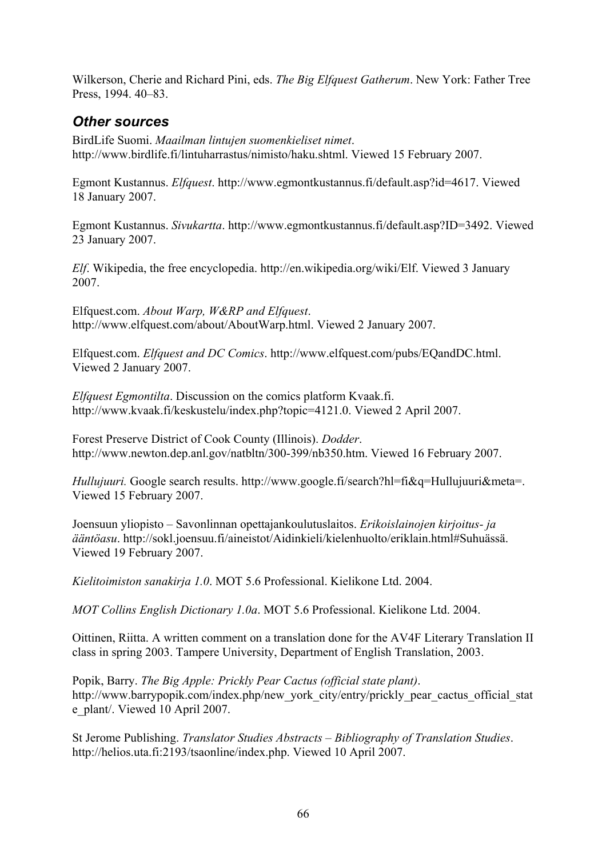Wilkerson, Cherie and Richard Pini, eds. *The Big Elfquest Gatherum*. New York: Father Tree Press, 1994. 40–83.

## *Other sources*

BirdLife Suomi. *Maailman lintujen suomenkieliset nimet*. http://www.birdlife.fi/lintuharrastus/nimisto/haku.shtml. Viewed 15 February 2007.

Egmont Kustannus. *Elfquest*. http://www.egmontkustannus.fi/default.asp?id=4617. Viewed 18 January 2007.

Egmont Kustannus. *Sivukartta*. http://www.egmontkustannus.fi/default.asp?ID=3492. Viewed 23 January 2007.

*Elf*. Wikipedia, the free encyclopedia. http://en.wikipedia.org/wiki/Elf. Viewed 3 January 2007.

Elfquest.com. *About Warp, W&RP and Elfquest*. http://www.elfquest.com/about/AboutWarp.html. Viewed 2 January 2007.

Elfquest.com. *Elfquest and DC Comics*. http://www.elfquest.com/pubs/EQandDC.html. Viewed 2 January 2007.

*Elfquest Egmontilta*. Discussion on the comics platform Kvaak.fi. http://www.kvaak.fi/keskustelu/index.php?topic=4121.0. Viewed 2 April 2007.

Forest Preserve District of Cook County (Illinois). *Dodder*. http://www.newton.dep.anl.gov/natbltn/300-399/nb350.htm. Viewed 16 February 2007.

*Hullujuuri.* Google search results. http://www.google.fi/search?hl=fi&q=Hullujuuri&meta=. Viewed 15 February 2007.

Joensuun yliopisto – Savonlinnan opettajankoulutuslaitos. *Erikoislainojen kirjoitus- ja ääntöasu*. http://sokl.joensuu.fi/aineistot/Aidinkieli/kielenhuolto/eriklain.html#Suhuässä. Viewed 19 February 2007.

*Kielitoimiston sanakirja 1.0*. MOT 5.6 Professional. Kielikone Ltd. 2004.

*MOT Collins English Dictionary 1.0a*. MOT 5.6 Professional. Kielikone Ltd. 2004.

Oittinen, Riitta. A written comment on a translation done for the AV4F Literary Translation II class in spring 2003. Tampere University, Department of English Translation, 2003.

Popik, Barry. *The Big Apple: Prickly Pear Cactus (official state plant)*. http://www.barrypopik.com/index.php/new\_york\_city/entry/prickly\_pear\_cactus\_official\_stat e\_plant/. Viewed 10 April 2007.

St Jerome Publishing. *Translator Studies Abstracts – Bibliography of Translation Studies*. http://helios.uta.fi:2193/tsaonline/index.php. Viewed 10 April 2007.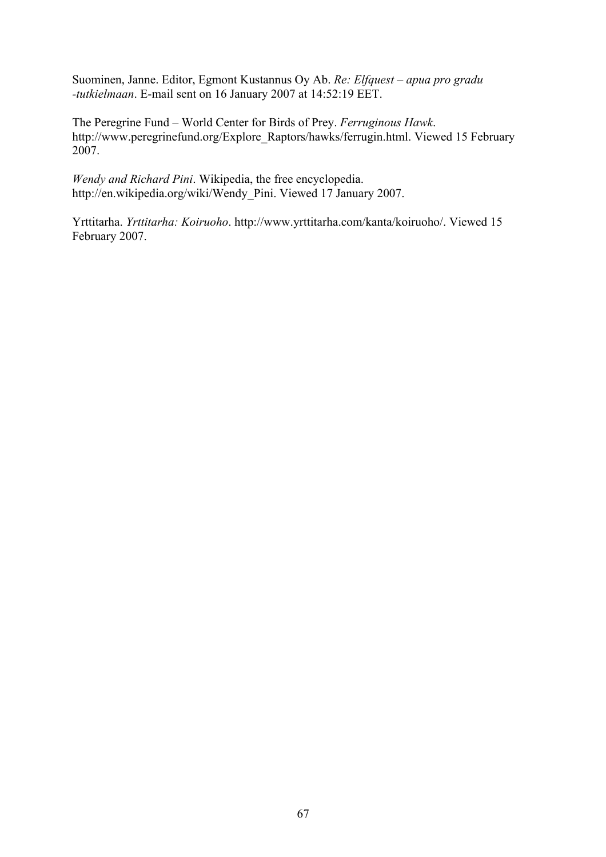Suominen, Janne. Editor, Egmont Kustannus Oy Ab. *Re: Elfquest – apua pro gradu -tutkielmaan*. E-mail sent on 16 January 2007 at 14:52:19 EET.

The Peregrine Fund – World Center for Birds of Prey. *Ferruginous Hawk*. http://www.peregrinefund.org/Explore\_Raptors/hawks/ferrugin.html. Viewed 15 February 2007.

*Wendy and Richard Pini*. Wikipedia, the free encyclopedia. http://en.wikipedia.org/wiki/Wendy\_Pini. Viewed 17 January 2007.

Yrttitarha. *Yrttitarha: Koiruoho*. http://www.yrttitarha.com/kanta/koiruoho/. Viewed 15 February 2007.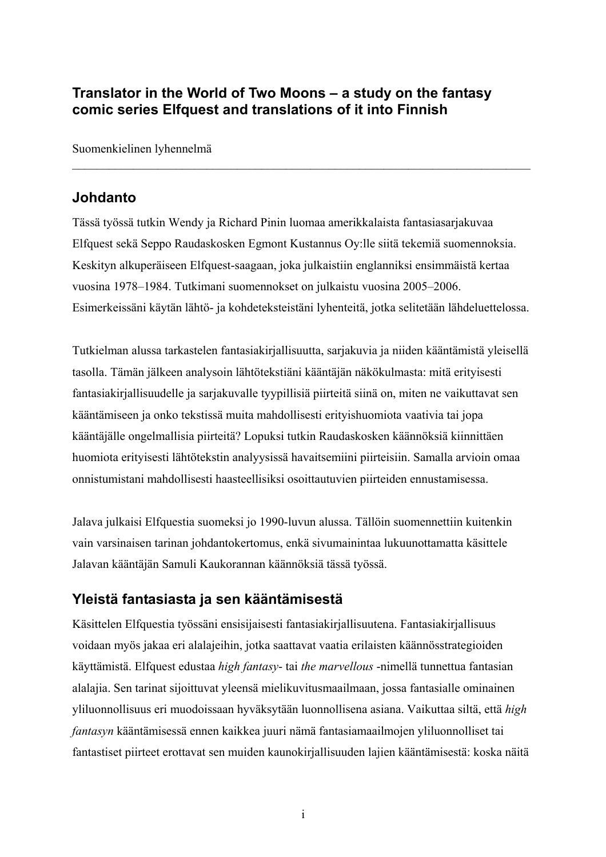# **Translator in the World of Two Moons – a study on the fantasy comic series Elfquest and translations of it into Finnish**

Suomenkielinen lyhennelmä

## **Johdanto**

Tässä työssä tutkin Wendy ja Richard Pinin luomaa amerikkalaista fantasiasarjakuvaa Elfquest sekä Seppo Raudaskosken Egmont Kustannus Oy:lle siitä tekemiä suomennoksia. Keskityn alkuperäiseen Elfquest-saagaan, joka julkaistiin englanniksi ensimmäistä kertaa vuosina 1978–1984. Tutkimani suomennokset on julkaistu vuosina 2005–2006. Esimerkeissäni käytän lähtö- ja kohdeteksteistäni lyhenteitä, jotka selitetään lähdeluettelossa.

 $\mathcal{L}_\text{max} = \mathcal{L}_\text{max} = \mathcal{L}_\text{max} = \mathcal{L}_\text{max} = \mathcal{L}_\text{max} = \mathcal{L}_\text{max} = \mathcal{L}_\text{max} = \mathcal{L}_\text{max} = \mathcal{L}_\text{max} = \mathcal{L}_\text{max} = \mathcal{L}_\text{max} = \mathcal{L}_\text{max} = \mathcal{L}_\text{max} = \mathcal{L}_\text{max} = \mathcal{L}_\text{max} = \mathcal{L}_\text{max} = \mathcal{L}_\text{max} = \mathcal{L}_\text{max} = \mathcal{$ 

Tutkielman alussa tarkastelen fantasiakirjallisuutta, sarjakuvia ja niiden kääntämistä yleisellä tasolla. Tämän jälkeen analysoin lähtötekstiäni kääntäjän näkökulmasta: mitä erityisesti fantasiakirjallisuudelle ja sarjakuvalle tyypillisiä piirteitä siinä on, miten ne vaikuttavat sen kääntämiseen ja onko tekstissä muita mahdollisesti erityishuomiota vaativia tai jopa kääntäjälle ongelmallisia piirteitä? Lopuksi tutkin Raudaskosken käännöksiä kiinnittäen huomiota erityisesti lähtötekstin analyysissä havaitsemiini piirteisiin. Samalla arvioin omaa onnistumistani mahdollisesti haasteellisiksi osoittautuvien piirteiden ennustamisessa.

Jalava julkaisi Elfquestia suomeksi jo 1990-luvun alussa. Tällöin suomennettiin kuitenkin vain varsinaisen tarinan johdantokertomus, enkä sivumainintaa lukuunottamatta käsittele Jalavan kääntäjän Samuli Kaukorannan käännöksiä tässä työssä.

# **Yleistä fantasiasta ja sen kääntämisestä**

Käsittelen Elfquestia työssäni ensisijaisesti fantasiakirjallisuutena. Fantasiakirjallisuus voidaan myös jakaa eri alalajeihin, jotka saattavat vaatia erilaisten käännösstrategioiden käyttämistä. Elfquest edustaa *high fantasy*- tai *the marvellous* -nimellä tunnettua fantasian alalajia. Sen tarinat sijoittuvat yleensä mielikuvitusmaailmaan, jossa fantasialle ominainen yliluonnollisuus eri muodoissaan hyväksytään luonnollisena asiana. Vaikuttaa siltä, että *high fantasyn* kääntämisessä ennen kaikkea juuri nämä fantasiamaailmojen yliluonnolliset tai fantastiset piirteet erottavat sen muiden kaunokirjallisuuden lajien kääntämisestä: koska näitä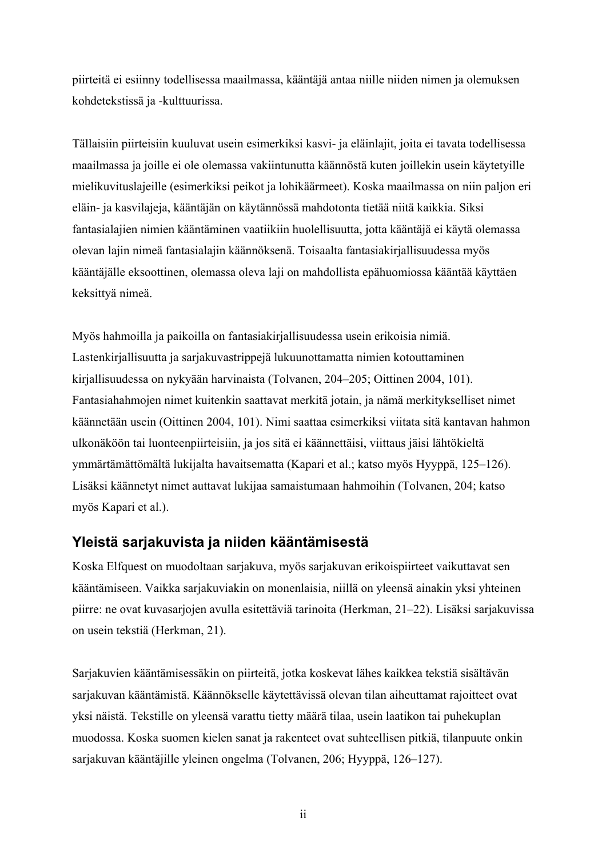piirteitä ei esiinny todellisessa maailmassa, kääntäjä antaa niille niiden nimen ja olemuksen kohdetekstissä ja -kulttuurissa.

Tällaisiin piirteisiin kuuluvat usein esimerkiksi kasvi- ja eläinlajit, joita ei tavata todellisessa maailmassa ja joille ei ole olemassa vakiintunutta käännöstä kuten joillekin usein käytetyille mielikuvituslajeille (esimerkiksi peikot ja lohikäärmeet). Koska maailmassa on niin paljon eri eläin- ja kasvilajeja, kääntäjän on käytännössä mahdotonta tietää niitä kaikkia. Siksi fantasialajien nimien kääntäminen vaatiikiin huolellisuutta, jotta kääntäjä ei käytä olemassa olevan lajin nimeä fantasialajin käännöksenä. Toisaalta fantasiakirjallisuudessa myös kääntäjälle eksoottinen, olemassa oleva laji on mahdollista epähuomiossa kääntää käyttäen keksittyä nimeä.

Myös hahmoilla ja paikoilla on fantasiakirjallisuudessa usein erikoisia nimiä. Lastenkirjallisuutta ja sarjakuvastrippejä lukuunottamatta nimien kotouttaminen kirjallisuudessa on nykyään harvinaista (Tolvanen, 204–205; Oittinen 2004, 101). Fantasiahahmojen nimet kuitenkin saattavat merkitä jotain, ja nämä merkitykselliset nimet käännetään usein (Oittinen 2004, 101). Nimi saattaa esimerkiksi viitata sitä kantavan hahmon ulkonäköön tai luonteenpiirteisiin, ja jos sitä ei käännettäisi, viittaus jäisi lähtökieltä ymmärtämättömältä lukijalta havaitsematta (Kapari et al.; katso myös Hyyppä, 125–126). Lisäksi käännetyt nimet auttavat lukijaa samaistumaan hahmoihin (Tolvanen, 204; katso myös Kapari et al.).

#### **Yleistä sarjakuvista ja niiden kääntämisestä**

Koska Elfquest on muodoltaan sarjakuva, myös sarjakuvan erikoispiirteet vaikuttavat sen kääntämiseen. Vaikka sarjakuviakin on monenlaisia, niillä on yleensä ainakin yksi yhteinen piirre: ne ovat kuvasarjojen avulla esitettäviä tarinoita (Herkman, 21–22). Lisäksi sarjakuvissa on usein tekstiä (Herkman, 21).

Sarjakuvien kääntämisessäkin on piirteitä, jotka koskevat lähes kaikkea tekstiä sisältävän sarjakuvan kääntämistä. Käännökselle käytettävissä olevan tilan aiheuttamat rajoitteet ovat yksi näistä. Tekstille on yleensä varattu tietty määrä tilaa, usein laatikon tai puhekuplan muodossa. Koska suomen kielen sanat ja rakenteet ovat suhteellisen pitkiä, tilanpuute onkin sarjakuvan kääntäjille yleinen ongelma (Tolvanen, 206; Hyyppä, 126–127).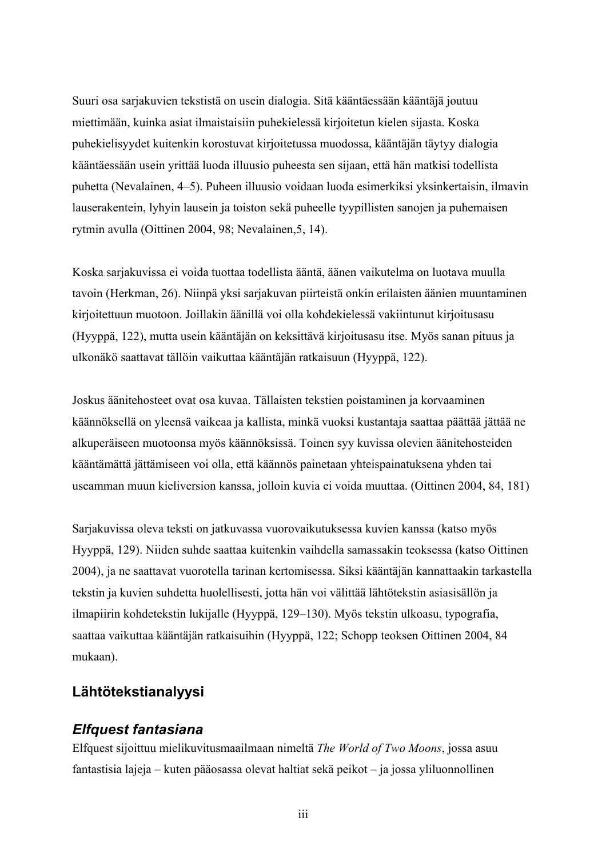Suuri osa sarjakuvien tekstistä on usein dialogia. Sitä kääntäessään kääntäjä joutuu miettimään, kuinka asiat ilmaistaisiin puhekielessä kirjoitetun kielen sijasta. Koska puhekielisyydet kuitenkin korostuvat kirjoitetussa muodossa, kääntäjän täytyy dialogia kääntäessään usein yrittää luoda illuusio puheesta sen sijaan, että hän matkisi todellista puhetta (Nevalainen, 4–5). Puheen illuusio voidaan luoda esimerkiksi yksinkertaisin, ilmavin lauserakentein, lyhyin lausein ja toiston sekä puheelle tyypillisten sanojen ja puhemaisen rytmin avulla (Oittinen 2004, 98; Nevalainen,5, 14).

Koska sarjakuvissa ei voida tuottaa todellista ääntä, äänen vaikutelma on luotava muulla tavoin (Herkman, 26). Niinpä yksi sarjakuvan piirteistä onkin erilaisten äänien muuntaminen kirjoitettuun muotoon. Joillakin äänillä voi olla kohdekielessä vakiintunut kirjoitusasu (Hyyppä, 122), mutta usein kääntäjän on keksittävä kirjoitusasu itse. Myös sanan pituus ja ulkonäkö saattavat tällöin vaikuttaa kääntäjän ratkaisuun (Hyyppä, 122).

Joskus äänitehosteet ovat osa kuvaa. Tällaisten tekstien poistaminen ja korvaaminen käännöksellä on yleensä vaikeaa ja kallista, minkä vuoksi kustantaja saattaa päättää jättää ne alkuperäiseen muotoonsa myös käännöksissä. Toinen syy kuvissa olevien äänitehosteiden kääntämättä jättämiseen voi olla, että käännös painetaan yhteispainatuksena yhden tai useamman muun kieliversion kanssa, jolloin kuvia ei voida muuttaa. (Oittinen 2004, 84, 181)

Sarjakuvissa oleva teksti on jatkuvassa vuorovaikutuksessa kuvien kanssa (katso myös Hyyppä, 129). Niiden suhde saattaa kuitenkin vaihdella samassakin teoksessa (katso Oittinen 2004), ja ne saattavat vuorotella tarinan kertomisessa. Siksi kääntäjän kannattaakin tarkastella tekstin ja kuvien suhdetta huolellisesti, jotta hän voi välittää lähtötekstin asiasisällön ja ilmapiirin kohdetekstin lukijalle (Hyyppä, 129–130). Myös tekstin ulkoasu, typografia, saattaa vaikuttaa kääntäjän ratkaisuihin (Hyyppä, 122; Schopp teoksen Oittinen 2004, 84 mukaan).

#### **Lähtötekstianalyysi**

#### *Elfquest fantasiana*

Elfquest sijoittuu mielikuvitusmaailmaan nimeltä *The World of Two Moons*, jossa asuu fantastisia lajeja – kuten pääosassa olevat haltiat sekä peikot – ja jossa yliluonnollinen

iii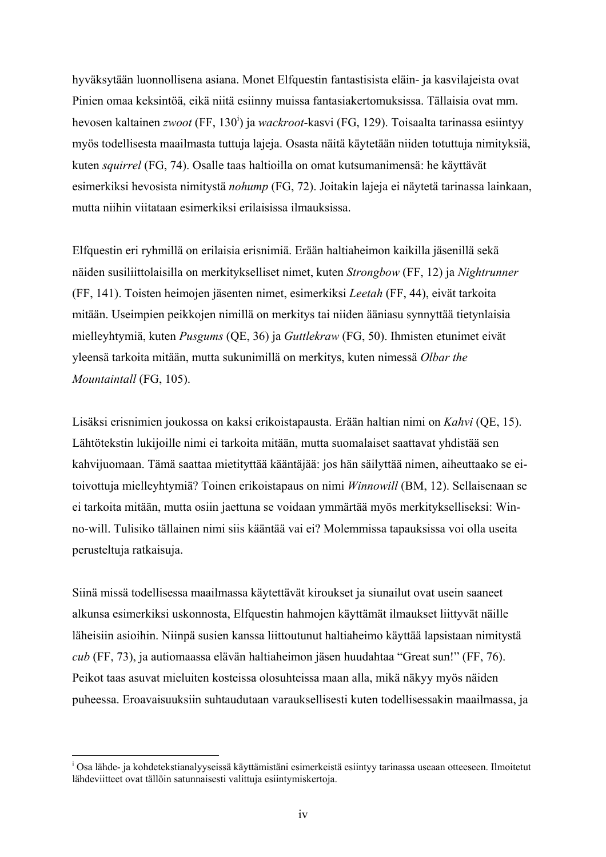hyväksytään luonnollisena asiana. Monet Elfquestin fantastisista eläin- ja kasvilajeista ovat Pinien omaa keksintöä, eikä niitä esiinny muissa fantasiakertomuksissa. Tällaisia ovat mm. hevosen kaltainen *zwoot* (FF, 130<sup>i</sup>) ja *wackroot*-kasvi (FG, 129). Toisaalta tarinassa esiintyy myös todellisesta maailmasta tuttuja lajeja. Osasta näitä käytetään niiden totuttuja nimityksiä, kuten *squirrel* (FG, 74). Osalle taas haltioilla on omat kutsumanimensä: he käyttävät esimerkiksi hevosista nimitystä *nohump* (FG, 72). Joitakin lajeja ei näytetä tarinassa lainkaan, mutta niihin viitataan esimerkiksi erilaisissa ilmauksissa.

Elfquestin eri ryhmillä on erilaisia erisnimiä. Erään haltiaheimon kaikilla jäsenillä sekä näiden susiliittolaisilla on merkitykselliset nimet, kuten *Strongbow* (FF, 12) ja *Nightrunner* (FF, 141). Toisten heimojen jäsenten nimet, esimerkiksi *Leetah* (FF, 44), eivät tarkoita mitään. Useimpien peikkojen nimillä on merkitys tai niiden ääniasu synnyttää tietynlaisia mielleyhtymiä, kuten *Pusgums* (QE, 36) ja *Guttlekraw* (FG, 50). Ihmisten etunimet eivät yleensä tarkoita mitään, mutta sukunimillä on merkitys, kuten nimessä *Olbar the Mountaintall* (FG, 105).

Lisäksi erisnimien joukossa on kaksi erikoistapausta. Erään haltian nimi on *Kahvi* (QE, 15). Lähtötekstin lukijoille nimi ei tarkoita mitään, mutta suomalaiset saattavat yhdistää sen kahvijuomaan. Tämä saattaa mietityttää kääntäjää: jos hän säilyttää nimen, aiheuttaako se eitoivottuja mielleyhtymiä? Toinen erikoistapaus on nimi *Winnowill* (BM, 12). Sellaisenaan se ei tarkoita mitään, mutta osiin jaettuna se voidaan ymmärtää myös merkitykselliseksi: Winno-will. Tulisiko tällainen nimi siis kääntää vai ei? Molemmissa tapauksissa voi olla useita perusteltuja ratkaisuja.

Siinä missä todellisessa maailmassa käytettävät kiroukset ja siunailut ovat usein saaneet alkunsa esimerkiksi uskonnosta, Elfquestin hahmojen käyttämät ilmaukset liittyvät näille läheisiin asioihin. Niinpä susien kanssa liittoutunut haltiaheimo käyttää lapsistaan nimitystä *cub* (FF, 73), ja autiomaassa elävän haltiaheimon jäsen huudahtaa "Great sun!" (FF, 76). Peikot taas asuvat mieluiten kosteissa olosuhteissa maan alla, mikä näkyy myös näiden puheessa. Eroavaisuuksiin suhtaudutaan varauksellisesti kuten todellisessakin maailmassa, ja

 $\overline{a}$ 

<sup>&</sup>lt;sup>i</sup> Osa lähde- ja kohdetekstianalyyseissä käyttämistäni esimerkeistä esiintyy tarinassa useaan otteeseen. Ilmoitetut lähdeviitteet ovat tällöin satunnaisesti valittuja esiintymiskertoja.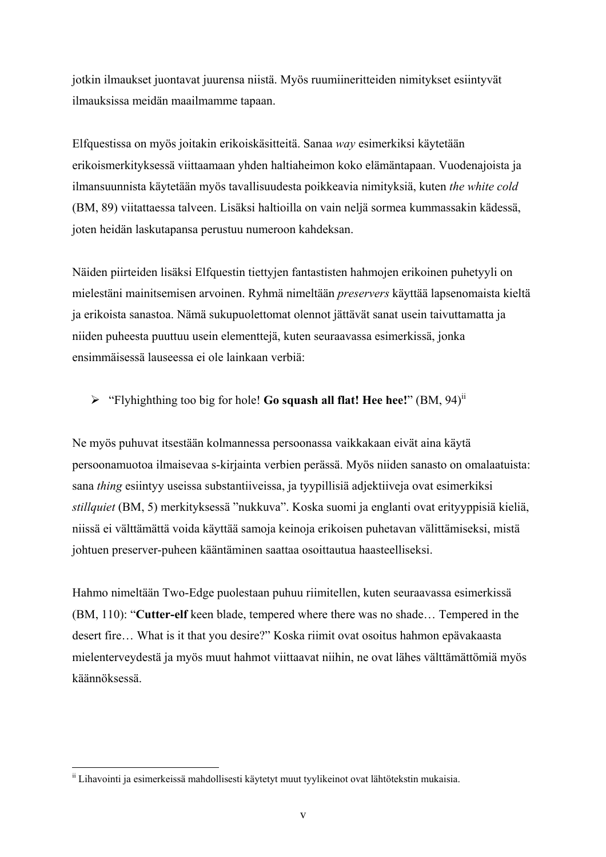jotkin ilmaukset juontavat juurensa niistä. Myös ruumiineritteiden nimitykset esiintyvät ilmauksissa meidän maailmamme tapaan.

Elfquestissa on myös joitakin erikoiskäsitteitä. Sanaa *way* esimerkiksi käytetään erikoismerkityksessä viittaamaan yhden haltiaheimon koko elämäntapaan. Vuodenajoista ja ilmansuunnista käytetään myös tavallisuudesta poikkeavia nimityksiä, kuten *the white cold* (BM, 89) viitattaessa talveen. Lisäksi haltioilla on vain neljä sormea kummassakin kädessä, joten heidän laskutapansa perustuu numeroon kahdeksan.

Näiden piirteiden lisäksi Elfquestin tiettyjen fantastisten hahmojen erikoinen puhetyyli on mielestäni mainitsemisen arvoinen. Ryhmä nimeltään *preservers* käyttää lapsenomaista kieltä ja erikoista sanastoa. Nämä sukupuolettomat olennot jättävät sanat usein taivuttamatta ja niiden puheesta puuttuu usein elementtejä, kuten seuraavassa esimerkissä, jonka ensimmäisessä lauseessa ei ole lainkaan verbiä:

¾ "Flyhighthing too big for hole! **Go squash all flat! Hee hee!**" (BM, 94)ii

Ne myös puhuvat itsestään kolmannessa persoonassa vaikkakaan eivät aina käytä persoonamuotoa ilmaisevaa s-kirjainta verbien perässä. Myös niiden sanasto on omalaatuista: sana *thing* esiintyy useissa substantiiveissa, ja tyypillisiä adjektiiveja ovat esimerkiksi *stillquiet* (BM, 5) merkityksessä "nukkuva". Koska suomi ja englanti ovat erityyppisiä kieliä, niissä ei välttämättä voida käyttää samoja keinoja erikoisen puhetavan välittämiseksi, mistä johtuen preserver-puheen kääntäminen saattaa osoittautua haasteelliseksi.

Hahmo nimeltään Two-Edge puolestaan puhuu riimitellen, kuten seuraavassa esimerkissä (BM, 110): "**Cutter-elf** keen blade, tempered where there was no shade… Tempered in the desert fire… What is it that you desire?" Koska riimit ovat osoitus hahmon epävakaasta mielenterveydestä ja myös muut hahmot viittaavat niihin, ne ovat lähes välttämättömiä myös käännöksessä.

 $\overline{a}$ ii Lihavointi ja esimerkeissä mahdollisesti käytetyt muut tyylikeinot ovat lähtötekstin mukaisia.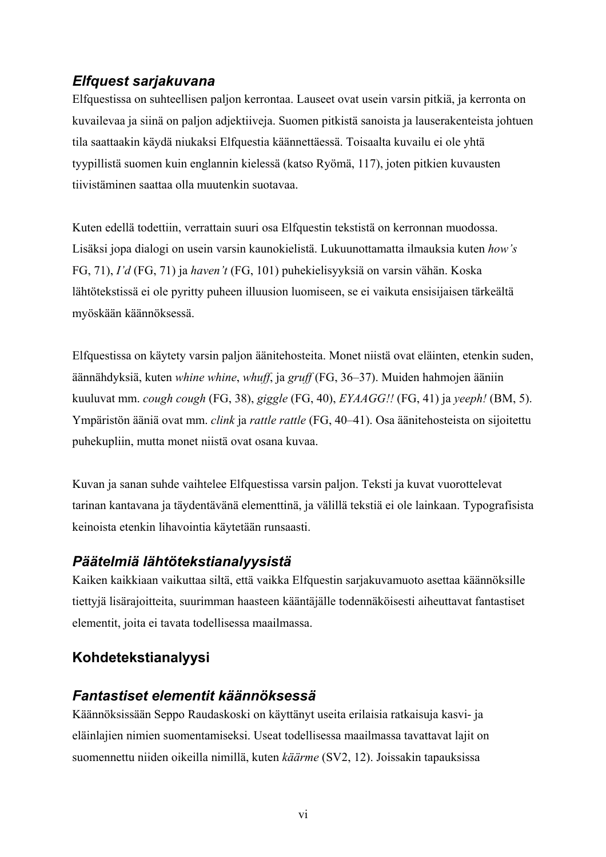# *Elfquest sarjakuvana*

Elfquestissa on suhteellisen paljon kerrontaa. Lauseet ovat usein varsin pitkiä, ja kerronta on kuvailevaa ja siinä on paljon adjektiiveja. Suomen pitkistä sanoista ja lauserakenteista johtuen tila saattaakin käydä niukaksi Elfquestia käännettäessä. Toisaalta kuvailu ei ole yhtä tyypillistä suomen kuin englannin kielessä (katso Ryömä, 117), joten pitkien kuvausten tiivistäminen saattaa olla muutenkin suotavaa.

Kuten edellä todettiin, verrattain suuri osa Elfquestin tekstistä on kerronnan muodossa. Lisäksi jopa dialogi on usein varsin kaunokielistä. Lukuunottamatta ilmauksia kuten *how's* FG, 71), *I'd* (FG, 71) ja *haven't* (FG, 101) puhekielisyyksiä on varsin vähän. Koska lähtötekstissä ei ole pyritty puheen illuusion luomiseen, se ei vaikuta ensisijaisen tärkeältä myöskään käännöksessä.

Elfquestissa on käytety varsin paljon äänitehosteita. Monet niistä ovat eläinten, etenkin suden, äännähdyksiä, kuten *whine whine*, *whuff*, ja *gruff* (FG, 36–37). Muiden hahmojen ääniin kuuluvat mm. *cough cough* (FG, 38), *giggle* (FG, 40), *EYAAGG!!* (FG, 41) ja *yeeph!* (BM, 5). Ympäristön ääniä ovat mm. *clink* ja *rattle rattle* (FG, 40–41). Osa äänitehosteista on sijoitettu puhekupliin, mutta monet niistä ovat osana kuvaa.

Kuvan ja sanan suhde vaihtelee Elfquestissa varsin paljon. Teksti ja kuvat vuorottelevat tarinan kantavana ja täydentävänä elementtinä, ja välillä tekstiä ei ole lainkaan. Typografisista keinoista etenkin lihavointia käytetään runsaasti.

# *Päätelmiä lähtötekstianalyysistä*

Kaiken kaikkiaan vaikuttaa siltä, että vaikka Elfquestin sarjakuvamuoto asettaa käännöksille tiettyjä lisärajoitteita, suurimman haasteen kääntäjälle todennäköisesti aiheuttavat fantastiset elementit, joita ei tavata todellisessa maailmassa.

# **Kohdetekstianalyysi**

# *Fantastiset elementit käännöksessä*

Käännöksissään Seppo Raudaskoski on käyttänyt useita erilaisia ratkaisuja kasvi- ja eläinlajien nimien suomentamiseksi. Useat todellisessa maailmassa tavattavat lajit on suomennettu niiden oikeilla nimillä, kuten *käärme* (SV2, 12). Joissakin tapauksissa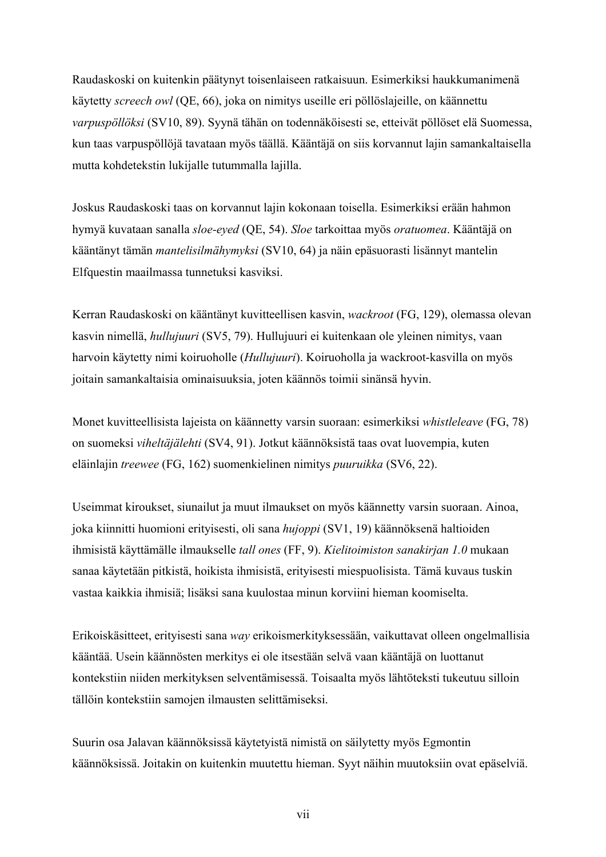Raudaskoski on kuitenkin päätynyt toisenlaiseen ratkaisuun. Esimerkiksi haukkumanimenä käytetty *screech owl* (QE, 66), joka on nimitys useille eri pöllöslajeille, on käännettu *varpuspöllöksi* (SV10, 89). Syynä tähän on todennäköisesti se, etteivät pöllöset elä Suomessa, kun taas varpuspöllöjä tavataan myös täällä. Kääntäjä on siis korvannut lajin samankaltaisella mutta kohdetekstin lukijalle tutummalla lajilla.

Joskus Raudaskoski taas on korvannut lajin kokonaan toisella. Esimerkiksi erään hahmon hymyä kuvataan sanalla *sloe-eyed* (QE, 54). *Sloe* tarkoittaa myös *oratuomea*. Kääntäjä on kääntänyt tämän *mantelisilmähymyksi* (SV10, 64) ja näin epäsuorasti lisännyt mantelin Elfquestin maailmassa tunnetuksi kasviksi.

Kerran Raudaskoski on kääntänyt kuvitteellisen kasvin, *wackroot* (FG, 129), olemassa olevan kasvin nimellä, *hullujuuri* (SV5, 79). Hullujuuri ei kuitenkaan ole yleinen nimitys, vaan harvoin käytetty nimi koiruoholle (*Hullujuuri*). Koiruoholla ja wackroot-kasvilla on myös joitain samankaltaisia ominaisuuksia, joten käännös toimii sinänsä hyvin.

Monet kuvitteellisista lajeista on käännetty varsin suoraan: esimerkiksi *whistleleave* (FG, 78) on suomeksi *viheltäjälehti* (SV4, 91). Jotkut käännöksistä taas ovat luovempia, kuten eläinlajin *treewee* (FG, 162) suomenkielinen nimitys *puuruikka* (SV6, 22).

Useimmat kiroukset, siunailut ja muut ilmaukset on myös käännetty varsin suoraan. Ainoa, joka kiinnitti huomioni erityisesti, oli sana *hujoppi* (SV1, 19) käännöksenä haltioiden ihmisistä käyttämälle ilmaukselle *tall ones* (FF, 9). *Kielitoimiston sanakirjan 1.0* mukaan sanaa käytetään pitkistä, hoikista ihmisistä, erityisesti miespuolisista. Tämä kuvaus tuskin vastaa kaikkia ihmisiä; lisäksi sana kuulostaa minun korviini hieman koomiselta.

Erikoiskäsitteet, erityisesti sana *way* erikoismerkityksessään, vaikuttavat olleen ongelmallisia kääntää. Usein käännösten merkitys ei ole itsestään selvä vaan kääntäjä on luottanut kontekstiin niiden merkityksen selventämisessä. Toisaalta myös lähtöteksti tukeutuu silloin tällöin kontekstiin samojen ilmausten selittämiseksi.

Suurin osa Jalavan käännöksissä käytetyistä nimistä on säilytetty myös Egmontin käännöksissä. Joitakin on kuitenkin muutettu hieman. Syyt näihin muutoksiin ovat epäselviä.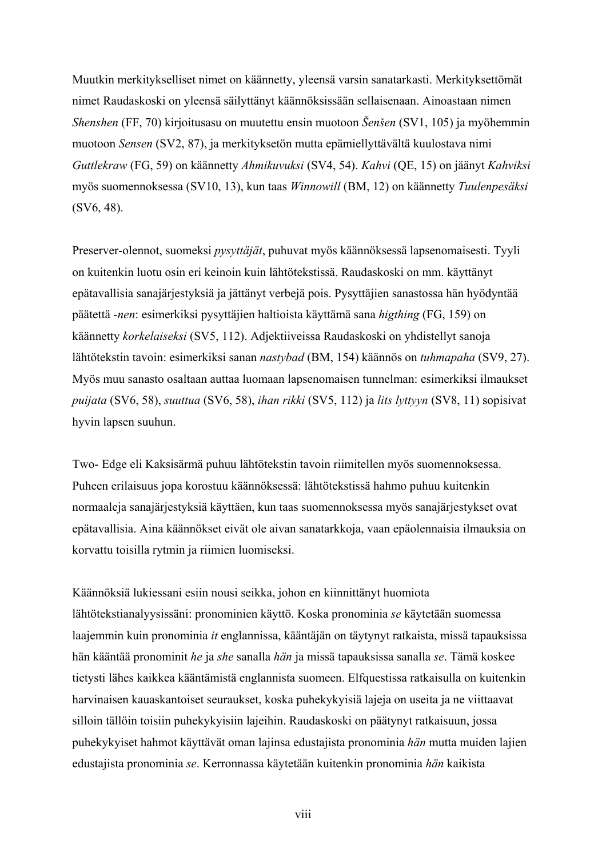Muutkin merkitykselliset nimet on käännetty, yleensä varsin sanatarkasti. Merkityksettömät nimet Raudaskoski on yleensä säilyttänyt käännöksissään sellaisenaan. Ainoastaan nimen *Shenshen* (FF, 70) kirjoitusasu on muutettu ensin muotoon *Šenšen* (SV1, 105) ja myöhemmin muotoon *Sensen* (SV2, 87), ja merkityksetön mutta epämiellyttävältä kuulostava nimi *Guttlekraw* (FG, 59) on käännetty *Ahmikuvuksi* (SV4, 54). *Kahvi* (QE, 15) on jäänyt *Kahviksi* myös suomennoksessa (SV10, 13), kun taas *Winnowill* (BM, 12) on käännetty *Tuulenpesäksi* (SV6, 48).

Preserver-olennot, suomeksi *pysyttäjät*, puhuvat myös käännöksessä lapsenomaisesti. Tyyli on kuitenkin luotu osin eri keinoin kuin lähtötekstissä. Raudaskoski on mm. käyttänyt epätavallisia sanajärjestyksiä ja jättänyt verbejä pois. Pysyttäjien sanastossa hän hyödyntää päätettä *-nen*: esimerkiksi pysyttäjien haltioista käyttämä sana *higthing* (FG, 159) on käännetty *korkelaiseksi* (SV5, 112). Adjektiiveissa Raudaskoski on yhdistellyt sanoja lähtötekstin tavoin: esimerkiksi sanan *nastybad* (BM, 154) käännös on *tuhmapaha* (SV9, 27). Myös muu sanasto osaltaan auttaa luomaan lapsenomaisen tunnelman: esimerkiksi ilmaukset *puijata* (SV6, 58), *suuttua* (SV6, 58), *ihan rikki* (SV5, 112) ja *lits lyttyyn* (SV8, 11) sopisivat hyvin lapsen suuhun.

Two- Edge eli Kaksisärmä puhuu lähtötekstin tavoin riimitellen myös suomennoksessa. Puheen erilaisuus jopa korostuu käännöksessä: lähtötekstissä hahmo puhuu kuitenkin normaaleja sanajärjestyksiä käyttäen, kun taas suomennoksessa myös sanajärjestykset ovat epätavallisia. Aina käännökset eivät ole aivan sanatarkkoja, vaan epäolennaisia ilmauksia on korvattu toisilla rytmin ja riimien luomiseksi.

Käännöksiä lukiessani esiin nousi seikka, johon en kiinnittänyt huomiota lähtötekstianalyysissäni: pronominien käyttö. Koska pronominia *se* käytetään suomessa laajemmin kuin pronominia *it* englannissa, kääntäjän on täytynyt ratkaista, missä tapauksissa hän kääntää pronominit *he* ja *she* sanalla *hän* ja missä tapauksissa sanalla *se*. Tämä koskee tietysti lähes kaikkea kääntämistä englannista suomeen. Elfquestissa ratkaisulla on kuitenkin harvinaisen kauaskantoiset seuraukset, koska puhekykyisiä lajeja on useita ja ne viittaavat silloin tällöin toisiin puhekykyisiin lajeihin. Raudaskoski on päätynyt ratkaisuun, jossa puhekykyiset hahmot käyttävät oman lajinsa edustajista pronominia *hän* mutta muiden lajien edustajista pronominia *se*. Kerronnassa käytetään kuitenkin pronominia *hän* kaikista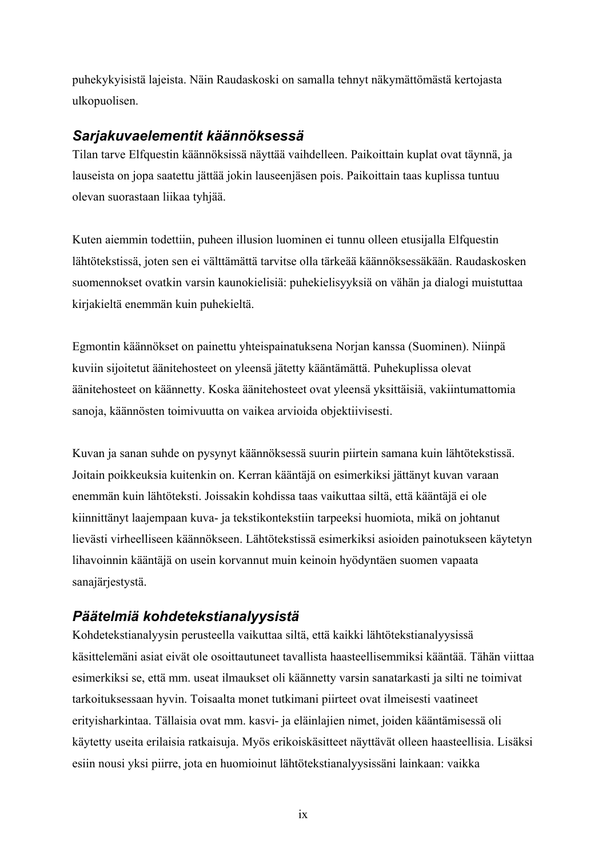puhekykyisistä lajeista. Näin Raudaskoski on samalla tehnyt näkymättömästä kertojasta ulkopuolisen.

#### *Sarjakuvaelementit käännöksessä*

Tilan tarve Elfquestin käännöksissä näyttää vaihdelleen. Paikoittain kuplat ovat täynnä, ja lauseista on jopa saatettu jättää jokin lauseenjäsen pois. Paikoittain taas kuplissa tuntuu olevan suorastaan liikaa tyhjää.

Kuten aiemmin todettiin, puheen illusion luominen ei tunnu olleen etusijalla Elfquestin lähtötekstissä, joten sen ei välttämättä tarvitse olla tärkeää käännöksessäkään. Raudaskosken suomennokset ovatkin varsin kaunokielisiä: puhekielisyyksiä on vähän ja dialogi muistuttaa kirjakieltä enemmän kuin puhekieltä.

Egmontin käännökset on painettu yhteispainatuksena Norjan kanssa (Suominen). Niinpä kuviin sijoitetut äänitehosteet on yleensä jätetty kääntämättä. Puhekuplissa olevat äänitehosteet on käännetty. Koska äänitehosteet ovat yleensä yksittäisiä, vakiintumattomia sanoja, käännösten toimivuutta on vaikea arvioida objektiivisesti.

Kuvan ja sanan suhde on pysynyt käännöksessä suurin piirtein samana kuin lähtötekstissä. Joitain poikkeuksia kuitenkin on. Kerran kääntäjä on esimerkiksi jättänyt kuvan varaan enemmän kuin lähtöteksti. Joissakin kohdissa taas vaikuttaa siltä, että kääntäjä ei ole kiinnittänyt laajempaan kuva- ja tekstikontekstiin tarpeeksi huomiota, mikä on johtanut lievästi virheelliseen käännökseen. Lähtötekstissä esimerkiksi asioiden painotukseen käytetyn lihavoinnin kääntäjä on usein korvannut muin keinoin hyödyntäen suomen vapaata sanajärjestystä.

# *Päätelmiä kohdetekstianalyysistä*

Kohdetekstianalyysin perusteella vaikuttaa siltä, että kaikki lähtötekstianalyysissä käsittelemäni asiat eivät ole osoittautuneet tavallista haasteellisemmiksi kääntää. Tähän viittaa esimerkiksi se, että mm. useat ilmaukset oli käännetty varsin sanatarkasti ja silti ne toimivat tarkoituksessaan hyvin. Toisaalta monet tutkimani piirteet ovat ilmeisesti vaatineet erityisharkintaa. Tällaisia ovat mm. kasvi- ja eläinlajien nimet, joiden kääntämisessä oli käytetty useita erilaisia ratkaisuja. Myös erikoiskäsitteet näyttävät olleen haasteellisia. Lisäksi esiin nousi yksi piirre, jota en huomioinut lähtötekstianalyysissäni lainkaan: vaikka